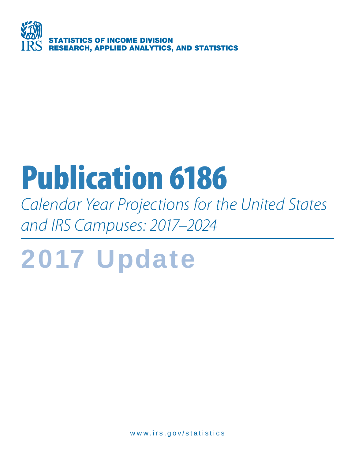

# **Publication 6186**

Calendar Year Projections for the United States and IRS Campuses: 2017–2024

# 2017 Update

www.irs.gov/statistics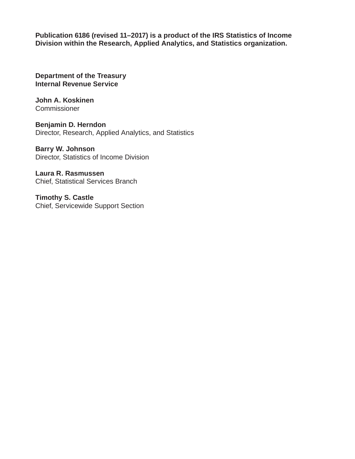**Publication 6186 (revised 11–2017) is a product of the IRS Statistics of Income Division within the Research, Applied Analytics, and Statistics organization.**

**Department of the Treasury Internal Revenue Service**

**John A. Koskinen Commissioner** 

**Benjamin D. Herndon** Director, Research, Applied Analytics, and Statistics

**Barry W. Johnson** Director, Statistics of Income Division

**Laura R. Rasmussen** Chief, Statistical Services Branch

**Timothy S. Castle** Chief, Servicewide Support Section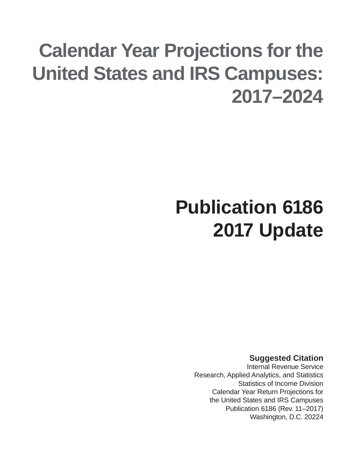# **Calendar Year Projections for the United States and IRS Campuses: 2017–2024**

# **Publication 6186 2017 Update**

**Suggested Citation**

Internal Revenue Service Research, Applied Analytics, and Statistics Statistics of Income Division Calendar Year Return Projections for the United States and IRS Campuses Publication 6186 (Rev. 11–2017) Washington, D.C. 20224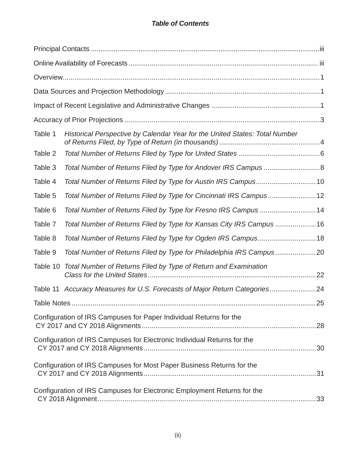### *Table of Contents*

| Table 1            | Historical Perspective by Calendar Year for the United States: Total Number |    |
|--------------------|-----------------------------------------------------------------------------|----|
| Table 2            |                                                                             |    |
| Table 3            | Total Number of Returns Filed by Type for Andover IRS Campus 8              |    |
| Table 4            | Total Number of Returns Filed by Type for Austin IRS Campus10               |    |
| Table 5            | Total Number of Returns Filed by Type for Cincinnati IRS Campus12           |    |
| Table 6            | Total Number of Returns Filed by Type for Fresno IRS Campus 14              |    |
| Table 7            | Total Number of Returns Filed by Type for Kansas City IRS Campus 16         |    |
| Table 8            | Total Number of Returns Filed by Type for Ogden IRS Campus18                |    |
| Table 9            | Total Number of Returns Filed by Type for Philadelphia IRS Campus20         |    |
|                    | Table 10 Total Number of Returns Filed by Type of Return and Examination    |    |
|                    | Table 11 Accuracy Measures for U.S. Forecasts of Major Return Categories24  |    |
| <b>Table Notes</b> |                                                                             | 25 |
|                    | Configuration of IRS Campuses for Paper Individual Returns for the          |    |
|                    | Configuration of IRS Campuses for Electronic Individual Returns for the     |    |
|                    | Configuration of IRS Campuses for Most Paper Business Returns for the       |    |
|                    | Configuration of IRS Campuses for Electronic Employment Returns for the     |    |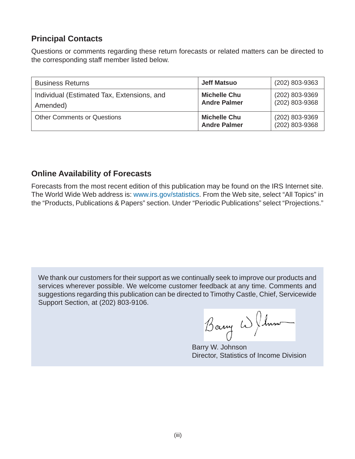# **Principal Contacts**

Questions or comments regarding these return forecasts or related matters can be directed to the corresponding staff member listed below.

| <b>Business Returns</b>                                | <b>Jeff Matsuo</b>                         | (202) 803-9363                   |
|--------------------------------------------------------|--------------------------------------------|----------------------------------|
| Individual (Estimated Tax, Extensions, and<br>Amended) | <b>Michelle Chu</b><br><b>Andre Palmer</b> | (202) 803-9369<br>(202) 803-9368 |
| <b>Other Comments or Questions</b>                     | <b>Michelle Chu</b><br><b>Andre Palmer</b> | (202) 803-9369<br>(202) 803-9368 |

# **Online Availability of Forecasts**

Forecasts from the most recent edition of this publication may be found on the IRS Internet site. The World Wide Web address is: www.irs.gov/statistics. From the Web site, select "All Topics" in the "Products, Publications & Papers" section. Under "Periodic Publications" select "Projections."

We thank our customers for their support as we continually seek to improve our products and services wherever possible. We welcome customer feedback at any time. Comments and suggestions regarding this publication can be directed to Timothy Castle, Chief, Servicewide Support Section, at (202) 803-9106.

Barry W ( 1mo

Barry W. Johnson Director, Statistics of Income Division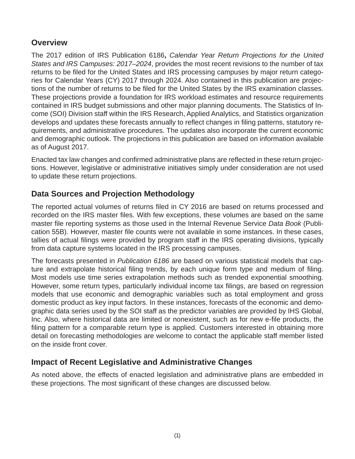# **Overview**

The 2017 edition of IRS Publication 6186**,** *Calendar Year Return Projections for the United States and IRS Campuses: 2017–2024*, provides the most recent revisions to the number of tax returns to be filed for the United States and IRS processing campuses by major return categories for Calendar Years (CY) 2017 through 2024. Also contained in this publication are projections of the number of returns to be filed for the United States by the IRS examination classes. These projections provide a foundation for IRS workload estimates and resource requirements contained in IRS budget submissions and other major planning documents. The Statistics of Income (SOI) Division staff within the IRS Research, Applied Analytics, and Statistics organization develops and updates these forecasts annually to reflect changes in filing patterns, statutory requirements, and administrative procedures. The updates also incorporate the current economic and demographic outlook. The projections in this publication are based on information available as of August 2017.

Enacted tax law changes and confirmed administrative plans are reflected in these return projections. However, legislative or administrative initiatives simply under consideration are not used to update these return projections.

# **Data Sources and Projection Methodology**

The reported actual volumes of returns filed in CY 2016 are based on returns processed and recorded on the IRS master files. With few exceptions, these volumes are based on the same master file reporting systems as those used in the Internal Revenue Service *Data Book* (Publication 55B). However, master file counts were not available in some instances. In these cases, tallies of actual filings were provided by program staff in the IRS operating divisions, typically from data capture systems located in the IRS processing campuses.

The forecasts presented in *Publication 6186* are based on various statistical models that capture and extrapolate historical filing trends, by each unique form type and medium of filing. Most models use time series extrapolation methods such as trended exponential smoothing. However, some return types, particularly individual income tax filings, are based on regression models that use economic and demographic variables such as total employment and gross domestic product as key input factors. In these instances, forecasts of the economic and demographic data series used by the SOI staff as the predictor variables are provided by IHS Global, Inc. Also, where historical data are limited or nonexistent, such as for new e-file products, the filing pattern for a comparable return type is applied. Customers interested in obtaining more detail on forecasting methodologies are welcome to contact the applicable staff member listed on the inside front cover.

## **Impact of Recent Legislative and Administrative Changes**

As noted above, the effects of enacted legislation and administrative plans are embedded in these projections. The most significant of these changes are discussed below.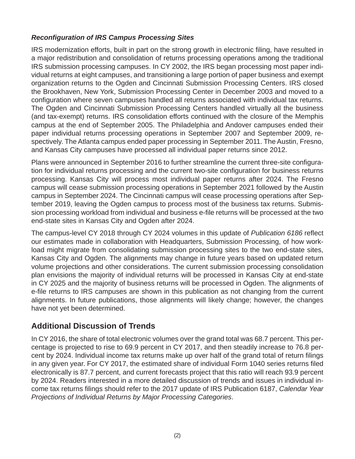### *Reconfi guration of IRS Campus Processing Sites*

IRS modernization efforts, built in part on the strong growth in electronic filing, have resulted in a major redistribution and consolidation of returns processing operations among the traditional IRS submission processing campuses. In CY 2002, the IRS began processing most paper individual returns at eight campuses, and transitioning a large portion of paper business and exempt organization returns to the Ogden and Cincinnati Submission Processing Centers. IRS closed the Brookhaven, New York, Submission Processing Center in December 2003 and moved to a configuration where seven campuses handled all returns associated with individual tax returns. The Ogden and Cincinnati Submission Processing Centers handled virtually all the business (and tax-exempt) returns. IRS consolidation efforts continued with the closure of the Memphis campus at the end of September 2005. The Philadelphia and Andover campuses ended their paper individual returns processing operations in September 2007 and September 2009, respectively. The Atlanta campus ended paper processing in September 2011. The Austin, Fresno, and Kansas City campuses have processed all individual paper returns since 2012.

Plans were announced in September 2016 to further streamline the current three-site configuration for individual returns processing and the current two-site configuration for business returns processing. Kansas City will process most individual paper returns after 2024. The Fresno campus will cease submission processing operations in September 2021 followed by the Austin campus in September 2024. The Cincinnati campus will cease processing operations after September 2019, leaving the Ogden campus to process most of the business tax returns. Submission processing workload from individual and business e-file returns will be processed at the two end-state sites in Kansas City and Ogden after 2024.

The campus-level CY 2018 through CY 2024 volumes in this update of *Publication 6186* reflect our estimates made in collaboration with Headquarters, Submission Processing, of how workload might migrate from consolidating submission processing sites to the two end-state sites, Kansas City and Ogden. The alignments may change in future years based on updated return volume projections and other considerations. The current submission processing consolidation plan envisions the majority of individual returns will be processed in Kansas City at end-state in CY 2025 and the majority of business returns will be processed in Ogden. The alignments of e-file returns to IRS campuses are shown in this publication as not changing from the current alignments. In future publications, those alignments will likely change; however, the changes have not yet been determined.

## **Additional Discussion of Trends**

In CY 2016, the share of total electronic volumes over the grand total was 68.7 percent. This percentage is projected to rise to 69.9 percent in CY 2017, and then steadily increase to 76.8 percent by 2024. Individual income tax returns make up over half of the grand total of return filings in any given year. For CY 2017, the estimated share of individual Form 1040 series returns filed electronically is 87.7 percent, and current forecasts project that this ratio will reach 93.9 percent by 2024. Readers interested in a more detailed discussion of trends and issues in individual income tax returns filings should refer to the 2017 update of IRS Publication 6187, Calendar Year *Projections of Individual Returns by Major Processing Categories*.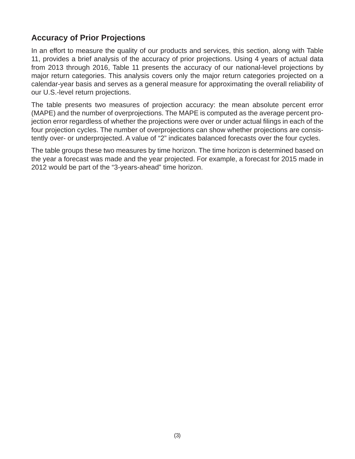# **Accuracy of Prior Projections**

In an effort to measure the quality of our products and services, this section, along with Table 11, provides a brief analysis of the accuracy of prior projections. Using 4 years of actual data from 2013 through 2016, Table 11 presents the accuracy of our national-level projections by major return categories. This analysis covers only the major return categories projected on a calendar-year basis and serves as a general measure for approximating the overall reliability of our U.S.-level return projections.

The table presents two measures of projection accuracy: the mean absolute percent error (MAPE) and the number of overprojections. The MAPE is computed as the average percent projection error regardless of whether the projections were over or under actual filings in each of the four projection cycles. The number of overprojections can show whether projections are consistently over- or underprojected. A value of "2" indicates balanced forecasts over the four cycles.

The table groups these two measures by time horizon. The time horizon is determined based on the year a forecast was made and the year projected. For example, a forecast for 2015 made in 2012 would be part of the "3-years-ahead" time horizon.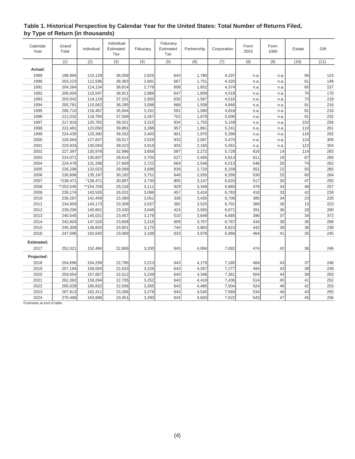|                  |                |            | Individual |           | Fiduciary        |             |             |              |                 |        |      |
|------------------|----------------|------------|------------|-----------|------------------|-------------|-------------|--------------|-----------------|--------|------|
| Calendar<br>Year | Grand<br>Total | Individual | Estimated  | Fiduciary | Estimated        | Partnership | Corporation | Form<br>2553 | Form<br>1066    | Estate | Gift |
|                  |                |            | Tax        |           | Tax              |             |             |              |                 |        |      |
|                  | (1)            | (2)        | (3)        | (4)       | $\overline{(5)}$ | (6)         | (7)         | (8)          | (9)             | (10)   | (11) |
| Actual:          |                |            |            |           |                  |             |             |              |                 |        |      |
| 1989             | 198,994        | 110,129    | 38,059     | 2,625     | 643              | 1,780       | 4,197       | n.a.         | n.a.            | 56     | 124  |
| 1990             | 203,223        | 112,596    | 39,363     | 2,681     | 667              | 1,751       | 4,320       | n.a.         | n.a.            | 61     | 148  |
| 1991             | 204,264        | 114,134    | 38,814     | 2,779     | 608              | 1,652       | 4,374       | n.a.         | n.a.            | 65     | 157  |
| 1992             | 206,004        | 115,047    | 38,911     | 2,888     | 647              | 1,609       | 4,518       | n.a.         | n.a.            | 70     | 170  |
| 1993             | 203,042        | 114,116    | 37,101     | 2,950     | 630              | 1,567       | 4,516       | n.a.         | n.a.            | 73     | 218  |
| 1994             | 205,781        | 115,062    | 36,295     | 3,088     | 668              | 1,558       | 4,666       | n.a.         | n.a.            | 81     | 216  |
| 1995             | 206,710        | 116,467    | 35,944     | 3,191     | 591              | 1,580       | 4,818       | n.a.         | n.a.            | 81     | 216  |
| 1996             | 212,032        | 118,784    | 37,569     | 3,267     | 702              | 1,679       | 5,006       | n.a.         | n.a.            | 91     | 232  |
| 1997             | 217,916        | 120,782    | 39,021     | 3,315     | 834              | 1,755       | 5,149       | n.a.         | n.a.            | 102    | 256  |
| 1998             | 222,481        | 123,050    | 39,881     | 3,398     | 957              | 1,861       | 5,241       | n.a.         | n.a.            | 110    | 261  |
| 1999             | 224,435        | 125,390    | 39,332     | 3,403     | 901              | 1,975       | 5,398       | n.a.         | n.a.            | 116    | 292  |
| 2000             | 226,564        | 127,657    | 39,517     | 3,529     | 933              | 2,067       | 5,470       | n.a.         | n.a.            | 124    | 309  |
| 2001             | 229,933        | 130,094    | 39,023     | 3,919     | 933              | 2,165       | 5,561       | n.a.         | n.a.            | 122    | 304  |
| 2002             | 227,397        | 130,978    | 32,996     | 3,658     | 587              | 2,272       | 5,728       | 616          | 14              | 114    | 283  |
| 2003             | 224,071        | 130,837    | 28,614     | 3,705     | 627              | 2,405       | 5,913       | 611          | 16              | 87     | 285  |
| 2004             | 224,478        | 131,298    | 27,669     | 3,722     | 664              | 2,546       | 6,013       | 546          | 20 <sup>1</sup> | 74     | 262  |
| 2005             | 226,298        | 133,023    | 29,099     | 3,699     | 839              | 2,720       | 6,159       | 551          | 22              | 55     | 265  |
| 2006             | 230,896        | 135,197    | 30,182     | 3,751     | 649              | 2,935       | 6,356       | 530          | 25              | 60     | 264  |
| 2007             | $*238,471$     | *138,471   | 30,897     | 3,730     | 805              | 3,147       | 6,620       | 517          | 30              | 47     | 255  |
| 2008             | **253,545      | **154,709  | 29,218     | 3,111     | 929              | 3,349       | 6,865       | 476          | 34              | 48     | 257  |
| 2009             | 239,174        | 143,526    | 26,031     | 3,096     | 457              | 3,424       | 6,783       | 410          | 33              | 42     | 239  |
| 2010             | 236,267        | 141,459    | 23,380     | 3,051     | 336              | 3,435       | 6,706       | 385          | 34              | 23     | 226  |
| 2011             | 234,859        | 143,173    | 23,309     | 3,037     | 382              | 3,525       | 6,701       | 389          | 36              | 13     | 223  |
| 2012             | 239,206        | 145,601    | 23,430     | 3,048     | 424              | 3,550       | 6,671       | 391          | 36              | 28     | 260  |
| 2013             | 240,545        | 145,021    | 23,457     | 3,179     | 510              | 3,649       | 6,685       | 396          | 37              | 34     | 372  |
| 2014             | 242,603        | 147,520    | 23,608     | 3,216     | 609              | 3,767       | 6,767       | 434          | 38              | 36     | 268  |
| 2015             | 245,309        | 148,650    | 23,901     | 3,175     | 744              | 3,863       | 6,823       | 442          | 39              | 36     | 238  |
| 2016             | 247,596        | 150,640    | 23,069     | 3,188     | 633              | 3,978       | 6,968       | 464          | 41              | 35     | 245  |
| Estimated:       |                |            |            |           |                  |             |             |              |                 |        |      |
| 2017             | 252,021        | 152,484    | 22,869     | 3,200     | 643              | 4,084       | 7,082       | 474          | 42              | 36     | 246  |
|                  |                |            |            |           |                  |             |             |              |                 |        |      |
| Projected:       |                |            |            |           |                  |             |             |              |                 |        |      |
| 2018             | 254,696        | 154,258    | 22,795     | 3,213     | 643              | 4,179       | 7,185       | 484          | 43              | 37     | 248  |
| 2019             | 257,184        | 156,004    | 22,633     | 3,226     | 643              | 4,267       | 7,277       | 494          | 43              | 38     | 249  |
| 2020             | 259,654        | 157,687    | 22,512     | 3,239     | 643              | 4,346       | 7,361       | 504          | 44              | 39     | 250  |
| 2021             | 262,362        | 159,294    | 22,705     | 3,252     | 643              | 4,419       | 7,436       | 514          | 45              | 41     | 252  |
| 2022             | 265,028        | 160,832    | 22,936     | 3,265     | 643              | 4,485       | 7,504       | 524          | 46              | 42     | 253  |
| 2023             | 267,813        | 162,411    | 23,266     | 3,278     | 643              | 4,545       | 7,566       | 534          | 46              | 43     | 255  |
| 2024             | 270,499        | 163,996    | 23,451     | 3,290     | 643              | 4,600       | 7,622       | 543          | 47              | 45     | 256  |

#### **Table 1. Historical Perspective by Calendar Year for the United States: Total Number of Returns Filed, by Type of Return (in thousands)**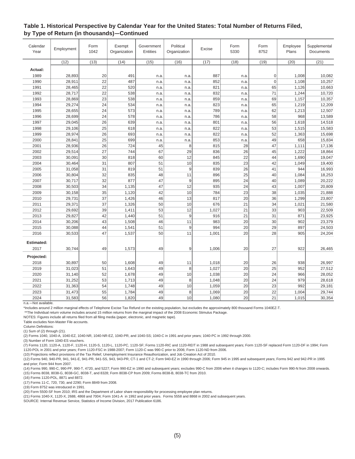#### **Table 1. Historical Perspective by Calendar Year for the United States: Total Number of Returns Filed, by Type of Return (in thousands)—Continued**

| Calendar<br>Year | Employment | Form<br>1042 | Exempt<br>Organization | Government<br><b>Entities</b> | Political<br>Organization | Excise | Form<br>5330 | Form<br>8752    | Employee<br>Plans | Supplemental<br>Documents |
|------------------|------------|--------------|------------------------|-------------------------------|---------------------------|--------|--------------|-----------------|-------------------|---------------------------|
|                  | (12)       | (13)         | (14)                   | (15)                          | (16)                      | (17)   | (18)         | (19)            | (20)              | (21)                      |
| Actual:          |            |              |                        |                               |                           |        |              |                 |                   |                           |
| 1989             | 28,893     | 20           | 491                    | n.a.                          | n.a.                      | 887    | n.a          | 0               | 1,008             | 10,082                    |
| 1990             | 28,911     | 22           | 487                    | n.a.                          | n.a.                      | 852    | n.a.         | $\overline{0}$  | 1,108             | 10,257                    |
| 1991             | 28,465     | 22           | 520                    | n.a.                          | n.a.                      | 821    | n.a.         | 65              | 1,126             | 10,663                    |
| 1992             | 28,717     | 22           | 538                    | n.a.                          | n.a.                      | 832    | n.a.         | 71              | 1,244             | 10,720                    |
| 1993             | 28,869     | 23           | 538                    | n.a.                          | n.a.                      | 859    | n.a.         | 69              | 1,157             | 10,357                    |
| 1994             | 29,274     | 24           | 534                    | n.a.                          | n.a.                      | 823    | n.a.         | 65              | 1,219             | 12,209                    |
| 1995             | 28,655     | 24           | 573                    | n.a.                          | n.a.                      | 789    | n.a.         | 62              | 1,213             | 12,507                    |
| 1996             | 28,699     | 24           | 578                    | n.a.                          | n.a.                      | 786    | n.a.         | 58              | 968               | 13,589                    |
| 1997             | 29,045     | 26           | 639                    | n.a.                          | n.a.                      | 801    | n.a.         | 56              | 1,618             | 14,518                    |
| 1998             | 29,106     | 25           | 618                    | n.a.                          | n.a.                      | 822    | n.a.         | 53              | 1,515             | 15,583                    |
| 1999             | 28,974     | 26           | 693                    | n.a.                          | n.a.                      | 822    | n.a.         | 52              | 1,363             | 15,698                    |
| 2000             | 28,841     | 25           | 699                    | n.a.                          | n.a.                      | 853    | n.a.         | 49              | 658               | 15,834                    |
| 2001             | 28,936     | 26           | 724                    | 45                            | 8                         | 815    | 28           | 47              | 1,111             | 17,136                    |
| 2002             | 29,514     | 27           | 744                    | 67                            | 29                        | 836    | 26           | 45              | 1,222             | 18,864                    |
| 2003             | 30,091     | 30           | 818                    | 60                            | 12                        | 845    | 22           | 44              | 1,690             | 19,047                    |
| 2004             | 30,464     | 31           | 807                    | 51                            | 10                        | 835    | 23           | 42              | 1,049             | 19,400                    |
| 2005             | 31,058     | 31           | 819                    | 51                            | $\boldsymbol{9}$          | 839    | 26           | 41              | 944               | 16,993                    |
| 2006             | 30,804     | 32           | 835                    | 48                            | 11                        | 896    | 25           | 40              | 1,084             | 18,253                    |
| 2007             | 30,717     | 32           | 877                    | 47                            | $9\,$                     | 895    | 24           | 40              | 1,089             | 20,222                    |
| 2008             | 30,503     | 34           | 1,135                  | 47                            | 12                        | 935    | 24           | 43              | 1,007             | 20,809                    |
| 2009             | 30,158     | 35           | 1,120                  | 42                            | 10                        | 784    | 23           | 38              | 1,035             | 21,888                    |
| 2010             | 29,731     | 37           | 1,426                  | 46                            | 13                        | 817    | 20           | 36              | 1,299             | 23,807                    |
| 2011             | 29,371     | 37           | 1,326                  | 50                            | 10                        | 676    | 21           | 34              | 1,021             | 21,580                    |
| 2012             | 29,692     | 39           | 1,411                  | 53                            | 12                        | 1,027  | 21           | 33              | 903               | 22,509                    |
| 2013             | 29,827     | 42           | 1,440                  | 51                            | 9                         | 916    | 21           | 31              | 871               | 23,925                    |
| 2014             | 30,206     | 43           | 1,508                  | 46                            | 11                        | 983    | 20           | 30              | 902               | 23,379                    |
| 2015             | 30,088     | 44           | 1,541                  | 51                            | $9\,$                     | 994    | 20           | 29              | 897               | 24,503                    |
| 2016             | 30,533     | 47           | 1,537                  | 50                            | 11                        | 1,001  | 20           | 28              | 905               | 24,204                    |
| Estimated:       |            |              |                        |                               |                           |        |              |                 |                   |                           |
| 2017             | 30,744     | 49           | 1,573                  | 49                            | 9                         | 1,006  | 20           | 27              | 922               | 26,465                    |
| Projected:       |            |              |                        |                               |                           |        |              |                 |                   |                           |
| 2018             | 30,897     | 50           | 1,608                  | 49                            | 11                        | 1,018  | 20           | 26              | 938               | 26,997                    |
| 2019             | 31,023     | 51           | 1,643                  | 49                            | 8                         | 1,027  | 20           | 25              | 952               | 27,512                    |
| 2020             | 31,140     | 52           | 1,678                  | 49                            | 10                        | 1,038  | 20           | 24              | 966               | 28,052                    |
| 2021             | 31,252     | 53           | 1,713                  | 49                            | 8                         | 1,048  | 20           | 24              | 979               | 28,618                    |
| 2022             | 31,363     | 54           | 1,748                  | 49                            | 10                        | 1,059  | 20           | 23              | 992               | 29,181                    |
| 2023             | 31,473     | 55           | 1,784                  | 49                            | 8                         | 1,069  | 20           | 22              | 1,004             | 29,744                    |
| 2024             | 31,583     | 56           | 1,820                  | 49                            | 10 <sup>1</sup>           | 1,080  | 20           | $\overline{21}$ | 1,015             | 30,354                    |

n.a.—Not available.

\*Includes around 2 million marginal effects of Telephone Excise Tax Refund on the existing population, but excludes the approximately 800 thousand Forms 1040EZ-T.

\*\*The Individual return volume includes around 15 million returns from the marginal impact of the 2008 Economic Stimulus Package.

NOTES: Figures include all returns filed from all filing media (paper, electronic, and magnetic tape).

Table excludes Non-Master File accounts.

Column Definitions:

(1) Sum of (2) through (21).

(2) Forms 1040, 1040-A, 1040-EZ, 1040-NR, 1040-NR-EZ, 1040-PR, and 1040-SS; 1040-C in 1991 and prior years; 1040-PC in 1992 through 2000.

(3) Number of Form 1040-ES vouchers.

(7) Forms 1120, 1120-A, 1120-F, 1120-H, 1120-S, 1120-L, 1120-PC, 1120-SF; Forms 1120-RIC and 1120-REIT in 1988 and subsequent years; Form 1120-SF replaced Form 1120-DF in 1994; Form 1120-POL in 2001 and prior years; Form 1120-FSC in 1988-2007; Form 1120-C was 990-C prior to 2006; Form 1120-ND from 2006.

(10) Projections reflect provisions of the Tax Relief, Unemployment Insurance Reauthorization, and Job Creation Act of 2010.

(12) Forms 940, 940-PR, 941, 941-E, 941-PR, 941-SS, 943, 943-PR, CT-1 and CT-2; Form 940-EZ in 1990 through 2006; Form 945 in 1995 and subsequent years; Forms 942 and 942-PR in 1995 and prior; Form 944 from 2007.

(14) Forms 990, 990-C, 990-PF, 990-T, 4720, and 5227; Form 990-EZ in 1990 and subsequent years; excludes 990-C from 2006 when it changes to 1120-C; includes Form 990-N from 2008 onwards. (15) Forms 8038, 8038-G, 8038-GC, 8038-T, and 8328; Form 8038-CP from 2009; Forms 8038-B, 8038-TC from 2010.

(16) Forms 1120-POL, 8871 and 8872.

(17) Forms 11-C, 720, 730, and 2290; Form 8849 from 2008.

(19) Form 8752 was introduced in 1991.

(20) Form 5500-SF from 2010; IRS and the Department of Labor share responsibility for processing employee plan returns.

(21) Forms 1040-X, 1120-X, 2688, 4868 and 7004; Form 1041-A in 1992 and prior years. Forms 5558 and 8868 in 2002 and subsequent years.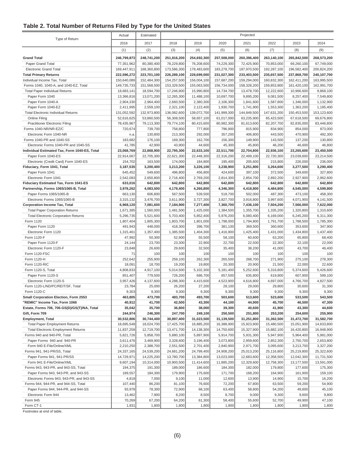#### **Table 2. Total Number of Returns Filed by Type for the United States**

|                                                                                | Actual                 | Estimated              |                        |                        |                        | Projected              |                        |                        |                        |
|--------------------------------------------------------------------------------|------------------------|------------------------|------------------------|------------------------|------------------------|------------------------|------------------------|------------------------|------------------------|
| Type of Return                                                                 | 2016                   | 2017                   | 2018                   | 2019                   | 2020                   | 2021                   | 2022                   | 2023                   | 2024                   |
|                                                                                | (1)                    | (2)                    | (3)                    | (4)                    | (5)                    | (6)                    | (7)                    | (8)                    | (9)                    |
| <b>Grand Total</b>                                                             | 246,799,873            | 248,741,200            | 251,816,200            | 254,692,300            | 257,508,000            | 260,396,400            | 263,140,100            | 265,842,500            | 268,573,200            |
| Paper Grand Total                                                              | 77,351,962             | 80,380,400             | 78,229,800             | 76,208,600             | 74,229,300             | 72,425,900             | 70,853,000             | 69,260,100             | 67,749,000             |
| <b>Electronic Grand Total</b>                                                  | 169,447,911            | 168,360,800            | 173,586,300            | 178,483,600            | 183,278,700            | 187,970,500            | 192,287,100            | 196,582,400            | 200,824,200            |
| <b>Total Primary Returns</b>                                                   | 222,596,272            | 223,701,100            | 226,289,100            | 228,699,000            | 231,027,300            | 233,403,500            | 235,657,500            | 237,868,700            | 240,107,700            |
| Individual Income Tax, Total                                                   | 150,640,089            | 152,484,300            | 154,257,500            | 156,004,100            | 157,687,200            | 159,294,000            | 160,832,300            | 162,411,200            | 163,995,500            |
| Forms 1040, 1040-A, and 1040-EZ, Total                                         | 149,735,733            | 151,568,500            | 153,329,500            | 155,063,500            | 156,734,000            | 158,328,200            | 159,853,800            | 161,420,100            | 162,991,700            |
| <b>Total Paper Individual Returns</b>                                          | 18,683,141             | 18,594,700             | 17,246,900             | 15,990,800             | 14,734,700             | 13,478,700             | 12,222,600             | 10,966,600             | 9,868,100              |
| Paper Form 1040                                                                | 13,366,816             | 13,071,200             | 12,265,300             | 11,488,100             | 10,697,700             | 9,895,200              | 9,081,500              | 8,257,400              | 7,549,800              |
| Paper Form 1040-A<br>Paper Form 1040-EZ                                        | 2,904,330<br>2,411,995 | 2,964,400<br>2,559,100 | 2,660,500<br>2,321,100 | 2,380,300<br>2,122,400 | 2,106,300<br>1,930,700 | 1,841,600<br>1,741,900 | 1,587,800<br>1,553,300 | 1,346,000<br>1,363,200 | 1,132,900<br>1,185,400 |
| <b>Total Electronic Individual Returns</b>                                     | 131,052,592            | 132,973,800            | 136,082,600            | 139,072,700            | 141,999,300            | 144,849,500            | 147,631,200            | 150,453,500            | 153,123,600            |
| Online Filing                                                                  | 52,616,625             | 53,860,500             | 56,308,500             | 58,657,100             | 61,017,000             | 63,235,900             | 65,423,500             | 67,618,500             | 69,676,800             |
| <b>Practitioner Electronic Filing</b>                                          | 78,435,967             | 79,113,300             | 79,774,100             | 80,415,600             | 80,982,300             | 81,613,600             | 82,207,700             | 82,835,000             | 83,446,800             |
| Forms 1040-NR/NR-EZ/C                                                          | 720,674                | 739,700                | 758,800                | 777,800                | 796,900                | 815,900                | 834,900                | 854,000                | 873,000                |
| Electronic Form 1040-NR                                                        | n.a                    | 130,800                | 213,300                | 292,000                | 357,200                | 406,800                | 443,500                | 470,900                | 492,300                |
| Forms 1040-PR and 1040-SS                                                      | 183,682                | 176,100                | 169,300                | 162,700                | 156,300                | 149,900                | 143,500                | 137,200                | 130,800                |
| Electronic Forms 1040-PR and 1040-SS                                           | 41,785                 | 42,900                 | 43,900                 | 44,600                 | 45,300                 | 45,800                 | 46,200                 | 46,600                 | 46,800                 |
| Individual Estimated Tax, Form 1040-ES, Total                                  | 23,068,769             | 22,868,900             | 22,795,300             | 22,633,100             | 22,511,700             | 22,704,800             | 22,936,100             | 23,265,600             | 23,450,500             |
| Paper Form 1040-ES                                                             | 22,914,067             | 22,705,300             | 22,621,300             | 22,448,300             | 22,316,200             | 22,499,100             | 22,720,300             | 23,039,600             | 23,214,500             |
| Electronic (Credit Card) Form 1040-ES                                          | 154,702                | 163,500                | 174,000                | 184,800                | 195,400                | 205,600                | 215,800                | 226,000                | 236,000                |
| Fiduciary, Form 1041, Total                                                    | 3,187,535              | 3,200,400              | 3,213,200              | 3,226,100              | 3,238,900              | 3,251,800              | 3,264,600              | 3,277,500              | 3,290,400              |
| Paper Form 1041                                                                | 645,452                | 549,600                | 496,800                | 456,800                | 424,600                | 397,100                | 372,500                | 349,600                | 327,800                |
| Electronic Form 1041                                                           | 2,542,083              | 2,650,800<br>642,800   | 2,716,400<br>642,800   | 2,769,200<br>642,800   | 2,814,300<br>642,800   | 2,854,700<br>642,800   | 2,892,200<br>642,800   | 2,927,900<br>642,800   | 2,962,600<br>642,800   |
| Fiduciary Estimated Tax, Form 1041-ES<br>Partnership, Forms 1065/1065-B, Total | 633,016<br>3,978,262   | 4,083,500              | 4,179,400              | 4,266,800              | 4,346,300              | 4,418,800              | 4,484,800              | 4,545,000              | 4,599,800              |
| Paper Forms 1065/1065-B                                                        | 663,130                | 606,800                | 567,500                | 539,500                | 518,700                | 502,000                | 487,300                | 473,100                | 458,300                |
| Electronic Forms 1065/1065-B                                                   | 3,315,132              | 3,476,700              | 3,611,900              | 3,727,300              | 3,827,700              | 3,916,800              | 3,997,600              | 4,071,900              | 4,141,500              |
| <b>Corporation Income Tax, Total</b>                                           | 6,968,120              | 7,081,600              | 7,184,900              | 7,277,400              | 7,360,700              | 7,436,100              | 7,504,200              | 7,566,000              | 7,622,000              |
| <b>Total Paper Corporation Returns</b>                                         | 1,671,385              | 1,560,000              | 1,481,500              | 1,425,000              | 1,384,500              | 1,355,700              | 1,335,200              | 1,320,800              | 1,310,600              |
| <b>Total Electronic Corporation Returns</b>                                    | 5,296,735              | 5,521,600              | 5,703,400              | 5,852,400              | 5,976,200              | 6,080,400              | 6,169,000              | 6,245,200              | 6,311,300              |
| Form 1120                                                                      | 1,807,404              | 1,805,300              | 1,803,700              | 1,801,000              | 1,798,000              | 1,794,800              | 1,791,700              | 1,788,500              | 1,785,300              |
| Paper Form 1120                                                                | 491,943                | 448,000                | 418,300                | 396,700                | 381,100                | 369,500                | 360,600                | 353,600                | 347,900                |
| Electronic Form 1120                                                           | 1,315,461              | 1,357,400              | 1,385,500              | 1,404,300              | 1,416,900              | 1,425,400              | 1,431,000              | 1,434,800              | 1,437,400              |
| Form 1120-F                                                                    | 47,992                 | 50,300                 | 52,900                 | 55,500                 | 58,100                 | 60,600                 | 63,200                 | 65,800                 | 68,400                 |
| Paper Form 1120-F                                                              | 24,144                 | 23,700                 | 23,300                 | 22,900                 | 22,700                 | 22,500                 | 22,300                 | 22,100                 | 22,000                 |
| Electronic Form 1120-F<br>Form 1120-FSC                                        | 23,848<br>71           | 26,600<br>100          | 29,600<br>100          | 32,500<br>100          | 35,400<br>100          | 38,200<br>100          | 41,000<br>100          | 43,700<br>100          | 46,400<br>100          |
| Form 1120-H                                                                    | 252,642                | 255,900                | 259,100                | 262,300                | 265,500                | 268,700                | 271,900                | 275,100                | 278,300                |
| Form 1120-RIC                                                                  | 18,091                 | 18,700                 | 19,200                 | 19,800                 | 20,300                 | 20,900                 | 21,500                 | 22,000                 | 22,600                 |
| Form 1120-S, Total                                                             | 4,808,833              | 4,917,100              | 5,014,500              | 5,102,300              | 5,181,400              | 5,252,600              | 5,316,800              | 5,374,600              | 5,426,600              |
| Paper Form 1120-S                                                              | 851,407                | 779,500                | 726,200                | 686,700                | 657,500                | 635,800                | 619,800                | 607,900                | 599,100                |
| Electronic Form 1120-S                                                         | 3,957,426              | 4,137,600              | 4,288,300              | 4,415,600              | 4,523,900              | 4,616,800              | 4,697,000              | 4,766,700              | 4,827,500              |
| Form 1120-L/ND/PC/REIT/SF, Total                                               | 23,784                 | 25,000                 | 26,200                 | 27,200                 | 28,100                 | 29,000                 | 29,800                 | 30,600                 | 31,300                 |
| Form 1120-C                                                                    | 9,303                  | 9,300                  | 9,300                  | 9,300                  | 9,300                  | 9,300                  | 9,300                  | 9,300                  | 9,300                  |
| Small Corporation Election, Form 2553                                          | 463,805                | 473,700                | 483,700                | 493,700                | 503,600                | 513,600                | 523,600                | 533,500                | 543,500                |
| "REMIC" Income Tax, Form 1066                                                  | 40,912                 | 41,700                 | 42,500                 | 43,300                 | 44,100                 | 44,900                 | 45,700                 | 46,500                 | 47,300                 |
| Estate, Forms 706, 706-GS(D)/GS(T)/NA, Total                                   | 35,042                 | 35,700                 | 36,800                 | 38,000                 | 39,300                 | 40,600                 | 41,900                 | 43,300                 | 44,600                 |
| Gift, Form 709<br><b>Employment, Total</b>                                     | 244,974<br>30,532,806  | 246,300<br>30,744,400  | 247,700<br>30,897,400  | 249,100<br>31,023,500  | 250,500<br>31,139,500  | 251,800<br>31,251,800  | 253,200<br>31,362,500  | 254,600<br>31,472,700  | 255,900<br>31,582,700  |
| <b>Total Paper Employment Returns</b>                                          | 18,695,548             | 18,024,700             | 17,425,700             | 16,885,200             | 16,388,900             | 15,923,900             | 15,480,500             | 15,051,900             | 14,633,800             |
| <b>Total Electronic Employment Returns</b>                                     | 11,837,258             | 12,719,700             | 13,471,700             | 14,138,300             | 14,750,600             | 15,327,900             | 15,882,100             | 16,420,800             | 16,948,900             |
| Forms 940 and 940-PR, Total                                                    | 5,821,726              | 5,858,700              | 5,880,100              | 5,897,900              | 5,914,700              | 5,931,300              | 5,947,900              | 5,964,400              | 5,981,000              |
| Paper Forms 940 and 940-PR                                                     | 3,611,476              | 3,469,900              | 3,328,600              | 3,196,400              | 3,073,800              | 2,959,600              | 2,852,300              | 2,750,700              | 2,653,800              |
| Form 940 E-File/Online/XML                                                     | 2,210,250              | 2,388,700              | 2,551,500              | 2,701,400              | 2,840,900              | 2,971,700              | 3,095,600              | 3,213,700              | 3,327,200              |
| Forms 941, 941-PR/SS, Total                                                    | 24,337,165             | 24,539,200             | 24,681,200             | 24,799,400             | 24,908,200             | 25,013,200             | 25,116,800             | 25,219,800             | 25,322,600             |
| Paper Forms 941, 941-PR/SS                                                     | 14,729,971             | 14,225,200             | 13,780,700             | 13,384,800             | 13,023,000             | 12,683,600             | 12,358,500             | 12,042,300             | 11,731,500             |
| Form 941 E-File/Online/XML                                                     | 9,607,194              | 10,314,000             | 10,900,500             | 11,414,600             | 11,885,200             | 12,329,600             | 12,758,300             | 13,177,500             | 13,591,000             |
| Forms 943, 943-PR, and 943-SS, Total                                           | 194,375                | 191,300                | 189,000                | 186,600                | 184,300                | 182,000                | 179,800                | 177,600                | 175,300                |
| Paper Forms 943, 943-PR, and 943-SS                                            | 189,557                | 184,300                | 179,900                | 175,600                | 171,700                | 168,200                | 164,900                | 161,900                | 159,100                |
| Electronic Forms 943, 943-PR, and 943-SS                                       | 4,818                  | 7,000                  | 9,100                  | 11,000                 | 12,600                 | 13,900                 | 14,900                 | 15,700                 | 16,200                 |
| Forms 944, 944-PR, and 944-SS, Total                                           | 107,440                | 86,200                 | 81,100                 | 76,600                 | 72,200                 | 67,800                 | 63,500                 | 59,200                 | 54,900                 |
| Paper Forms 944, 944-PR, and 944-SS<br>Electronic Form 944                     | 93,978<br>13,462       | 78,300<br>7,900        | 72,900<br>8,200        | 68,100<br>8,500        | 63,400<br>8,700        | 58,800<br>9,000        | 54,200<br>9,300        | 49,600<br>9,600        | 45,100<br>9,800        |
| Form 945                                                                       | 70,269                 | 67,200                 | 64,200                 | 61,300                 | 58,400                 | 55,600                 | 52,700                 | 49,900                 | 47,100                 |
| Form CT-1                                                                      | 1,831                  | 1,800                  | 1,800                  | 1,800                  | 1,800                  | 1,800                  | 1,800                  | 1,800                  | 1,800                  |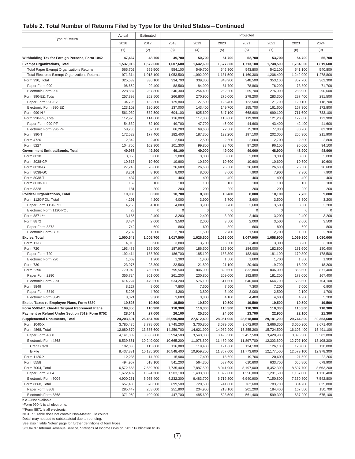#### **Table 2. Total Number of Returns Filed by Type for the United States—Continued**

| Projected<br>Actual<br>Estimated                     |            |            |            |            |            |            |            |            |            |
|------------------------------------------------------|------------|------------|------------|------------|------------|------------|------------|------------|------------|
| Type of Return                                       | 2016       | 2017       | 2018       | 2019       | 2020       | 2021       | 2022       | 2023       | 2024       |
|                                                      | (1)        | (2)        | (3)        | (4)        | (5)        | (6)        | (7)        | (8)        | (9)        |
| Withholding Tax for Foreign Persons, Form 1042       | 47,467     | 48,700     | 49,700     | 50,700     | 51,700     | 52,700     | 53,700     | 54,700     | 55,700     |
| <b>Exempt Organizations, Total</b>                   | 1,537,016  | 1,572,600  | 1,607,600  | 1,642,600  | 1,677,800  | 1,713,100  | 1,748,500  | 1,784,000  | 1,819,600  |
| <b>Total Paper Exempt Organizations Returns</b>      | 565,702    | 559,500    | 554,100    | 549,700    | 546,300    | 543,800    | 542,100    | 541,100    | 540,800    |
| <b>Total Electronic Exempt Organizations Returns</b> | 971,314    | 1,013,100  | 1,053,500  | 1,092,900  | 1,131,500  | 1,169,300  | 1,206,400  | 1,242,900  | 1,278,800  |
| Form 990, Total                                      | 325,539    | 330,100    | 334,700    | 339,300    | 343,900    | 348,500    | 353,100    | 357,700    | 362,300    |
| Paper Form 990                                       | 96,652     | 92,400     | 88,500     | 84,900     | 81,700     | 78,800     | 76,200     | 73,800     | 71,700     |
| Electronic Form 990                                  | 228,887    | 237,800    | 246,300    | 254,400    | 262,200    | 269,700    | 276,900    | 283,900    | 290,600    |
| Form 990-EZ. Total                                   | 257,898    | 262,500    | 266,800    | 270,900    | 275,000    | 279,200    | 283,300    | 287,400    | 291,500    |
| Paper Form 990-EZ                                    | 134,796    | 132,300    | 129,800    | 127,500    | 125,400    | 123,500    | 121,700    | 120,100    | 118,700    |
| Electronic Form 990-EZ                               | 123,102    | 130,200    | 137,000    | 143,400    | 149,700    | 155,700    | 161,600    | 167,300    | 172,800    |
| Form 990-N *                                         | 561,039    | 582,500    | 604,100    | 625,600    | 647,100    | 668,600    | 690,100    | 711,600    | 733,100    |
| Form 990-PF, Total                                   | 112,925    | 114,600    | 116,000    | 117,300    | 118,600    | 119,900    | 121,200    | 122,600    | 123,900    |
| Paper Form 990-PF                                    | 54,639     | 52,100     | 49,700     | 47,700     | 46,000     | 44,600     | 43,400     | 42,400     | 41,600     |
| Electronic Form 990-PF                               | 58,286     | 62,500     | 66,200     | 69,600     | 72,600     | 75,300     | 77,800     | 80,200     | 82,300     |
| Form 990-T                                           | 172,523    | 177,400    | 182,400    | 187,300    | 192,200    | 197,100    | 202,000    | 206,900    | 211,900    |
| Form 4720                                            | 2,342      | 2,400      | 2,500      | 2,500      | 2,600      | 2,600      | 2,700      | 2,800      | 2,800      |
| Form 5227                                            | 104,750    | 102,900    | 101,300    | 99,800     | 98,400     | 97,200     | 96,100     | 95,000     | 94,100     |
| Government Entities/Bonds, Total                     | 49,958     | 49,200     | 49,100     | 49,000     | 49,000     | 49,000     | 48,900     | 48,900     | 48,900     |
| Form 8038                                            | 3,058      | 3,000      | 3,000      | 3,000      | 3,000      | 3,000      | 3,000      | 3,000      | 3,000      |
| Form 8038-CP                                         | 10,617     | 10,600     | 10,600     | 10,600     | 10,600     | 10,600     | 10,600     | 10,600     | 10,600     |
| Form 8038-G                                          | 27,245     | 26,600     | 26,600     | 26,600     | 26,600     | 26,600     | 26,600     | 26,600     | 26,600     |
| Form 8038-GC                                         | 8,261      | 8,100      | 8,000      | 8,000      | 8,000      | 7,900      | 7,900      | 7,900      | 7,900      |
| Form 8038-T                                          | 437        | 400        | 400        | 400        | 400        | 400        | 400        | 400        | 400        |
| Form 8038-TC                                         | 159        | 100        | 100        | 100        | 100        | 100        | 100        | 100        | 100        |
| Form 8328                                            | 181        | 200        | 200        | 200        | 200        | 200        | 200        | 200        | 200        |
| <b>Political Organizations, Total</b>                | 10,930     | 8,500      | 10,700     | 8,300      | 10,400     | 8,000      | 10,100     | 7,700      | 9,800      |
| Form 1120-POL, Total                                 | 4,291      | 4,200      | 4,000      | 3,900      | 3,700      | 3,600      | 3,500      | 3,300      | 3,200      |
| Paper Form 1120-POL                                  | 4,263      | 4,100      | 4,000      | 3,900      | 3,700      | 3,600      | 3,500      | 3,300      | 3,200      |
| Electronic Form 1120-POL                             | 28         | $\Omega$   | $\sqrt{ }$ | $\epsilon$ | $\Omega$   | $\Omega$   | $\Omega$   | $\Omega$   | $\Omega$   |
| Form 8871 **                                         | 3,165      | 2,400      | 3,200      | 2,400      | 3,200      | 2,400      | 3,200      | 2,400      | 3,200      |
| Form 8872                                            | 3,474      | 2,000      | 3,500      | 2,000      | 3,500      | 2,000      | 3,500      | 2,000      | 3,500      |
| Paper Form 8872                                      | 742        | 600        | 800        | 600        | 800        | 600        | 800        | 600        | 800        |
| Electronic Form 8872                                 | 2,732      | 1,500      | 2,700      | 1,500      | 2,700      | 1,500      | 2,700      | 1,500      | 2,700      |
| Excise, Total                                        | 1,000,648  | 1,005,700  | 1,017,500  | 1,026,600  | 1,038,000  | 1,047,900  | 1,058,900  | 1,069,300  | 1,080,000  |
| Form 11-C                                            | 4,015      | 3,900      | 3,800      | 3,700      | 3,600      | 3,400      | 3,300      | 3,200      | 3,100      |
| Form 720                                             | 193,483    | 189,900    | 187,900    | 186,500    | 185,300    | 184,000    | 182,800    | 181,600    | 180,400    |
| Paper Form 720                                       | 192,414    | 188,700    | 186,700    | 185,100    | 183,800    | 182,400    | 181,100    | 179,800    | 178,500    |
| Electronic Form 720                                  | 1,069      | 1,200      | 1,300      | 1,400      | 1,500      | 1,600      | 1,700      | 1,800      | 1,900      |
| Form 730                                             | 23,975     | 23,300     | 22,500     | 21,800     | 21,100     | 20,400     | 19,700     | 18,900     | 18,200     |
| Form 2290                                            | 770,948    | 780,600    | 795,500    | 806,900    | 820,600    | 832,800    | 846,000    | 858,500    | 871,400    |
| Paper Form 2290                                      | 356,724    | 301,000    | 261,200    | 230,800    | 209,000    | 192,800    | 181,200    | 173,000    | 167,400    |
| Electronic Form 2290                                 | 414,224    | 479,600    | 534,200    | 576,100    | 611,600    | 640,000    | 664,700    | 685,500    | 704,100    |
| Form 8849                                            | 8,227      | 8,000      | 7,800      | 7,600      | 7,500      | 7,300      | 7,200      | 7,000      | 6,900      |
| Paper Form 8849                                      | 5,206      | 4,700      | 4,200      | 3,800      | 3,400      | 3,000      | 2,500      | 2,100      | 1,700      |
| Electronic Form 8849                                 | 3,021      | 3,300      | 3,600      | 3,800      | 4,100      | 4,400      | 4,600      | 4,900      | 5,200      |
| Excise Taxes re Employee Plans, Form 5330            | 19,526     | 19,500     | 19,500     | 19,500     | 19,500     | 19,500     | 19,500     | 19,500     | 19,500     |
| Form 5500-EZ, One-Participant Retirement Plans       | 109,356    | 110,300    | 110,300    | 110,300    | 110,300    | 110,300    | 110,300    | 110,300    | 110,300    |
| Payment or Refund Under Section 7519, Form 8752      | 28,041     | 27,000     | 26,100     | 25,300     | 24,500     | 23,700     | 22,900     | 22,100     | 21,300     |
| <b>Supplemental Documents, Total</b>                 | 24,203,601 | 26,464,700 | 26,996,900 | 27,512,400 | 28,051,900 | 28,618,000 | 29,181,200 | 29,744,300 | 30,353,600 |
| Form 1040-X                                          | 3,785,475  | 3,778,600  | 3,745,200  | 3,700,800  | 3,679,500  | 3,672,900  | 3,666,300  | 3,650,200  | 3,671,400  |
| Form 4868, Total                                     | 12,680,870 | 13,885,600 | 14,259,700 | 14,621,900 | 14,982,900 | 15,355,200 | 15,724,500 | 16,103,400 | 16,491,100 |
| Paper Form 4868                                      | 4,141,009  | 3,636,600  | 3,594,500  | 3,543,300  | 3,493,500  | 3,457,500  | 3,420,900  | 3,396,300  | 3,382,800  |
| Electronic Form 4868                                 | 8,539,861  | 10,249,000 | 10,665,200 | 11,078,600 | 11,489,400 | 11,897,700 | 12,303,600 | 12,707,100 | 13,108,300 |
| <b>Credit Card</b>                                   | 102,030    | 113,800    | 116,800    | 119,400    | 121,800    | 124,100    | 126,100    | 128,000    | 130,000    |
| E-File                                               | 8,437,831  | 10,135,200 | 10,548,400 | 10,959,200 | 11,367,600 | 11,773,600 | 12,177,500 | 12,579,100 | 12,978,300 |
| Form 1120-X                                          | 12,235     | 14,200     | 15,900     | 17,400     | 18,600     | 19,700     | 20,600     | 21,500     | 22,200     |
| Form 5558                                            | 494,957    | 518,100    | 541,200    | 564,300    | 587,400    | 610,600    | 633,700    | 656,800    | 679,900    |
| Form 7004, Total                                     | 6,572,658  | 7,589,700  | 7,735,400  | 7,887,500  | 8,041,900  | 8,197,000  | 8,352,300  | 8,507,700  | 8,663,200  |
| Paper Form 7004                                      | 1,672,407  | 1,624,300  | 1,503,100  | 1,403,800  | 1,322,600  | 1,256,000  | 1,201,600  | 1,157,000  | 1,120,400  |
| Electronic Form 7004                                 | 4,900,251  | 5,965,400  | 6,232,300  | 6,483,700  | 6,719,300  | 6,940,900  | 7,150,800  | 7,350,800  | 7,542,800  |
| Form 8868, Total                                     | 657,406    | 678,500    | 699,500    | 720,500    | 741,600    | 762,600    | 783,700    | 804,700    | 825,800    |
| Paper Form 8868                                      | 285,447    | 268,600    | 251,800    | 234,900    | 218,100    | 201,200    | 184,400    | 167,500    | 150,700    |
| Electronic Form 8868                                 | 371,959    | 409,900    | 447,700    | 485,600    | 523,500    | 561,400    | 599,300    | 637,200    | 675,100    |

n.a.—Not available.

\*Form 990-N is all electronic.

\*\*Form 8871 is all electronic.

NOTES: Table does not contain Non-Master File counts.

Detail may not add to subtotal/total due to rounding.

See also "Table Notes" page for further definitions of form types.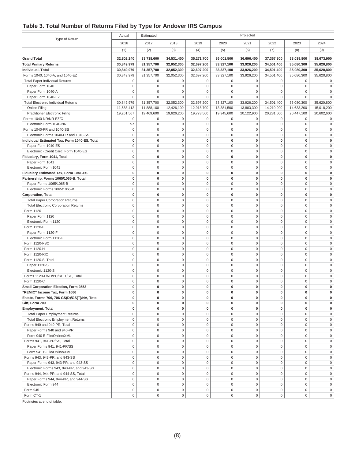#### **Table 3. Total Number of Returns Filed by Type for Andover IRS Campus**

| Projected<br>Actual<br>Estimated              |             |                     |             |                     |                     |             |              |                     |                     |
|-----------------------------------------------|-------------|---------------------|-------------|---------------------|---------------------|-------------|--------------|---------------------|---------------------|
| Type of Return                                | 2016        | 2017                | 2018        | 2019                | 2020                | 2021        | 2022         | 2023                | 2024                |
|                                               | (1)         | (2)                 | (3)         | (4)                 | (5)                 | (6)         | (7)          | (8)                 | (9)                 |
|                                               |             |                     |             |                     |                     |             |              |                     |                     |
| <b>Grand Total</b>                            | 32,802,240  | 33,738,600          | 34,531,400  | 35,271,700          | 36,001,500          | 36,696,400  | 37,367,800   | 38,039,800          | 38,673,900          |
| <b>Total Primary Returns</b>                  | 30,849,979  | 31,357,700          | 32,052,300  | 32,697,200          | 33,327,100          | 33,926,200  | 34,501,400   | 35,080,300          | 35,620,800          |
| Individual, Total                             | 30,849,979  | 31,357,700          | 32,052,300  | 32,697,200          | 33,327,100          | 33,926,200  | 34,501,400   | 35,080,300          | 35,620,800          |
| Forms 1040, 1040-A, and 1040-EZ               | 30,849,979  | 31,357,700          | 32,052,300  | 32,697,200          | 33,327,100          | 33,926,200  | 34,501,400   | 35,080,300          | 35,620,800          |
| <b>Total Paper Individual Returns</b>         | 0           | $\mathbf 0$         | 0           | $\mathbf 0$         | 0                   | $\mathbf 0$ | $\mathbf 0$  | $\mathsf 0$         | 0                   |
| Paper Form 1040                               | $\mathbf 0$ | $\mathbf 0$         | $\mathbf 0$ | $\mathbf 0$         | $\mathbf 0$         | $\mathbf 0$ | $\mathbf 0$  | $\mathbf 0$         | $\mathsf 0$         |
| Paper Form 1040-A                             | $\mathsf 0$ | 0                   | $\mathbf 0$ | 0                   | $\mathbf 0$         | $\mathbf 0$ | $\mathbf 0$  | $\mathsf 0$         | 0                   |
| Paper Form 1040-EZ                            | $\mathbf 0$ | $\mathbf{0}$        | $\mathbf 0$ | 0                   | $\mathbf 0$         | $\mathbf 0$ | $\mathbf 0$  | $\Omega$            | 0                   |
| <b>Total Electronic Individual Returns</b>    | 30,849,979  | 31,357,700          | 32,052,300  | 32,697,200          | 33,327,100          | 33,926,200  | 34,501,400   | 35,080,300          | 35,620,800          |
| Online Filing                                 | 11,588,412  | 11,888,100          | 12,426,100  | 12,918,700          | 13,381,500          | 13,803,300  | 14,219,900   | 14,633,200          | 15,018,200          |
| <b>Practitioner Electronic Filing</b>         | 19,261,567  | 19,469,600          | 19,626,200  | 19,778,500          | 19,945,600          | 20,122,900  | 20,281,500   | 20,447,100          | 20,602,600          |
| Forms 1040-NR/NR-EZ/C                         | $\mathsf 0$ | $\mathbf 0$         | $\mathbf 0$ | $\mathbf 0$         | 0                   | $\mathbf 0$ | $\mathbf 0$  | $\mathsf 0$         | $\mathsf 0$         |
| Electronic Form 1040-NR                       | n.a.        | $\mathbf 0$         | $\mathbf 0$ | 0                   | $\mathbf 0$         | $\mathbf 0$ | $\mathbf 0$  | $\mathbf 0$         | $\mathsf 0$         |
| Forms 1040-PR and 1040-SS                     | $\mathsf 0$ | $\mathbf 0$         | $\mathsf 0$ | $\mathbf 0$         | $\mathbf 0$         | $\mathbf 0$ | $\mathbf 0$  | $\mathbf 0$         | $\mathbf 0$         |
| Electronic Forms 1040-PR and 1040-SS          | $\mathsf 0$ | $\mathbf 0$         | $\mathbf 0$ | 0                   | $\mathbf 0$         | $\mathbf 0$ | $\mathbf 0$  | $\mathbf 0$         | 0                   |
| Individual Estimated Tax, Form 1040-ES, Total | $\bf{0}$    | 0                   | 0           | 0                   | $\pmb{0}$           | $\bf{0}$    | $\mathbf 0$  | 0                   | 0                   |
| Paper Form 1040-ES                            | $\bf 0$     | $\mathbf 0$         | $\mathbf 0$ | 0                   | $\mathbf 0$         | $\mathbf 0$ | $\mathbf 0$  | $\Omega$            | 0                   |
| Electronic (Credit Card) Form 1040-ES         | $\mathbf 0$ | $\mathbf 0$         | $\mathbf 0$ | 0                   | $\mathbf 0$         | $\mathbf 0$ | $\mathbf 0$  | $\Omega$            | 0                   |
| Fiduciary, Form 1041, Total                   | $\pmb{0}$   | $\mathbf 0$         | 0           | $\pmb{0}$           | $\pmb{0}$           | 0           | $\mathbf 0$  | $\mathbf 0$         | 0                   |
| Paper Form 1041                               | $\mathbf 0$ | $\mathbf 0$         | $\mathbf 0$ | 0                   | $\mathbf 0$         | $\mathbf 0$ | $\mathbf 0$  | $\mathbf 0$         | 0                   |
| Electronic Form 1041                          | $\mathbf 0$ | $\mathbf 0$         | $\mathbf 0$ | $\mathsf 0$         | $\mathbf 0$         | $\mathbf 0$ | $\mathbf{0}$ | $\mathbf 0$         | $\mathsf 0$         |
| Fiduciary Estimated Tax, Form 1041-ES         | $\mathbf 0$ | $\pmb{0}$           | $\bf{0}$    | 0                   | $\bf{0}$            | 0           | $\mathbf 0$  | 0                   | 0                   |
| Partnership, Forms 1065/1065-B, Total         | $\pmb{0}$   | $\mathbf 0$         | 0           | $\pmb{0}$           | $\pmb{0}$           | 0           | 0            | 0                   | 0                   |
| Paper Forms 1065/1065-B                       | $\mathbf 0$ | $\mathbf 0$         | $\mathbf 0$ | $\mathsf 0$         | $\bf 0$             | $\mathbf 0$ | $\mathbf 0$  | $\mathbf 0$         | 0                   |
| Electronic Forms 1065/1065-B                  | $\mathbf 0$ | $\mathbf 0$         | $\mathbf 0$ | 0                   | $\mathbf 0$         | $\mathbf 0$ | $\mathbf 0$  | $\Omega$            | 0                   |
| Corporation, Total                            | 0           | $\mathbf 0$         | 0           | $\pmb{0}$           | $\mathbf{0}$        | $\bf{0}$    | $\mathbf 0$  | $\bf{0}$            | 0                   |
| <b>Total Paper Corporation Returns</b>        | $\mathbf 0$ | $\mathbf 0$         | $\mathbf 0$ | $\mathsf 0$         | $\mathbf 0$         | $\mathbf 0$ | $\mathbf 0$  | $\mathbf 0$         | $\mathbf 0$         |
| <b>Total Electronic Corporation Returns</b>   | $\mathbf 0$ | $\mathbf 0$         | $\mathbf 0$ | $\mathsf 0$         | $\mathbf 0$         | $\mathbf 0$ | $\mathbf 0$  | $\mathbf 0$         | 0                   |
| Form 1120                                     | $\mathbf 0$ | $\mathbf 0$         | $\mathbf 0$ | $\mathsf 0$         | $\mathbf 0$         | $\mathbf 0$ | $\mathbf 0$  | $\mathbf 0$         | 0                   |
| Paper Form 1120                               | $\mathbf 0$ | $\mathbf 0$         | $\mathbf 0$ | $\mathsf 0$         | $\mathsf{O}\xspace$ | $\mathbf 0$ | $\mathbf 0$  | $\mathbf 0$         | $\mathsf 0$         |
| Electronic Form 1120                          | $\mathbf 0$ | $\mathbf 0$         | $\mathbf 0$ | 0                   | $\mathbf 0$         | $\mathbf 0$ | $\mathbf 0$  | $\mathbf 0$         | 0                   |
| Form 1120-F                                   | $\mathsf 0$ | $\mathbf 0$         | $\mathbf 0$ | 0                   | $\mathbf 0$         | $\mathbf 0$ | $\mathbf 0$  | $\mathsf 0$         | 0                   |
| Paper Form 1120-F                             | $\mathbf 0$ | $\bf 0$             | $\mathbf 0$ | $\mathsf 0$         | $\mathbf 0$         | $\mathbf 0$ | $\mathbf 0$  | $\mathbf 0$         | 0                   |
| Electronic Form 1120-F                        | $\mathbf 0$ | $\mathbf 0$         | $\mathbf 0$ | 0                   | $\mathbf 0$         | $\mathbf 0$ | $\mathbf 0$  | $\Omega$            | 0                   |
| Form 1120-FSC                                 | $\mathsf 0$ | $\mathbf 0$         | $\mathbf 0$ | 0                   | $\mathbf 0$         | $\mathbf 0$ | $\mathbf 0$  | $\mathbf 0$         | 0                   |
| Form 1120-H                                   | $\mathbf 0$ | $\mathbf 0$         | $\mathbf 0$ | 0                   | $\mathbf 0$         | $\mathbf 0$ | $\mathbf 0$  | $\mathsf 0$         | 0                   |
| Form 1120-RIC                                 | $\mathbf 0$ | $\mathbf 0$         | $\mathbf 0$ | 0                   | $\mathbf 0$         | $\mathbf 0$ | $\mathbf 0$  | $\mathbf 0$         | 0                   |
| Form 1120-S, Total                            | $\mathbf 0$ | $\mathbf 0$         | $\mathbf 0$ | 0                   | $\mathbf 0$         | $\mathbf 0$ | $\mathbf 0$  | $\Omega$            | 0                   |
| Paper 1120-S                                  | $\mathbf 0$ | $\mathbf 0$         | $\mathbf 0$ | $\pmb{0}$           | $\mathbf 0$         | $\mathsf 0$ | $\mathbf 0$  | $\mathbf 0$         | $\mathsf 0$         |
| Electronic 1120-S                             | $\mathbf 0$ | $\mathbf 0$         | $\mathbf 0$ | 0                   | $\mathbf 0$         | $\mathbf 0$ | $\mathbf 0$  | $\mathbf 0$         | 0                   |
| Forms 1120-L/ND/PC/REIT/SF, Total             | $\bf 0$     | $\mathbf 0$         | $\mathbf 0$ | 0                   | $\mathbf 0$         | $\mathbf 0$ | $\mathbf 0$  | $\mathbf 0$         | 0                   |
| Form 1120-C                                   | $\mathbf 0$ | $\mathbf 0$         | $\mathbf 0$ | 0                   | $\mathbf 0$         | $\mathbf 0$ | $\mathbf 0$  | $\Omega$            | 0                   |
| Small Corporation Election, Form 2553         | 0           | $\bf{0}$            | $\bf{0}$    | 0                   | $\bf{0}$            | 0           | $\mathbf{0}$ | $\bf{0}$            | 0                   |
| 'REMIC" Income Tax, Form 1066                 | 0           | 0                   | 0           | 0                   | 0                   | 0           | 0            | 0                   |                     |
| Estate, Forms 706, 706-GS(D)/GS(T)/NA, Total  | 0           | $\pmb{0}$           | 0           | 0                   | $\pmb{0}$           | 0           | $\bf{0}$     | $\pmb{0}$           | 0                   |
| Gift, Form 709                                | 0           | 0                   | 0           | 0                   | $\bf{0}$            | $\bf{0}$    | $\mathbf 0$  | 0                   | 0                   |
| <b>Employment, Total</b>                      | 0           | 0                   | 0           | $\pmb{0}$           | 0                   | $\bf{0}$    | $\bf{0}$     | $\pmb{0}$           | 0                   |
| <b>Total Paper Employment Returns</b>         | 0           | $\mathbf 0$         | $\mathsf 0$ | 0                   | $\mathbf 0$         | $\mathsf 0$ | $\mathbf 0$  | $\mathbf 0$         | 0                   |
| <b>Total Electronic Employment Returns</b>    | $\mathsf 0$ | $\mathbf 0$         | $\mathbf 0$ | 0                   | $\mathbf 0$         | $\mathsf 0$ | $\mathbf 0$  | $\mathsf 0$         | 0                   |
| Forms 940 and 940-PR, Total                   | $\mathsf 0$ | $\mathbf 0$         | $\mathsf 0$ | 0                   | $\mathbf 0$         | $\mathbf 0$ | $\mathbf 0$  | $\mathbf 0$         | 0                   |
| Paper Forms 940 and 940-PR                    | $\mathsf 0$ | $\mathbf 0$         | $\mathsf 0$ | $\mathbf 0$         | $\mathbf 0$         | $\mathsf 0$ | $\mathbf 0$  | $\mathbf 0$         | 0                   |
| Form 940 E-File/Online/XML                    | 0           | $\mathbf 0$         | $\mathsf 0$ | $\mathsf 0$         | $\mathbf 0$         | $\mathsf 0$ | $\mathbf 0$  | $\mathbf 0$         | $\mathsf 0$         |
| Forms 941, 941-PR/SS, Total                   | 0           | $\mathbb O$         | $\mathsf 0$ | $\mathbf 0$         | $\mathsf{O}\xspace$ | $\mathsf 0$ | $\mathbf 0$  | $\mathbf 0$         | $\mathsf 0$         |
| Paper Forms 941, 941-PR/SS                    | 0           | $\mathbf 0$         | $\mathsf 0$ | $\mathsf{O}\xspace$ | $\mathsf{O}\xspace$ | $\mathsf 0$ | $\mathbf 0$  | $\mathbf 0$         | $\mathsf{O}\xspace$ |
| Form 941 E-File/Online/XML                    | 0           | $\mathbf 0$         | $\mathsf 0$ | $\mathbf 0$         | $\mathsf{O}\xspace$ | $\mathbf 0$ | $\mathbf 0$  | $\mathbf 0$         | 0                   |
| Forms 943, 943-PR, and 943-SS                 | $\mathsf 0$ | $\mathsf{O}\xspace$ | $\mathbf 0$ | 0                   | $\mathbf 0$         | $\mathbf 0$ | $\mathbf 0$  | $\mathbf 0$         | $\mathsf 0$         |
| Paper Forms 943, 943-PR, and 943-SS           | 0           | $\mathbf 0$         | $\mathsf 0$ | 0                   | $\mathbf 0$         | $\mathsf 0$ | $\mathbf 0$  | $\mathsf 0$         | 0                   |
| Electronic Forms 943, 943-PR, and 943-SS      | $\mathsf 0$ | $\mathbf 0$         | $\mathbf 0$ | $\mathsf 0$         | $\mathbf 0$         | $\mathbf 0$ | $\mathbf 0$  | $\mathbf 0$         | $\mathsf{O}\xspace$ |
| Forms 944, 944-PR, and 944-SS, Total          | $\mathsf 0$ | $\mathbf 0$         | $\mathbf 0$ | 0                   | $\mathbf 0$         | $\mathsf 0$ | $\mathbf 0$  | $\mathsf 0$         | 0                   |
| Paper Forms 944, 944-PR, and 944-SS           | $\mathsf 0$ | $\mathbf 0$         | $\mathsf 0$ | 0                   | $\mathbf 0$         | $\mathsf 0$ | $\mathbf 0$  | $\mathsf 0$         | $\mathbf 0$         |
| Electronic Form 944                           | 0           | $\mathbf 0$         | $\mathsf 0$ | 0                   | $\mathbf 0$         | $\mathsf 0$ | $\mathbf 0$  | $\mathbf 0$         | $\mathbf 0$         |
| Form 945                                      | 0           | $\mathbb O$         | 0           | 0                   | $\mathsf{O}\xspace$ | $\mathsf 0$ | $\bf 0$      | $\mathbf 0$         | $\mathbf 0$         |
| Form CT-1                                     | $\mathsf 0$ | $\mathsf 0$         | $\mathbf 0$ | 0                   | $\mathsf{O}\xspace$ | $\mathbf 0$ | $\mathsf 0$  | $\mathsf{O}\xspace$ | $\mathsf{O}$        |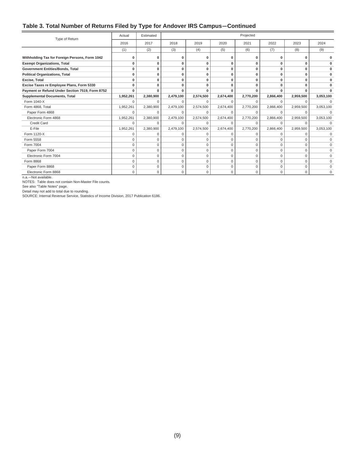#### **Table 3. Total Number of Returns Filed by Type for Andover IRS Campus—Continued**

| Type of Return                                  | Actual      | Estimated |              |             |             | Projected    |              |             |              |
|-------------------------------------------------|-------------|-----------|--------------|-------------|-------------|--------------|--------------|-------------|--------------|
|                                                 | 2016        | 2017      | 2018         | 2019        | 2020        | 2021         | 2022         | 2023        | 2024         |
|                                                 | (1)         | (2)       | (3)          | (4)         | (5)         | (6)          | (7)          | (8)         | (9)          |
| Withholding Tax for Foreign Persons, Form 1042  |             | O         | 0            | O           | O           | 0            | <sup>0</sup> | O           | 0            |
| <b>Exempt Organizations, Total</b>              | 0           | O         | $\mathbf{0}$ | $\mathbf 0$ | 0           | $\bf{0}$     | 0            | 0           | 0            |
| Government Entities/Bonds, Total                | $\bf{0}$    | 0         | $\mathbf{0}$ | $\mathbf 0$ | 0           | $\mathbf{0}$ | 0            | 0           | 0            |
| <b>Political Organizations, Total</b>           | n           | 0         | 0            | O           | 0           | $\mathbf{0}$ | 0            | 0           | 0            |
| <b>Excise, Total</b>                            | O           | $\Omega$  | $\Omega$     | 0           | $\Omega$    | $\mathbf{0}$ | $\Omega$     | $\Omega$    | $\Omega$     |
| Excise Taxes re Employee Plans, Form 5330       | $\bf{0}$    | 0         | $\mathbf{0}$ | 0           | 0           | $\mathbf 0$  | 0            | $\bf{0}$    | $\bf{0}$     |
| Payment or Refund Under Section 7519, Form 8752 | $\bf{0}$    | 0         | $\mathbf{0}$ | 0           | 0           | $\bf{0}$     | 0            | 0           |              |
| <b>Supplemental Documents, Total</b>            | 1,952,261   | 2,380,900 | 2,479,100    | 2,574,500   | 2,674,400   | 2,770,200    | 2,866,400    | 2,959,500   | 3,053,100    |
| Form 1040-X                                     | $\Omega$    | $\Omega$  | $\Omega$     | $\Omega$    | $\Omega$    | $\Omega$     | $\Omega$     | $\Omega$    | $\Omega$     |
| Form 4868, Total                                | 1,952,261   | 2,380,900 | 2,479,100    | 2,574,500   | 2,674,400   | 2,770,200    | 2,866,400    | 2,959,500   | 3,053,100    |
| Paper Form 4868                                 | $\Omega$    | $\Omega$  | $\Omega$     | $\Omega$    | 0           | $\Omega$     | $\Omega$     | $\Omega$    | $\Omega$     |
| Electronic Form 4868                            | 1,952,261   | 2,380,900 | 2,479,100    | 2,574,500   | 2,674,400   | 2,770,200    | 2,866,400    | 2,959,500   | 3,053,100    |
| <b>Credit Card</b>                              | $\Omega$    | 0         | $\Omega$     | $\Omega$    | 0           | $\Omega$     | $\Omega$     | $\Omega$    | $\Omega$     |
| E-File                                          | 1,952,261   | 2,380,900 | 2,479,100    | 2,574,500   | 2,674,400   | 2,770,200    | 2,866,400    | 2,959,500   | 3,053,100    |
| Form 1120-X                                     | $\Omega$    | U         | 0            | 0           | 0           | 0            | $\mathbf 0$  | 0           | $\mathbf 0$  |
| Form 5558                                       | $\Omega$    | $\Omega$  | $\Omega$     | $\Omega$    | $\Omega$    | $\Omega$     | $\Omega$     | $\Omega$    | $\mathbf 0$  |
| Form 7004                                       | $\Omega$    | $\Omega$  | $\Omega$     | $\mathbf 0$ | $\Omega$    | $\mathbf 0$  | 0            | $\Omega$    | $\mathbf 0$  |
| Paper Form 7004                                 | $\Omega$    | $\Omega$  | $\Omega$     | $\Omega$    | $\Omega$    | $\Omega$     | $\Omega$     | $\Omega$    | $\mathbf 0$  |
| Electronic Form 7004                            | $\Omega$    | $\Omega$  | $\Omega$     | $\Omega$    | $\Omega$    | $\Omega$     | $\Omega$     | $\Omega$    | $\Omega$     |
| Form 8868                                       | $\mathbf 0$ | 0         | $\mathbf 0$  | $\mathbf 0$ | 0           | $\mathbf 0$  | $\mathbf 0$  | $\mathbf 0$ | $\mathbf{0}$ |
| Paper Form 8868                                 | $\Omega$    | 0         | $\mathbf 0$  | $\mathbf 0$ | 0           | $\mathbf 0$  | 0            | 0           | $\mathbf{0}$ |
| Electronic Form 8868                            | $\Omega$    | $\Omega$  | $\mathbf 0$  | $\Omega$    | $\mathbf 0$ | $\mathbf 0$  | $\Omega$     | $\Omega$    | $\Omega$     |

n.a.—Not available.

NOTES: Table does not contain Non-Master File counts.

See also "Table Notes" page.

Detail may not add to total due to rounding.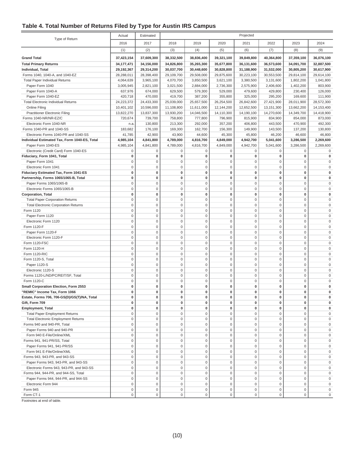#### **Table 4. Total Number of Returns Filed by Type for Austin IRS Campus**

|                                               | Actual       | Projected<br>Estimated |             |                     |                     |             |                     |                     |              |
|-----------------------------------------------|--------------|------------------------|-------------|---------------------|---------------------|-------------|---------------------|---------------------|--------------|
| Type of Return                                | 2016         | 2017                   | 2018        | 2019                | 2020                | 2021        | 2022                | 2023                | 2024         |
|                                               | (1)          | (2)                    | (3)         | (4)                 | (5)                 | (6)         | (7)                 | (8)                 | (9)          |
| <b>Grand Total</b>                            | 37,423,154   | 37,609,300             | 38,332,500  | 38,836,400          | 39,321,100          | 39,849,800  | 40,364,800          | 37,359,100          | 36,076,100   |
| <b>Total Primary Returns</b>                  | 34, 177, 471 | 34,156,000             | 34,826,800  | 35,265,300          | 35,677,800          | 36,131,600  | 36,573,600          | 34,091,700          | 32,887,500   |
| Individual, Total                             | 29,192,367   | 29,314,200             | 30,037,700  | 30,448,600          | 30,828,800          | 31,188,900  | 31,532,000          | 30,805,200          | 30,617,900   |
| Forms 1040, 1040-A, and 1040-EZ               | 28,288,011   | 28,398,400             | 29,109,700  | 29,508,000          | 29,875,600          | 30,223,100  | 30,553,500          | 29,814,100          | 29,614,100   |
| <b>Total Paper Individual Returns</b>         | 4,064,639    | 3,965,100              | 4,070,700   | 3,850,500           | 3,621,100           | 3,380,500   | 3,131,600           | 1,802,200           | 1,041,800    |
| Paper Form 1040                               | 3,005,945    | 2,821,100              | 3,021,500   | 2,884,000           | 2,736,300           | 2,575,900   | 2,406,600           | 1,402,200           | 803,900      |
| Paper Form 1040-A                             | 637,976      | 674,000                | 629,500     | 579,300             | 529,000             | 479,600     | 429,800             | 230,400             | 126,000      |
| Paper Form 1040-EZ                            | 420,718      | 470,000                | 419,700     | 387,200             | 355,800             | 325,000     | 295,200             | 169,600             | 111,900      |
| <b>Total Electronic Individual Returns</b>    | 24,223,372   | 24,433,300             | 25,039,000  | 25,657,500          | 26,254,500          | 26,842,600  | 27,421,900          | 28,011,900          | 28,572,300   |
| Online Filing                                 | 10,401,102   | 10,596,000             | 11,108,800  | 11,611,000          | 12,144,200          | 12,652,500  | 13,151,300          | 13,662,200          | 14,153,400   |
| <b>Practitioner Electronic Filing</b>         | 13,822,270   | 13,837,300             | 13,930,200  | 14,046,500          | 14,110,300          | 14,190,100  | 14,270,600          | 14,349,700          | 14,418,900   |
| Forms 1040-NR/NR-EZ/C                         | 720,674      | 739,700                | 758,800     | 777,800             | 796,900             | 815,900     | 834,900             | 854,000             | 873,000      |
| Electronic Form 1040-NR                       | n.a          | 130,800                | 213,300     | 292,000             | 357,200             | 406,800     | 443,500             | 470,900             | 492,300      |
| Forms 1040-PR and 1040-SS                     | 183,682      | 176,100                | 169,300     | 162,700             | 156,300             | 149,900     | 143,500             | 137,200             | 130,800      |
| Electronic Forms 1040-PR and 1040-SS          | 41,785       | 42,900                 | 43,900      | 44,600              | 45,300              | 45,800      | 46,200              | 46,600              | 46,800       |
| Individual Estimated Tax, Form 1040-ES, Total | 4,985,104    | 4,841,800              | 4,789,000   | 4,816,700           | 4,849,000           | 4,942,700   | 5,041,600           | 3,286,500           | 2,269,600    |
| Paper Form 1040-ES                            | 4,985,104    | 4,841,800              | 4,789,000   | 4,816,700           | 4,849,000           | 4,942,700   | 5,041,600           | 3,286,500           | 2,269,600    |
| Electronic (Credit Card) Form 1040-ES         | $\mathbf 0$  | $\mathbf 0$            | 0           | 0                   | 0                   | $\mathbf 0$ | $\mathbf 0$         | 0                   | 0            |
| Fiduciary, Form 1041, Total                   | 0            | $\pmb{0}$              | $\pmb{0}$   | $\mathbf 0$         | $\bf{0}$            | $\bf{0}$    | $\mathbf 0$         | $\bf{0}$            | $\mathbf{0}$ |
| Paper Form 1041                               | $\mathbf 0$  | $\mathbf 0$            | $\mathbf 0$ | $\mathsf{O}\xspace$ | $\mathsf{O}\xspace$ | $\mathsf 0$ | $\mathbf 0$         | $\mathbf 0$         | $\mathbf 0$  |
| Electronic Form 1041                          | $\mathbf 0$  | $\mathbf 0$            | $\mathbf 0$ | $\mathsf 0$         | $\mathsf 0$         | $\mathbf 0$ | $\mathbf 0$         | $\mathbf 0$         | $\mathbf 0$  |
| Fiduciary Estimated Tax, Form 1041-ES         | $\mathbf 0$  | $\mathbf 0$            | $\pmb{0}$   | $\pmb{0}$           | $\bf{0}$            | $\mathbf 0$ | $\mathbf 0$         | $\bf{0}$            | $\bf{0}$     |
| Partnership, Forms 1065/1065-B, Total         | $\mathbf 0$  | $\pmb{0}$              | $\pmb{0}$   | $\bf{0}$            | $\bf{0}$            | $\bf{0}$    | $\mathbf 0$         | $\bf{0}$            | $\Omega$     |
| Paper Forms 1065/1065-B                       | $\mathbf 0$  | $\mathbf 0$            | $\mathbf 0$ | $\mathsf{O}\xspace$ | $\mathsf{O}\xspace$ | $\mathsf 0$ | $\mathbf 0$         | $\mathbf 0$         | $\Omega$     |
| Electronic Forms 1065/1065-B                  | $\mathbf 0$  | $\mathbf 0$            | $\bf 0$     | $\mathsf{O}\xspace$ | $\mathbf 0$         | $\mathbf 0$ | $\mathbf 0$         | $\mathbf 0$         | $\mathbf 0$  |
| <b>Corporation, Total</b>                     | $\mathbf 0$  | $\mathbf 0$            | $\pmb{0}$   | $\pmb{0}$           | $\bf{0}$            | 0           | $\mathbf 0$         | $\bf{0}$            | $\bf{0}$     |
| <b>Total Paper Corporation Returns</b>        | $\mathbf 0$  | $\mathbf 0$            | $\bf 0$     | $\mathsf 0$         | $\mathbf 0$         | $\mathbf 0$ | $\mathbf 0$         | $\mathbf 0$         | $\Omega$     |
| <b>Total Electronic Corporation Returns</b>   | $\mathbf 0$  | $\mathbf 0$            | $\mathbf 0$ | $\mathsf 0$         | $\mathsf{O}\xspace$ | $\mathbf 0$ | $\mathsf 0$         | $\mathbf 0$         | $\Omega$     |
| Form 1120                                     | $\mathbf 0$  | $\mathbf 0$            | $\mathbf 0$ | $\mathsf{O}\xspace$ | $\mathsf 0$         | $\mathbf 0$ | $\mathbf 0$         | $\mathbf 0$         | $\mathbf 0$  |
| Paper Form 1120                               | $\mathbf{0}$ | $\mathbf 0$            | $\mathbf 0$ | $\mathsf 0$         | $\mathbf 0$         | $\mathbf 0$ | $\mathbf 0$         | $\mathbf 0$         | $\mathbf 0$  |
| Electronic Form 1120                          | $\mathbf 0$  | $\mathbf 0$            | $\mathbf 0$ | $\mathsf{O}\xspace$ | $\mathsf 0$         | $\mathbf 0$ | $\mathbf 0$         | $\mathbf 0$         | $\Omega$     |
| Form 1120-F                                   | $\mathbf 0$  | $\mathbf 0$            | $\mathbf 0$ | $\mathsf 0$         | $\mathsf{O}\xspace$ | $\mathsf 0$ | $\mathsf 0$         | $\mathbf 0$         | $\mathbf 0$  |
| Paper Form 1120-F                             | $\mathbf 0$  | $\mathbf 0$            | $\mathbf 0$ | $\mathsf{O}\xspace$ | $\mathsf{O}\xspace$ | $\mathsf 0$ | $\mathsf 0$         | $\mathbf 0$         | $\Omega$     |
| Electronic Form 1120-F                        | $\mathbf 0$  | $\mathbf 0$            | $\mathbf 0$ | $\mathsf 0$         | $\mathbf 0$         | $\mathbf 0$ | $\mathbf 0$         | $\mathbf 0$         | $\Omega$     |
| Form 1120-FSC                                 | $\mathbf 0$  | $\mathbf 0$            | $\mathbf 0$ | $\mathsf 0$         | $\mathbf 0$         | $\mathbf 0$ | $\mathbf 0$         | $\mathbf 0$         | $\Omega$     |
| Form 1120-H                                   | $\mathbf{0}$ | $\mathbf 0$            | $\mathbf 0$ | $\mathsf 0$         | $\mathbf 0$         | $\mathbf 0$ | $\mathbf 0$         | $\mathbf 0$         | $\Omega$     |
| Form 1120-RIC                                 | $\mathbf 0$  | $\mathbf 0$            | $\mathbf 0$ | $\mathsf 0$         | $\mathsf{O}\xspace$ | $\mathbf 0$ | $\mathbf 0$         | $\mathbf 0$         | $\Omega$     |
| Form 1120-S, Total                            | $\mathsf 0$  | $\mathbf 0$            | $\mathbf 0$ | $\mathsf{O}\xspace$ | $\mathsf 0$         | $\mathbf 0$ | $\mathbf 0$         | $\mathbf 0$         | $\mathbf 0$  |
| Paper 1120-S                                  | $\mathbf 0$  | $\mathbf 0$            | $\mathbf 0$ | $\mathsf 0$         | $\mathbf 0$         | $\mathbf 0$ | $\mathbf 0$         | $\mathbf 0$         | $\mathbf 0$  |
| Electronic 1120-S                             | $\mathbf 0$  | $\mathbf 0$            | $\bf 0$     | $\mathbf 0$         | $\mathsf 0$         | $\mathbf 0$ | $\mathbf 0$         | $\mathbf 0$         | $\Omega$     |
| Forms 1120-L/ND/PC/REIT/SF, Total             | $\mathbf 0$  | $\mathbf 0$            | $\mathbf 0$ | $\mathsf{O}\xspace$ | $\mathsf{O}\xspace$ | $\mathsf 0$ | $\mathsf{O}\xspace$ | $\mathbf 0$         | $\Omega$     |
| Form 1120-C                                   | $\mathbf 0$  | $\mathbf 0$            | $\bf 0$     | $\mathsf 0$         | $\mathbf 0$         | $\mathbf 0$ | $\mathbf 0$         | $\mathbf 0$         | $\mathbf 0$  |
| Small Corporation Election, Form 2553         | 0            | $\mathbf 0$            | $\bf{0}$    | 0                   | 0                   | 0           | 0                   | $\mathbf 0$         | 0            |
| 'REMIC" Income Tax, Form 1066                 | υ            | U                      | υ           | υ                   | υ                   |             |                     |                     |              |
| Estate, Forms 706, 706-GS(D)/GS(T)/NA, Total  | 0            | 0                      | $\pmb{0}$   | 0                   | 0                   | 0           | 0                   | $\bf{0}$            | 0            |
| Gift. Form 709                                | 0            | 0                      | $\pmb{0}$   | 0                   | 0                   | $\mathbf 0$ | 0                   | $\bf{0}$            | 0            |
| <b>Employment, Total</b>                      | $\mathbf 0$  | 0                      | $\pmb{0}$   | $\pmb{0}$           | 0                   | 0           | 0                   | $\bf{0}$            | 0            |
| <b>Total Paper Employment Returns</b>         | $\mathbf 0$  | $\mathsf{O}\xspace$    | $\mathbf 0$ | $\mathsf 0$         | $\mathbf 0$         | $\mathbf 0$ | $\mathbf 0$         | $\mathbf 0$         | 0            |
| <b>Total Electronic Employment Returns</b>    | $\mathsf 0$  | $\mathbf 0$            | $\mathbf 0$ | $\mathsf{O}\xspace$ | $\mathsf{O}\xspace$ | $\mathsf 0$ | $\mathsf 0$         | $\mathbf 0$         | $\mathbf 0$  |
| Forms 940 and 940-PR, Total                   | 0            | 0                      | $\bf 0$     | $\mathsf{O}\xspace$ | $\mathsf{O}\xspace$ | $\mathsf 0$ | 0                   | $\mathbf 0$         | 0            |
| Paper Forms 940 and 940-PR                    | $\mathbf 0$  | $\mathbf 0$            | $\mathbf 0$ | $\mathsf{O}\xspace$ | $\mathbf 0$         | $\mathbf 0$ | $\mathbf 0$         | $\mathbf 0$         | $\mathbf 0$  |
| Form 940 E-File/Online/XML                    | $\mathbf 0$  | $\mathbf 0$            | $\mathbf 0$ | $\mathsf{O}\xspace$ | $\mathsf{O}\xspace$ | $\mathsf 0$ | $\mathbf 0$         | $\mathbf 0$         | $\mathbf 0$  |
| Forms 941, 941-PR/SS, Total                   | $\mathbf 0$  | $\mathbf 0$            | $\mathbf 0$ | $\mathsf{O}\xspace$ | $\mathsf{O}\xspace$ | $\mathsf 0$ | $\mathsf{O}\xspace$ | $\mathbf 0$         | $\mathbf 0$  |
| Paper Forms 941, 941-PR/SS                    | $\mathsf 0$  | $\mathsf{O}\xspace$    | $\mathbf 0$ | $\mathsf 0$         | $\mathsf{O}\xspace$ | $\mathbf 0$ | $\mathbf 0$         | $\mathbf 0$         | $\mathbf 0$  |
| Form 941 E-File/Online/XML                    | $\mathbf 0$  | $\mathsf 0$            | $\mathbf 0$ | $\mathsf 0$         | $\mathsf{O}\xspace$ | $\mathbf 0$ | $\mathbf 0$         | $\mathbf 0$         | $\mathbf 0$  |
| Forms 943, 943-PR, and 943-SS                 | $\mathsf 0$  | $\mathsf 0$            | $\mathbf 0$ | $\mathsf 0$         | $\mathsf 0$         | $\mathsf 0$ | $\mathsf 0$         | $\mathbf 0$         | $\mathbf 0$  |
| Paper Forms 943, 943-PR, and 943-SS           | $\mathbf 0$  | $\mathsf 0$            | $\mathbf 0$ | $\mathsf 0$         | $\mathsf{O}\xspace$ | $\mathbf 0$ | $\mathsf 0$         | $\mathbf 0$         | $\mathbf 0$  |
| Electronic Forms 943, 943-PR, and 943-SS      | $\mathsf 0$  | $\mathbf 0$            | $\mathbf 0$ | $\mathsf 0$         | $\mathsf{O}\xspace$ | $\mathsf 0$ | $\mathsf 0$         | $\mathbf 0$         | $\mathbf 0$  |
| Forms 944, 944-PR, and 944-SS, Total          | 0            | 0                      | $\bf 0$     | $\mathsf 0$         | $\mathsf{O}\xspace$ | $\mathsf 0$ | 0                   | $\mathbf 0$         | $\mathbf 0$  |
| Paper Forms 944, 944-PR, and 944-SS           | $\mathbf 0$  | $\mathbf 0$            | $\mathbf 0$ | $\mathsf 0$         | $\mathsf{O}\xspace$ | $\mathbf 0$ | $\mathbf 0$         | $\mathbf 0$         | $\mathbf 0$  |
| Electronic Form 944                           | $\mathbf 0$  | $\mathsf 0$            | $\mathbf 0$ | $\mathsf 0$         | $\mathsf{O}\xspace$ | $\mathsf 0$ | $\mathbf 0$         | $\mathbf 0$         | 0            |
| Form 945                                      | 0            | $\mathsf 0$            | $\mathbf 0$ | $\mathsf 0$         | $\mathbf 0$         | $\mathsf 0$ | $\mathbf 0$         | 0                   | 0            |
| Form CT-1                                     | 0            | $\mathsf{O}\xspace$    | 0           | 0                   | $\mathsf{O}\xspace$ | $\mathsf 0$ | $\mathsf{O}\xspace$ | $\mathsf{O}\xspace$ | $\mathbf 0$  |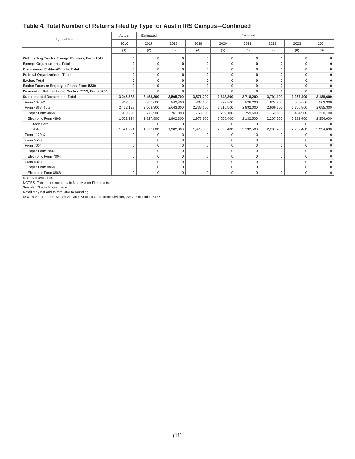#### **Table 4. Total Number of Returns Filed by Type for Austin IRS Campus—Continued**

| Type of Return                                  | Actual    | Estimated   |           |             |                | Projected   |           |           |           |
|-------------------------------------------------|-----------|-------------|-----------|-------------|----------------|-------------|-----------|-----------|-----------|
|                                                 | 2016      | 2017        | 2018      | 2019        | 2020           | 2021        | 2022      | 2023      | 2024      |
|                                                 | (1)       | (2)         | (3)       | (4)         | (5)            | (6)         | (7)       | (8)       | (9)       |
| Withholding Tax for Foreign Persons, Form 1042  | O         | $\bf{0}$    | $\Omega$  | O           | $\Omega$       |             |           |           |           |
| <b>Exempt Organizations, Total</b>              | O         | $\bf{0}$    | O         | O           | 0              | 0           |           | n         |           |
| Government Entities/Bonds, Total                | 0         | $\mathbf 0$ | 0         | 0           | $\overline{0}$ | 0           | 0         | $\Omega$  | $\Omega$  |
| <b>Political Organizations, Total</b>           | O         | $\bf{0}$    | 0         | 0           | 0              | 0           | O         | O         | $\Omega$  |
| Excise, Total                                   | $\Omega$  | $\bf{0}$    | 0         | $\Omega$    | 0              | 0           |           |           |           |
| Excise Taxes re Employee Plans, Form 5330       | O         | $\bf{0}$    | $\Omega$  | $\Omega$    | $\bf{0}$       | O           |           | n         |           |
| Payment or Refund Under Section 7519, Form 8752 | n         |             |           |             | ŋ              |             |           |           |           |
| <b>Supplemental Documents, Total</b>            | 3,245,682 | 3,453,300   | 3,505,700 | 3,571,200   | 3,643,300      | 3,718,200   | 3,791,100 | 3,267,400 | 3,188,600 |
| Form 1040-X                                     | 823,555   | 850,000     | 842,400   | 832,600     | 827.800        | 826.200     | 824.800   | 500.600   | 503,300   |
| Form 4868, Total                                | 2,422,128 | 2,603,300   | 2,663,300 | 2,738,600   | 2,815,500      | 2,892,000   | 2,966,300 | 2,766,800 | 2,685,300 |
| Paper Form 4868                                 | 900,903   | 775,500     | 761,000   | 760,300     | 759,100        | 759,600     | 759,100   | 484,500   | 330,700   |
| Electronic Form 4868                            | 1,521,224 | 1,827,800   | 1,902,300 | 1,978,300   | 2,056,400      | 2,132,500   | 2,207,200 | 2,282,400 | 2,354,600 |
| <b>Credit Card</b>                              | 0         | $\Omega$    | $\Omega$  | $\Omega$    | $\Omega$       | $\Omega$    | $\Omega$  | $\Omega$  |           |
| E-File                                          | 1,521,224 | 1,827,800   | 1,902,300 | 1,978,300   | 2,056,400      | 2,132,500   | 2,207,200 | 2,282,400 | 2,354,600 |
| Form 1120-X                                     | $\Omega$  | $\Omega$    | $\Omega$  | $\Omega$    | $\Omega$       | C           | $\Omega$  | $\Omega$  |           |
| Form 5558                                       | $\Omega$  | $\Omega$    | $\Omega$  |             | $\Omega$       |             |           |           |           |
| Form 7004                                       | $\Omega$  | $\Omega$    | $\Omega$  | $\Omega$    | $\Omega$       | $\Omega$    | $\Omega$  | $\Omega$  | $\Omega$  |
| Paper Form 7004                                 | 0         | $\mathbf 0$ | 0         | $\Omega$    | $\Omega$       | $\Omega$    | $\Omega$  | $\Omega$  |           |
| Electronic Form 7004                            | $\Omega$  | $\Omega$    | $\Omega$  | $\Omega$    | $\Omega$       | $\Omega$    | $\Omega$  | $\Omega$  | $\Omega$  |
| Form 8868                                       | 0         | $\mathbf 0$ | $\Omega$  | $\Omega$    | $\Omega$       | $\Omega$    | $\Omega$  | $\Omega$  | $\Omega$  |
| Paper Form 8868                                 | 0         | $\mathbf 0$ | 0         | $\Omega$    | 0              | $\Omega$    | $\Omega$  | $\Omega$  | $\Omega$  |
| Electronic Form 8868                            | 0         | $\mathbf 0$ | 0         | $\mathbf 0$ | 0              | $\mathbf 0$ | 0         | $\Omega$  | $\Omega$  |

n.a.—Not available.

NOTES: Table does not contain Non-Master File counts.

See also "Table Notes" page.

Detail may not add to total due to rounding.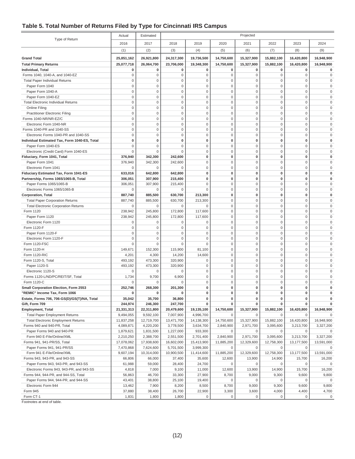#### **Table 5. Total Number of Returns Filed by Type for Cincinnati IRS Campus**

|                                               | Actual             | Estimated          |                    |                   |                                    | Projected              |                            |                            |                      |
|-----------------------------------------------|--------------------|--------------------|--------------------|-------------------|------------------------------------|------------------------|----------------------------|----------------------------|----------------------|
| Type of Return                                | 2016               | 2017               | 2018               | 2019              | 2020                               | 2021                   | 2022                       | 2023                       | 2024                 |
|                                               | (1)                | (2)                | (3)                | (4)               | (5)                                | (6)                    | (7)                        | (8)                        | (9)                  |
| <b>Grand Total</b>                            | 25,851,162         | 26,921,800         | 24,317,300         | 19,736,500        | 14,750,600                         | 15,327,900             | 15,882,100                 | 16,420,800                 | 16,948,900           |
| <b>Total Primary Returns</b>                  | 25,077,718         | 26,064,700         | 23,706,000         | 19,348,300        | 14,750,600                         | 15,327,900             | 15,882,100                 | 16,420,800                 | 16,948,900           |
| <b>Individual, Total</b>                      | 0                  | 0                  | $\pmb{0}$          | 0                 | 0                                  | 0                      | 0                          | $\bf{0}$                   | 0                    |
| Forms 1040, 1040-A, and 1040-EZ               | $\mathbf 0$        | $\mathbf 0$        | $\mathbf 0$        | $\mathbf 0$       | $\mathbf 0$                        | $\mathbf 0$            | $\mathbf 0$                | $\mathbf{0}$               | 0                    |
| <b>Total Paper Individual Returns</b>         | $\mathbf 0$        | $\mathbf 0$        | $\mathbf 0$        | $\mathbf 0$       | $\mathsf{O}\xspace$                | $\mathbf 0$            | $\mathbf 0$                | $\mathbf 0$                | $\Omega$             |
| Paper Form 1040                               | $\mathsf 0$        | $\mathbf 0$        | $\mathbf 0$        | 0                 | $\mathsf{O}\xspace$                | 0                      | $\mathbf 0$                | $\mathbf 0$                | $\Omega$             |
| Paper Form 1040-A                             | $\mathbf 0$        | $\mathbf 0$        | $\mathbf 0$        | $\mathsf 0$       | $\mathsf{O}\xspace$                | $\mathbf 0$            | $\mathbf 0$                | $\mathbf 0$                | $\Omega$             |
| Paper Form 1040-EZ                            | $\mathbf 0$        | $\mathbf 0$        | $\mathbf 0$        | $\mathbf 0$       | $\mathbf 0$                        | 0                      | $\mathbf 0$                | $\mathbf 0$                |                      |
| <b>Total Electronic Individual Returns</b>    | $\mathbf 0$        | $\mathbf 0$        | $\mathbf 0$        | $\bf 0$           | $\mathbf 0$                        | $\mathbf 0$            | $\mathbf 0$                | $\mathbf 0$                | $\Omega$             |
| Online Filing                                 | $\mathsf 0$        | $\mathbf 0$        | $\mathbf 0$        | $\bf 0$           | $\mathsf{O}\xspace$                | $\bf 0$                | $\mathbf 0$                | $\mathbf 0$                | $\Omega$             |
| <b>Practitioner Electronic Filing</b>         | $\mathbf 0$        | $\mathbf 0$        | $\mathbf 0$        | 0                 | $\mathsf 0$                        | $\mathbf 0$            | $\mathbf 0$                | $\mathbf 0$                | $\Omega$             |
| Forms 1040-NR/NR-EZ/C                         | $\mathbf 0$        | $\mathbf 0$        | $\mathbf 0$        | $\bf 0$           | $\mathsf 0$                        | $\mathbf 0$            | $\mathbf 0$                | $\mathbf 0$                | $\Omega$             |
| Electronic Form 1040-NR                       | $\mathsf 0$        | $\mathbf 0$        | $\mathbf 0$        | $\bf 0$           | $\mathsf{O}\xspace$                | $\mathbf 0$            | $\mathbf 0$                | $\mathbf 0$                | $\Omega$             |
| Forms 1040-PR and 1040-SS                     | $\mathsf 0$        | $\mathbf 0$        | $\mathbf 0$        | $\bf 0$           | $\mathsf{O}\xspace$                | $\mathbf 0$            | $\mathsf{O}\xspace$        | $\mathbf 0$                | $\Omega$             |
| Electronic Forms 1040-PR and 1040-SS          | $\mathbf 0$        | $\mathbf 0$        | $\mathbf 0$        | $\mathbf 0$       | $\mathbf 0$                        | 0                      | $\mathbf 0$                | $\mathbf 0$                |                      |
| Individual Estimated Tax, Form 1040-ES, Total | 0                  | $\mathbf 0$        | $\mathbf{0}$       | $\bf{0}$          | $\mathbf 0$                        | 0                      | 0                          | $\mathbf{0}$               | $\Omega$             |
| Paper Form 1040-ES                            | $\mathsf 0$        | $\mathbf 0$        | $\mathbf 0$        | $\bf 0$           | $\mathsf{O}\xspace$                | $\mathbf 0$            | $\mathbf 0$                | $\mathbf 0$                | $\Omega$             |
| Electronic (Credit Card) Form 1040-ES         | $\mathbf 0$        | $\mathbf 0$        | $\Omega$           | 0                 | $\mathsf 0$                        | $\mathbf 0$            | $\mathbf 0$                | $\mathbf 0$                | $\Omega$             |
| Fiduciary, Form 1041, Total                   | 376,940            | 342,300            | 242,600            | $\pmb{0}$         | $\bf{0}$                           | $\bf{0}$               | $\mathbf 0$                | $\mathbf 0$                |                      |
| Paper Form 1041                               | 376,940            | 342,300            | 242,600            | $\bf 0$           | $\mathsf{O}\xspace$                | $\mathbf 0$            | $\mathbf 0$                | $\mathbf 0$                | $\Omega$             |
| Electronic Form 1041                          | $\Omega$           | $\mathbf 0$        | $\Omega$           | $\bf 0$           | $\mathsf{O}\xspace$                | $\mathbf 0$            | $\mathsf{O}\xspace$        | $\mathbf 0$                | $\Omega$             |
| Fiduciary Estimated Tax, Form 1041-ES         | 633,016            | 642,800            | 642,800            | 0                 | 0                                  | 0                      | $\bf{0}$                   | $\mathbf 0$                | $\Omega$             |
| Partnership, Forms 1065/1065-B, Total         | 306,051            | 307,900            | 215,400            | 0                 | $\mathbf 0$                        | 0                      | $\bf{0}$                   | $\mathbf 0$                |                      |
| Paper Forms 1065/1065-B                       | 306,051            | 307,900            | 215,400            | $\bf 0$           | $\mathbf 0$                        | $\mathbf 0$            | $\mathbf 0$                | $\mathbf 0$                | $\Omega$             |
| Electronic Forms 1065/1065-B                  | 0                  | $\mathbf 0$        | $\Omega$           | $\mathbf 0$       | $\mathbf 0$                        | $\mathbf 0$            | $\mathbf 0$                | $\mathbf{0}$               | $\Omega$             |
| <b>Corporation</b> , Total                    | 887,740            | 885,500            | 630,700            | 213,300           | 0                                  | $\bf{0}$               | $\mathbf 0$                | $\mathbf 0$                | $\Omega$             |
| <b>Total Paper Corporation Returns</b>        | 887,740            | 885,500            | 630,700            | 213,300           | $\mathsf{O}\xspace$                | $\mathbf 0$            | $\mathbf 0$                | $\mathbf 0$                | $\Omega$             |
| <b>Total Electronic Corporation Returns</b>   | 0                  | $\mathbf 0$        | 0                  | 0                 | $\mathsf{O}\xspace$                | $\mathbf 0$            | $\mathbf 0$                | $\mathbf 0$                | $\Omega$             |
| Form 1120                                     | 238,942            | 245,800            | 172,800            | 117,600           | $\mathsf{O}\xspace$                | 0                      | $\mathbf 0$                | $\mathbf 0$                | $\Omega$             |
| Paper Form 1120                               | 238,942            | 245,800            | 172,800            | 117,600           | $\mathbf 0$                        | 0                      | $\mathbf 0$                | $\mathbf 0$                | $\Omega$             |
| Electronic Form 1120                          | $\mathbf 0$        | 0                  | $\mathbf 0$        | $\mathbf 0$       | $\mathbf 0$                        | $\mathbf 0$            | $\mathbf 0$                | $\mathbf 0$                | $\Omega$             |
| Form 1120-F                                   | $\mathsf 0$        | $\mathbf 0$        | $\bf 0$            | $\bf 0$           | $\mathsf{O}\xspace$                | $\mathbf 0$            | $\mathbf 0$                | $\mathbf 0$                | $\Omega$             |
| Paper Form 1120-F                             | $\mathbf 0$        | $\mathbf 0$        | $\mathbf 0$        | $\bf 0$           | $\mathsf 0$                        | $\mathbf 0$            | $\mathbf 0$                | $\mathbf{0}$               | $\Omega$             |
| Electronic Form 1120-F                        | $\mathbf 0$        | $\mathbf 0$        | $\Omega$           | 0                 | $\mathbf 0$                        | $\mathbf 0$            | $\mathbf 0$                | $\mathbf 0$                | $\Omega$             |
| Form 1120-FSC                                 | $\mathbf 0$        | $\mathbf 0$        | $\Omega$           | $\mathbf 0$       | $\mathsf{O}\xspace$                | $\mathbf 0$            | $\mathbf 0$                | $\mathbf{0}$               | $\Omega$             |
| Form 1120-H                                   | 149,671            | 152,300            | 115,900            | 81,100            | $\mathsf{O}\xspace$                | $\bf 0$<br>$\mathbf 0$ | $\mathbf 0$<br>$\mathbf 0$ | $\mathbf 0$<br>$\mathbf 0$ | $\Omega$<br>$\Omega$ |
| Form 1120-RIC                                 | 4,201              | 4,300              | 14,200             | 14,600<br>$\bf 0$ | $\mathsf{O}\xspace$<br>$\mathbf 0$ | 0                      | $\mathbf 0$                | $\mathbf 0$                |                      |
| Form 1120-S, Total<br>Paper 1120-S            | 493,192<br>493,192 | 473,300<br>473,300 | 320,900<br>320,900 | $\mathbf 0$       | $\mathbf 0$                        | 0                      | $\mathbf 0$                | $\mathbf 0$                | $\Omega$             |
| Electronic 1120-S                             | 0                  | $\mathbf 0$        | $\mathbf 0$        | $\mathbf 0$       | $\mathsf{O}\xspace$                | $\bf 0$                | $\mathbf 0$                | $\mathbf{0}$               | $\Omega$             |
| Forms 1120-L/ND/PC/REIT/SF, Total             | 1,734              | 9,700              | 6,900              | 0                 | $\mathsf 0$                        | $\mathbf 0$            | $\mathbf 0$                | $\mathbf 0$                | $\Omega$             |
| Form 1120-C                                   | $\Omega$           | $\mathbf 0$        | $\Omega$           | $\mathbf 0$       | $\mathsf{O}\xspace$                | $\mathbf 0$            | $\mathbf 0$                | $\mathbf{0}$               | $\Omega$             |
| Small Corporation Election, Form 2553         | 252,746            | 268,300            | 201,300            | 0                 | $\bf{0}$                           | 0                      | 0                          | $\Omega$                   | 0                    |
| "REMIC" Income Tax, Form 1066                 | $\pmb{0}$          | 0                  | 0                  | $\pmb{0}$         | 0                                  | 0                      | 0                          | $\mathbf 0$                | $\bf{0}$             |
| Estate, Forms 706, 706-GS(D)/GS(T)/NA, Total  | 35,042             | 35,700             | 36,800             | $\pmb{0}$         | $\mathbf 0$                        | 0                      | $\mathbf 0$                | $\mathbf 0$                | 0                    |
| Gift. Form 709                                | 244,974            | 246,300            | 247,700            | 0                 | 0                                  | 0                      | 0                          | 0                          | 0                    |
| <b>Employment, Total</b>                      | 21,331,313         | 22,311,800         | 20,479,600         | 19,135,100        | 14,750,600                         | 15,327,900             | 15,882,100                 | 16,420,800                 | 16,948,900           |
| <b>Total Paper Employment Returns</b>         | 9,494,055          | 9,592,100          | 7,007,900          | 4,996,700         | 0                                  | $\mathbf 0$            | $\mathbf 0$                | 0                          | 0                    |
| <b>Total Electronic Employment Returns</b>    | 11,837,258         | 12,719,700         | 13,471,700         | 14,138,300        | 14,750,600                         | 15,327,900             | 15,882,100                 | 16,420,800                 | 16,948,900           |
| Forms 940 and 940-PR, Total                   | 4,089,871          | 4,220,200          | 3,778,500          | 3,634,700         | 2,840,900                          | 2,971,700              | 3,095,600                  | 3,213,700                  | 3,327,200            |
| Paper Forms 940 and 940-PR                    | 1,879,621          | 1,831,500          | 1,227,000          | 933,300           | 0                                  | 0                      | 0                          | 0                          | 0                    |
| Form 940 E-File/Online/XML                    | 2,210,250          | 2,388,700          | 2,551,500          | 2,701,400         | 2,840,900                          | 2,971,700              | 3,095,600                  | 3,213,700                  | 3,327,200            |
| Forms 941, 941-PR/SS, Total                   | 17,078,062         | 17,938,600         | 16,602,000         | 15,413,900        | 11,885,200                         | 12,329,600             | 12,758,300                 | 13,177,500                 | 13,591,000           |
| Paper Forms 941, 941-PR/SS                    | 7,470,868          | 7,624,600          | 5,701,500          | 3,999,300         | 0                                  | 0                      | 0                          | 0                          | 0                    |
| Form 941 E-File/Online/XML                    | 9,607,194          | 10,314,000         | 10,900,500         | 11,414,600        | 11,885,200                         | 12,329,600             | 12,758,300                 | 13,177,500                 | 13,591,000           |
| Forms 943, 943-PR, and 943-SS                 | 66,806             | 66,000             | 37,400             | 35,600            | 12,600                             | 13,900                 | 14,900                     | 15,700                     | 16,200               |
| Paper Forms 943, 943-PR, and 943-SS           | 61,988             | 59,000             | 28,400             | 24,700            | $\mathsf{O}\xspace$                | $\mathbf 0$            | $\mathbf 0$                | $\mathbf 0$                | $\mathbf 0$          |
| Electronic Forms 943, 943-PR, and 943-SS      | 4,818              | 7,000              | 9,100              | 11,000            | 12,600                             | 13,900                 | 14,900                     | 15,700                     | 16,200               |
| Forms 944, 944-PR, and 944-SS, Total          | 56,863             | 46,700             | 33,300             | 27,900            | 8,700                              | 9,000                  | 9,300                      | 9,600                      | 9,800                |
| Paper Forms 944, 944-PR, and 944-SS           | 43,401             | 38,800             | 25,100             | 19,400            | 0                                  | 0                      | 0                          | 0                          | 0                    |
| Electronic Form 944                           | 13,462             | 7,900              | 8,200              | 8,500             | 8,700                              | 9,000                  | 9,300                      | 9,600                      | 9,800                |
| Form 945                                      | 37,880             | 38,400             | 26,700             | 22,900            | 3,300                              | 3,600                  | 4,000                      | 4,400                      | 4,700                |
| Form CT-1                                     | 1,831              | 1,800              | 1,800              | $\mathbf 0$       | 0                                  | $\mathsf 0$            | $\mathsf{O}\xspace$        | $\mathsf{O}\xspace$        | 0                    |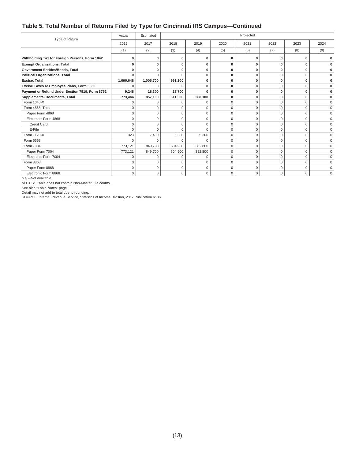#### **Table 5. Total Number of Returns Filed by Type for Cincinnati IRS Campus—Continued**

| Type of Return                                  | Actual    | Estimated   |             |              |          | Projected    |             |             |             |
|-------------------------------------------------|-----------|-------------|-------------|--------------|----------|--------------|-------------|-------------|-------------|
|                                                 | 2016      | 2017        | 2018        | 2019         | 2020     | 2021         | 2022        | 2023        | 2024        |
|                                                 | (1)       | (2)         | (3)         | (4)          | (5)      | (6)          | (7)         | (8)         | (9)         |
| Withholding Tax for Foreign Persons, Form 1042  |           | ŋ           | 0           | $\Omega$     | O        | $\bf{0}$     | O           | n           |             |
| <b>Exempt Organizations, Total</b>              |           | ŋ           | $\mathbf 0$ | $\mathbf{0}$ | $\Omega$ | $\mathbf{0}$ | O           | O           |             |
| <b>Government Entities/Bonds, Total</b>         |           | $\Omega$    | $\bf{0}$    | 0            | 0        | $\mathbf{0}$ | 0           | 0           |             |
| <b>Political Organizations, Total</b>           |           | ŋ           | $\Omega$    | 0            | 0        | $\bf{0}$     | 0           | O           |             |
| Excise, Total                                   | 1,000,648 | 1,005,700   | 991,200     | 0            | $\Omega$ | $\bf{0}$     | 0           | $\Omega$    | $\bf{0}$    |
| Excise Taxes re Employee Plans, Form 5330       |           |             | n           | 0            | 0        | $\mathbf 0$  | $\Omega$    | 0           | 0           |
| Payment or Refund Under Section 7519, Form 8752 | 9,248     | 18,300      | 17,700      | $\Omega$     | 0        | $\mathbf 0$  | 0           | 0           | $\bf{0}$    |
| <b>Supplemental Documents, Total</b>            | 773,444   | 857,100     | 611,300     | 388,100      | 0        | $\mathbf 0$  | 0           | 0           |             |
| Form 1040-X                                     |           |             | O           | $\Omega$     | 0        | $\mathbf 0$  | 0           | $\Omega$    | $\Omega$    |
| Form 4868, Total                                | U         | $\Omega$    | $\mathbf 0$ | $\Omega$     | $\Omega$ | $\mathbf 0$  | 0           | $\Omega$    | $\mathbf 0$ |
| Paper Form 4868                                 | $\Omega$  | $\Omega$    | $\mathbf 0$ | $\mathbf 0$  | $\Omega$ | $\mathbf 0$  | 0           | $\Omega$    | $\mathbf 0$ |
| Electronic Form 4868                            | U         | U           | $\Omega$    | $\Omega$     | $\Omega$ | $\mathbf{0}$ | $\Omega$    | O           | $\mathbf 0$ |
| <b>Credit Card</b>                              | $\Omega$  | $\Omega$    | $\Omega$    | $\Omega$     | $\Omega$ | $\mathbf 0$  | $\mathbf 0$ | $\Omega$    | $\Omega$    |
| E-File                                          | $\Omega$  | $\Omega$    | $\Omega$    | $\Omega$     | 0        | $\mathbf 0$  | $\mathbf 0$ | $\Omega$    | $\Omega$    |
| Form 1120-X                                     | 323       | 7,400       | 6,500       | 5,300        | 0        | $\mathbf 0$  | $\mathbf 0$ | $\mathbf 0$ | $\Omega$    |
| Form 5558                                       | $\Omega$  | U           | $\Omega$    | C            | $\Omega$ | $\mathbf 0$  | 0           | $\Omega$    | $\mathbf 0$ |
| Form 7004                                       | 773,121   | 849,700     | 604,900     | 382,800      | $\Omega$ | $\mathbf{0}$ | $\Omega$    | $\Omega$    | $\mathbf 0$ |
| Paper Form 7004                                 | 773,121   | 849,700     | 604,900     | 382,800      | 0        | $\mathbf 0$  | 0           | $\Omega$    | $\Omega$    |
| Electronic Form 7004                            | n         | $\cap$      | $\Omega$    | $\Omega$     | $\Omega$ | $\mathbf 0$  | 0           | $\Omega$    | $\Omega$    |
| Form 8868                                       | $\Omega$  | $\mathbf 0$ | $\mathbf 0$ | $\mathbf 0$  | 0        | $\mathbf 0$  | $\mathbf 0$ | 0           | $\Omega$    |
| Paper Form 8868                                 | O         | $\Omega$    | $\mathbf 0$ | $\mathbf 0$  | 0        | $\mathbf 0$  | 0           | $\Omega$    | $\Omega$    |
| Electronic Form 8868                            | $\Omega$  | $\mathbf 0$ | $\mathbf 0$ | 0            | 0        | $\mathbf 0$  | 0           | 0           | $\Omega$    |

n.a.—Not available.

NOTES: Table does not contain Non-Master File counts.

See also "Table Notes" page.

Detail may not add to total due to rounding.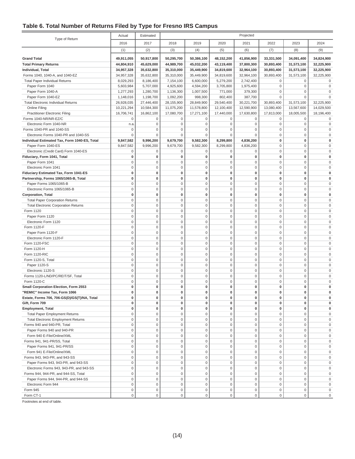#### **Table 6. Total Number of Returns Filed by Type for Fresno IRS Campus**

|                                               | Actual              | Estimated   | Projected        |                     |                     |                     |                     |                     |                     |
|-----------------------------------------------|---------------------|-------------|------------------|---------------------|---------------------|---------------------|---------------------|---------------------|---------------------|
| Type of Return                                | 2016                | 2017        | 2018             | 2019                | 2020                | 2021                | 2022                | 2023                | 2024                |
|                                               | (1)                 | (2)         | (3)              | (4)                 | (5)                 | (6)                 | (7)                 | (8)                 | (9)                 |
| <b>Grand Total</b>                            | 49,911,055          | 50,917,800  | 50,295,700       | 50,386,100          | 48,152,200          | 41,856,900          | 33,331,500          | 34,091,400          | 34,824,900          |
| <b>Total Primary Returns</b>                  | 44,804,910          | 45,629,000  | 44,989,700       | 45,032,200          | 43,119,400          | 37,800,300          | 30,893,400          | 31,573,100          | 32,225,900          |
| <b>Individual, Total</b>                      | 34,957,328          | 35,632,800  | 35,310,000       | 35,449,900          | 34,819,600          | 32,964,100          | 30,893,400          | 31,573,100          | 32,225,900          |
| Forms 1040, 1040-A, and 1040-EZ               | 34,957,328          |             | 35,310,000       | 35,449,900          | 34,819,600          | 32,964,100          |                     |                     |                     |
|                                               |                     | 35,632,800  |                  |                     |                     |                     | 30,893,400          | 31,573,100          | 32,225,900          |
| <b>Total Paper Individual Returns</b>         | 8,029,293           | 8,186,400   | 7,154,100        | 6,600,000           | 5,279,200           | 2,742,400           | 0                   | $\mathbf 0$         | 0                   |
| Paper Form 1040                               | 5,603,984           | 5,707,000   | 4,925,600        | 4,594,200           | 3,705,800           | 1,975,400           | $\mathbf 0$         | $\mathbf 0$         | $\Omega$            |
| Paper Form 1040-A                             | 1,277,293           | 1,280,700   | 1,136,300        | 1,007,500           | 771,000             | 379,300             | $\mathbf 0$         | $\mathbf 0$         | $\Omega$            |
| Paper Form 1040-EZ                            | 1,148,016           | 1,198,700   | 1,092,200        | 998,300             | 802,400             | 387,700             | $\mathbf 0$         | $\mathbf 0$         | $\Omega$            |
| <b>Total Electronic Individual Returns</b>    | 26,928,035          | 27,446,400  | 28,155,900       | 28,849,900          | 29,540,400          | 30,221,700          | 30,893,400          | 31,573,100          | 32,225,900          |
| Online Filing                                 | 10,221,294          | 10,584,300  | 11,075,200       | 11,578,800          | 12,100,400          | 12,590,900          | 13,080,400          | 13,567,600          | 14,029,500          |
| <b>Practitioner Electronic Filing</b>         | 16,706,741          | 16,862,100  | 17,080,700       | 17,271,100          | 17,440,000          | 17,630,800          | 17,813,000          | 18,005,500          | 18,196,400          |
| Forms 1040-NR/NR-EZ/C                         | $\mathbf 0$         | 0           | 0                | $\mathbf 0$         | 0                   | $\mathbf 0$         | 0                   | $\mathbf 0$         | 0                   |
| Electronic Form 1040-NR                       | n.a.                | $\mathbf 0$ | $\mathsf 0$      | $\mathbf 0$         | $\mathbf 0$         | $\mathbf 0$         | $\mathsf 0$         | $\mathbf 0$         | $\mathbf 0$         |
| Forms 1040-PR and 1040-SS                     | $\mathsf 0$         | $\mathbf 0$ | $\mathbf 0$      | $\mathsf 0$         | $\mathbf 0$         | $\mathbf 0$         | $\mathsf 0$         | $\mathbf 0$         | $\mathbf 0$         |
| Electronic Forms 1040-PR and 1040-SS          | $\bf 0$             | $\mathbf 0$ | $\mathbf 0$      | 0                   | $\mathbf 0$         | $\Omega$            | $\mathbf 0$         | $\mathbf 0$         | $\Omega$            |
| Individual Estimated Tax, Form 1040-ES, Total | 9,847,582           | 9,996,200   | 9,679,700        | 9,582,300           | 8,299,800           | 4,836,200           | 0                   | $\mathbf 0$         | $\mathbf 0$         |
| Paper Form 1040-ES                            | 9,847,582           | 9,996,200   | 9,679,700        | 9,582,300           | 8,299,800           | 4,836,200           | $\mathbf 0$         | $\mathbf 0$         | $\Omega$            |
| Electronic (Credit Card) Form 1040-ES         | $\mathsf 0$         | $\bf 0$     | $\mathbf 0$      | $\mathbf 0$         | $\mathsf 0$         | $\mathbf 0$         | $\mathbf 0$         | $\mathbf{0}$        | $\mathbf 0$         |
| Fiduciary, Form 1041, Total                   | $\bf{0}$            | 0           | 0                | $\pmb{0}$           | 0                   | $\bf{0}$            | $\mathbf 0$         | $\mathbf{0}$        | $\Omega$            |
| Paper Form 1041                               | $\mathbf 0$         | $\mathbf 0$ | $\mathsf 0$      | $\mathbf 0$         | $\mathbf 0$         | $\mathbf 0$         | $\mathbf 0$         | $\mathbf 0$         | $\Omega$            |
| Electronic Form 1041                          | $\mathbf 0$         | $\mathbf 0$ | $\mathbf 0$      | $\mathbf 0$         | $\mathsf 0$         | $\mathbf 0$         | $\mathbf 0$         | $\mathbf 0$         | $\mathbf 0$         |
|                                               | $\bf{0}$            | 0           | 0                | 0                   | 0                   | $\pmb{0}$           | 0                   | $\mathbf{0}$        | $\mathbf 0$         |
| Fiduciary Estimated Tax, Form 1041-ES         |                     |             |                  |                     |                     |                     |                     |                     |                     |
| Partnership, Forms 1065/1065-B, Total         | 0                   | 0           | 0                | 0                   | 0                   | $\bf{0}$            | 0                   | $\mathbf{0}$        | $\mathbf 0$         |
| Paper Forms 1065/1065-B                       | $\mathbf 0$         | $\mathbf 0$ | $\mathbf 0$      | $\mathbf 0$         | $\mathbf{0}$        | 0                   | $\mathbf 0$         | $\mathbf 0$         | $\Omega$            |
| Electronic Forms 1065/1065-B                  | $\mathbf 0$         | $\mathbf 0$ | $\mathbf 0$      | $\mathsf 0$         | $\mathbf 0$         | $\mathbf 0$         | $\mathbf 0$         | $\mathbf 0$         | $\Omega$            |
| <b>Corporation, Total</b>                     | $\bf{0}$            | 0           | 0                | $\pmb{0}$           | 0                   | $\bf{0}$            | $\mathbf 0$         | $\mathbf{0}$        | $\Omega$            |
| <b>Total Paper Corporation Returns</b>        | $\mathbf 0$         | $\mathbf 0$ | $\mathsf 0$      | $\mathsf 0$         | $\mathsf{O}\xspace$ | $\mathbf 0$         | $\mathbf 0$         | $\mathbf 0$         | $\Omega$            |
| <b>Total Electronic Corporation Returns</b>   | $\mathbf 0$         | $\mathbf 0$ | $\mathsf 0$      | $\mathbf 0$         | $\mathbf 0$         | $\mathbf 0$         | $\mathbf 0$         | $\mathbf 0$         | $\Omega$            |
| Form 1120                                     | $\mathbf 0$         | $\mathbf 0$ | $\mathbf 0$      | $\mathsf 0$         | $\mathbf 0$         | $\mathbf 0$         | $\mathbf 0$         | $\mathbf 0$         | $\mathbf 0$         |
| Paper Form 1120                               | $\mathbf 0$         | $\mathbf 0$ | $\mathbf 0$      | $\mathsf 0$         | $\mathsf 0$         | $\mathbf 0$         | $\mathsf 0$         | $\mathbf 0$         | $\mathbf 0$         |
| Electronic Form 1120                          | $\mathbf 0$         | $\mathbf 0$ | $\mathsf 0$      | $\mathsf 0$         | $\mathbf 0$         | $\mathbf 0$         | $\mathsf 0$         | $\mathbf 0$         | $\Omega$            |
| Form 1120-F                                   | $\mathbf 0$         | $\mathbf 0$ | $\mathbf 0$      | $\mathsf 0$         | $\mathbf 0$         | $\mathbf 0$         | $\mathbf 0$         | $\mathbf 0$         | $\Omega$            |
| Paper Form 1120-F                             | $\mathbf 0$         | $\mathbf 0$ | $\mathbf 0$      | $\mathbf 0$         | $\mathbf 0$         | $\mathbf 0$         | $\mathbf 0$         | $\mathbf 0$         | $\Omega$            |
| Electronic Form 1120-F                        | $\mathbf 0$         | $\mathbf 0$ | $\mathbf 0$      | $\mathsf 0$         | $\mathbf 0$         | $\mathbf 0$         | $\mathbf 0$         | $\mathbf 0$         | $\mathbf 0$         |
| Form 1120-FSC                                 | $\mathsf 0$         | $\mathbf 0$ | $\mathsf 0$      | $\mathbf 0$         | $\mathsf 0$         | $\mathbf 0$         | $\mathsf 0$         | $\mathbf 0$         | $\mathbf 0$         |
| Form 1120-H                                   | $\mathbf 0$         | $\mathbf 0$ | $\mathsf 0$      | $\mathsf 0$         | $\mathsf{O}\xspace$ | $\mathbf 0$         | $\mathbf 0$         | $\mathbf{0}$        | $\mathbf 0$         |
| Form 1120-RIC                                 | $\mathbf{0}$        | $\mathbf 0$ | $\mathsf 0$      | $\mathbf 0$         | $\mathbf 0$         | $\mathbf 0$         | $\mathbf 0$         | $\mathbf{0}$        | $\Omega$            |
| Form 1120-S, Total                            | $\mathsf 0$         | $\mathbf 0$ | $\mathbf 0$      | $\mathsf 0$         | $\mathsf 0$         | $\mathbf 0$         | $\mathbf 0$         | $\mathbf 0$         | $\mathbf 0$         |
| Paper 1120-S                                  | $\mathbf 0$         | $\mathbf 0$ | $\mathbf 0$      | $\mathbf 0$         | $\mathsf 0$         | $\mathbf 0$         | $\mathsf 0$         | $\mathbf 0$         | $\Omega$            |
|                                               |                     |             | $\mathbf 0$      |                     |                     | $\mathbf 0$         | $\mathbf 0$         | $\mathbf 0$         | $\Omega$            |
| Electronic 1120-S                             | $\mathbf 0$         | $\mathbf 0$ |                  | $\mathsf 0$         | $\mathbf 0$         |                     |                     |                     |                     |
| Forms 1120-L/ND/PC/REIT/SF, Total             | $\mathbf 0$         | $\mathbf 0$ | $\mathbf 0$      | $\mathbf 0$         | $\mathbf 0$         | 0                   | $\mathbf 0$         | $\mathbf 0$         | $\mathbf 0$         |
| Form 1120-C                                   | $\mathbf 0$         | $\mathbf 0$ | $\mathbf 0$      | $\mathsf 0$         | $\mathbf 0$         | $\mathbf 0$         | $\mathbf 0$         | $\mathbf 0$         | $\Omega$            |
| Small Corporation Election, Form 2553         | 0                   | $\bf{0}$    | 0                | 0                   | $\mathbf 0$         | 0                   | 0                   | $\mathbf{0}$        | 0                   |
| 'REMIC" Income Tax, Form 1066                 | 0                   | 0           | 0                | 0                   | 0                   | 0                   | 0                   | 0                   |                     |
| Estate, Forms 706, 706-GS(D)/GS(T)/NA, Total  | 0                   | 0           | $\pmb{0}$        | $\pmb{0}$           | 0                   | $\bf{0}$            | 0                   | $\mathbf{0}$        | 0                   |
| Gift, Form 709                                | 0                   | 0           | 0                | 0                   | $\mathbf 0$         | 0                   | $\mathbf 0$         | $\mathbf 0$         | 0                   |
| <b>Employment, Total</b>                      | 0                   | $\pmb{0}$   | 0                | 0                   | 0                   | $\pmb{0}$           | 0                   | $\mathbf 0$         | 0                   |
| <b>Total Paper Employment Returns</b>         | $\mathbf 0$         | 0           | $\mathbf 0$      | 0                   | 0                   | $\mathbf 0$         | $\mathbf 0$         | $\mathbf 0$         | 0                   |
| <b>Total Electronic Employment Returns</b>    | $\mathbf 0$         | $\bf 0$     | $\mathbf 0$      | $\mathbf 0$         | $\mathbf 0$         | $\mathbf 0$         | $\mathbf 0$         | $\mathbf 0$         | 0                   |
| Forms 940 and 940-PR, Total                   | $\mathbf 0$         | $\bf 0$     | $\mathbf 0$      | $\mathbf 0$         | $\mathsf 0$         | $\mathbf 0$         | $\mathsf 0$         | $\mathbf 0$         | 0                   |
| Paper Forms 940 and 940-PR                    | $\mathsf 0$         | $\bf 0$     | $\mathbf 0$      | $\mathbf 0$         | $\mathsf 0$         | $\mathbf 0$         | $\mathsf 0$         | $\mathbf 0$         | $\mathbf 0$         |
| Form 940 E-File/Online/XML                    | $\mathsf 0$         | $\mathbf 0$ | $\mathsf 0$      | $\mathsf 0$         | $\mathsf 0$         | $\mathbf 0$         | $\mathbf 0$         | $\mathsf{O}\xspace$ | 0                   |
| Forms 941, 941-PR/SS, Total                   | $\mathsf 0$         | $\bf 0$     | $\mathsf 0$      | $\mathbf 0$         | $\mathsf{O}\xspace$ | $\mathbf 0$         | $\mathbf 0$         | $\mathbf 0$         | $\mathbf 0$         |
| Paper Forms 941, 941-PR/SS                    | $\mathsf 0$         | $\mathsf 0$ | $\mathbf 0$      | $\mathbf 0$         | $\mathsf 0$         | $\mathbf 0$         | $\mathsf 0$         | $\mathbf 0$         | 0                   |
| Form 941 E-File/Online/XML                    | $\mathsf 0$         | $\bf 0$     | $\boldsymbol{0}$ | $\mathbf 0$         | $\mathsf 0$         | $\mathbf 0$         | $\mathsf 0$         | $\mathbf 0$         | 0                   |
| Forms 943, 943-PR, and 943-SS                 | $\mathsf 0$         | $\bf 0$     | $\mathbf 0$      | $\mathsf 0$         | $\mathsf 0$         | $\mathbf 0$         | $\mathsf 0$         | $\mathbf 0$         | $\mathbf 0$         |
| Paper Forms 943, 943-PR, and 943-SS           | $\mathbf 0$         | 0           | $\mathbf 0$      | $\mathsf 0$         | $\mathbf 0$         | $\mathbf 0$         | $\mathsf 0$         | $\mathbf 0$         | 0                   |
|                                               | $\mathbf 0$         | $\bf 0$     | $\mathbf 0$      | $\mathbf 0$         | $\mathbf 0$         | $\mathbf 0$         | $\mathbf 0$         | $\mathbf 0$         | $\mathbf 0$         |
| Electronic Forms 943, 943-PR, and 943-SS      |                     |             |                  |                     |                     |                     |                     |                     |                     |
| Forms 944, 944-PR, and 944-SS, Total          | $\mathsf 0$         | $\bf 0$     | $\mathbf 0$      | $\mathbf 0$         | $\mathsf 0$         | $\mathbf 0$         | $\mathsf 0$         | $\mathsf 0$         | 0                   |
| Paper Forms 944, 944-PR, and 944-SS           | $\mathsf 0$         | $\bf 0$     | $\mathbf 0$      | $\mathbf 0$         | $\mathsf 0$         | $\mathbf 0$         | $\mathsf 0$         | $\mathbf 0$         | $\mathsf{O}\xspace$ |
| Electronic Form 944                           | $\mathsf 0$         | $\mathbf 0$ | $\mathsf 0$      | $\mathsf 0$         | $\mathbf 0$         | $\mathbf 0$         | $\mathsf 0$         | $\mathsf{O}\xspace$ | $\mathbf 0$         |
| Form 945                                      | $\mathsf 0$         | $\mathbf 0$ | $\mathsf 0$      | $\mathsf{O}\xspace$ | $\mathbf 0$         | $\mathsf 0$         | $\mathsf 0$         | $\mathsf{O}\xspace$ | $\mathbf 0$         |
| Form CT-1                                     | $\mathsf{O}\xspace$ | $\mathbf 0$ | $\mathbf 0$      | $\,0\,$             | $\mathsf{O}\xspace$ | $\mathsf{O}\xspace$ | $\mathsf{O}\xspace$ | $\mathbf 0$         | 0                   |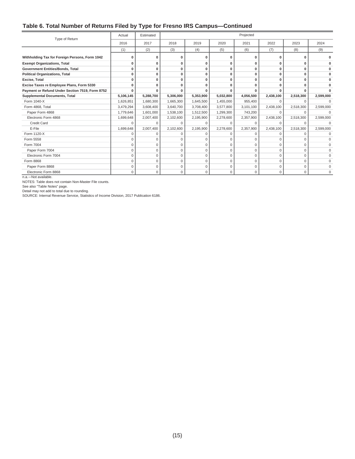#### **Table 6. Total Number of Returns Filed by Type for Fresno IRS Campus—Continued**

| Type of Return                                  | Actual      | Estimated    |              |             |             | Projected |              |           |           |
|-------------------------------------------------|-------------|--------------|--------------|-------------|-------------|-----------|--------------|-----------|-----------|
|                                                 | 2016        | 2017         | 2018         | 2019        | 2020        | 2021      | 2022         | 2023      | 2024      |
|                                                 | (1)         | (2)          | (3)          | (4)         | (5)         | (6)       | (7)          | (8)       | (9)       |
| Withholding Tax for Foreign Persons, Form 1042  | O           | $\Omega$     | O            | O           | O           | O         | o            |           |           |
| <b>Exempt Organizations, Total</b>              | O           | $\bf{0}$     | $\mathbf 0$  | 0           | $\Omega$    | O         | O            |           |           |
| <b>Government Entities/Bonds, Total</b>         | 0           | $\bf{0}$     | $\bf{0}$     | 0           | $\bf{0}$    | 0         | O            | $\bf{0}$  |           |
| <b>Political Organizations, Total</b>           | 0           | $\bf{0}$     | 0            | 0           | $\bf{0}$    | O         | O            | O         |           |
| Excise, Total                                   | 0           | 0            | $\bf{0}$     | 0           | $\mathbf 0$ | O         | O            |           |           |
| Excise Taxes re Employee Plans, Form 5330       | $\Omega$    | $\mathbf{0}$ | $\bf{0}$     | 0           | O           | O         |              |           |           |
| Payment or Refund Under Section 7519, Form 8752 | ŋ           | $\Omega$     | $\Omega$     | <b>n</b>    |             |           |              |           |           |
| <b>Supplemental Documents, Total</b>            | 5,106,145   | 5,288,700    | 5,306,000    | 5,353,900   | 5,032,800   | 4,056,500 | 2,438,100    | 2,518,300 | 2,599,000 |
| Form 1040-X                                     | 1,626,851   | 1,680,300    | 1,665,300    | 1,645,500   | 1,455,000   | 955,400   |              |           |           |
| Form 4868, Total                                | 3,479,294   | 3,608,400    | 3,640,700    | 3,708,400   | 3,577,800   | 3,101,100 | 2,438,100    | 2,518,300 | 2,599,000 |
| Paper Form 4868                                 | 1,779,646   | 1,601,000    | 1,538,100    | 1,512,500   | 1,299,300   | 743,200   | $\Omega$     |           |           |
| Electronic Form 4868                            | 1,699,648   | 2,007,400    | 2,102,600    | 2,195,900   | 2,278,600   | 2,357,900 | 2,438,100    | 2,518,300 | 2,599,000 |
| <b>Credit Card</b>                              | $\Omega$    | $\Omega$     | $\Omega$     | $\Omega$    | $\Omega$    | $\Omega$  | $\Omega$     | $\Omega$  |           |
| E-File                                          | 1.699.648   | 2.007.400    | 2,102,600    | 2,195,900   | 2.278.600   | 2.357.900 | 2.438.100    | 2.518.300 | 2,599,000 |
| Form 1120-X                                     | $\Omega$    | $\Omega$     | $\Omega$     | $\Omega$    | $\Omega$    | $\Omega$  | <sup>0</sup> | $\Omega$  | $\Omega$  |
| Form 5558                                       | $\Omega$    | $\Omega$     | $\mathbf{0}$ | 0           | $\Omega$    |           |              |           |           |
| Form 7004                                       | $\Omega$    | $\mathbf 0$  | $\mathbf 0$  | $\mathbf 0$ | $\Omega$    | $\Omega$  | $\Omega$     | $\Omega$  | $\Omega$  |
| Paper Form 7004                                 | $\Omega$    | $\Omega$     | $\Omega$     | $\Omega$    | $\Omega$    | $\Omega$  | $\Omega$     | $\Omega$  |           |
| Electronic Form 7004                            | $\Omega$    | $\mathbf 0$  | $\mathbf{0}$ | $\Omega$    | $\Omega$    | $\Omega$  | $\Omega$     | $\Omega$  |           |
| Form 8868                                       | $\mathbf 0$ | $\mathbf{0}$ | $\mathbf 0$  | 0           | $\Omega$    | $\Omega$  | $\Omega$     | $\Omega$  | $\Omega$  |
| Paper Form 8868                                 | $\Omega$    | $\mathbf 0$  | $\mathbf 0$  | 0           | $\Omega$    | $\Omega$  | $\Omega$     | $\Omega$  |           |
| Electronic Form 8868                            | 0           | $\mathbf 0$  | $\mathbf 0$  | $\Omega$    | $\Omega$    | $\Omega$  | $\Omega$     | $\Omega$  | $\Omega$  |

n.a.—Not available.

NOTES: Table does not contain Non-Master File counts.

See also "Table Notes" page.

Detail may not add to total due to rounding.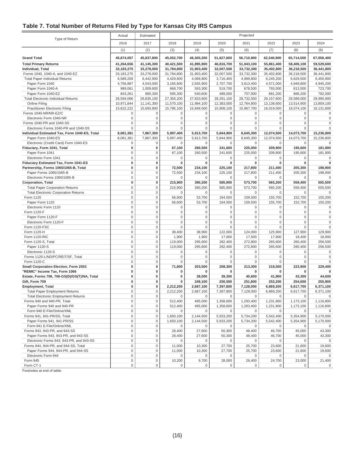#### **Table 7. Total Number of Returns Filed by Type for Kansas City IRS Campus**

|                                                          | Actual                     | Estimated            | Projected                |                            |                            |                            |                            |                            |                        |
|----------------------------------------------------------|----------------------------|----------------------|--------------------------|----------------------------|----------------------------|----------------------------|----------------------------|----------------------------|------------------------|
| Type of Return                                           | 2016                       | 2017                 | 2018                     | 2019                       | 2020                       | 2021                       | 2022                       | 2023                       | 2024                   |
|                                                          | (1)                        | (2)                  | (3)                      | (4)                        | (5)                        | (6)                        | (7)                        | (8)                        | (9)                    |
| <b>Grand Total</b>                                       | 45,874,057                 | 45,837,800           | 45,052,700               | 46,300,200                 | 51,627,600                 | 56,710,900                 | 62,540,900                 | 65,714,500                 | 67,058,400             |
| <b>Total Primary Returns</b>                             | 41,264,656                 | 41,145,300           | 40,421,500               | 41,895,900                 | 46,816,700                 | 51,043,100                 | 55,861,400                 | 58,406,100                 | 59,529,600             |
| Individual, Total                                        | 33, 183, 275               | 33,278,000           | 31,784,800               | 31,903,400                 | 32,007,500                 | 33,732,300                 | 35,402,800                 | 36,218,500                 | 36,441,800             |
| Forms 1040, 1040-A, and 1040-EZ                          | 33,183,275                 | 33,278,000           | 31,784,800               | 31,903,400                 | 32,007,500                 | 33,732,300                 | 35,402,800                 | 36,218,500                 | 36,441,800             |
| <b>Total Paper Individual Returns</b>                    | 6,589,209                  | 6,442,900            | 4,429,600                | 4,069,800                  | 3,716,400                  | 4,999,800                  | 6,245,200                  | 6,629,500                  | 6,450,900              |
| Paper Form 1040<br>Paper Form 1040-A                     | 4,756,887                  | 4,543,000            | 3,165,600                | 2,935,900                  | 2,707,700                  | 3,613,400                  | 4,571,000                  | 4,949,800                  | 4,945,200              |
| Paper Form 1040-EZ                                       | 989,061<br>843,261         | 1,009,600<br>890,300 | 668,700<br>595,300       | 593,300<br>540,600         | 519,700<br>489,000         | 678,500<br>707,900         | 793,000<br>881,200         | 813,500<br>866,200         | 723,700<br>782,000     |
| <b>Total Electronic Individual Returns</b>               | 26,594,066                 | 26,835,100           | 27,355,200               | 27,833,600                 | 28,291,100                 | 28,732,500                 | 29,157,600                 | 29,589,000                 | 29,990,900             |
| Online Filing                                            | 10,971,844                 | 11,141,300           | 11,570,100               | 11,984,100                 | 12,383,000                 | 12,764,800                 | 13,138,600                 | 13,514,900                 | 13,859,100             |
| <b>Practitioner Electronic Filing</b>                    | 15,622,222                 | 15,693,800           | 15,785,100               | 15,849,500                 | 15,908,100                 | 15,967,700                 | 16,019,000                 | 16,074,100                 | 16,131,800             |
| Forms 1040-NR/NR-EZ/C                                    | $\bf 0$                    | 0                    | $\mathsf{O}\xspace$      | $\mathbf 0$                | $\mathbf{0}$               | $\mathsf 0$                | $\mathbf 0$                | $\mathbf 0$                | 0                      |
| Electronic Form 1040-NR                                  | $\bf 0$                    | 0                    | $\mathsf 0$              | $\mathbf 0$                | $\mathbf 0$                | $\mathbf 0$                | $\mathbf 0$                | $\mathbf 0$                | $\mathbf 0$            |
| Forms 1040-PR and 1040-SS                                | $\mathbf 0$                | $\mathbf 0$          | 0                        | $\mathbf 0$                | 0                          | $\mathbf 0$                | $\mathbf{0}$               | $\Omega$                   | $\mathbf 0$            |
| Electronic Forms 1040-PR and 1040-SS                     | $\bf 0$                    | $\mathsf 0$          | 0                        | $\mathbf 0$                | $\mathbf 0$                | $\mathbf 0$                | $\mathbf{0}$               | $\Omega$                   | $\Omega$               |
| Individual Estimated Tax, Form 1040-ES, Total            | 8,081,381                  | 7,867,300            | 5,997,400                | 5,913,700                  | 5,844,900                  | 8,645,300                  | 12,074,500                 | 14,073,700                 | 15,236,800             |
| Paper Form 1040-ES                                       | 8,081,381                  | 7,867,300            | 5,997,400                | 5,913,700                  | 5,844,900                  | 8,645,300                  | 12,074,500                 | 14,073,700                 | 15,236,800             |
| Electronic (Credit Card) Form 1040-ES                    | $\mathbf 0$                | 0                    | 0                        | $\mathbf 0$                | 0                          | $\mathbf{0}$               | $\mathbf{0}$               | $\mathbf 0$                | 0                      |
| Fiduciary, Form 1041, Total                              | 0<br>$\bf 0$               | 0<br>0               | 67,100                   | 260,500                    | 241,600                    | 225,000                    | 209,900                    | 195,600                    | 181,900                |
| Paper Form 1041<br>Electronic Form 1041                  | $\bf 0$                    | 0                    | 67,100<br>0              | 260,500<br>$\mathbf 0$     | 241,600<br>$\Omega$        | 225,000<br>0               | 209,900<br>0               | 195,600<br>0               | 181,900<br>0           |
| Fiduciary Estimated Tax, Form 1041-ES                    | $\pmb{0}$                  | 0                    | 0                        | $\bf{0}$                   | 0                          | 0                          | 0                          | $\bf{0}$                   | 0                      |
| Partnership, Forms 1065/1065-B, Total                    | 0                          | 0                    | 72,500                   | 234,100                    | 225,100                    | 217,800                    | 211,400                    | 205,300                    | 198,900                |
| Paper Forms 1065/1065-B                                  | $\mathbf 0$                | 0                    | 72,500                   | 234,100                    | 225,100                    | 217,800                    | 211,400                    | 205,300                    | 198.900                |
| Electronic Forms 1065/1065-B                             | $\bf 0$                    | 0                    | 0                        | $\mathbf 0$                | 0                          | 0                          | $\mathbf{0}$               | 0                          | 0                      |
| <b>Corporation, Total</b>                                | 0                          | 0                    | 215,900                  | 390,200                    | 585,900                    | 573,700                    | 565,200                    | 559,400                    | 555,500                |
| <b>Total Paper Corporation Returns</b>                   | $\mathbf 0$                | 0                    | 215,900                  | 390,200                    | 585,900                    | 573,700                    | 565,200                    | 559,400                    | 555,500                |
| <b>Total Electronic Corporation Returns</b>              | $\mathbf 0$                | $\mathsf 0$          | 0                        | $\mathbf 0$                | $\Omega$                   | 0                          | $\mathbf 0$                | 0                          | 0                      |
| Form 1120                                                | $\mathbf 0$                | $\mathsf 0$          | 56,600                   | 53,700                     | 164,500                    | 159,500                    | 155,700                    | 152,700                    | 150,200                |
| Paper Form 1120                                          | $\mathbf 0$                | 0                    | 56,600                   | 53,700                     | 164,500                    | 159,500                    | 155,700                    | 152,700                    | 150,200                |
| Electronic Form 1120                                     | $\mathbf 0$<br>$\mathbf 0$ | $\mathsf 0$<br>0     | $\mathsf{O}\xspace$      | $\mathbf 0$<br>$\mathbf 0$ | $\mathbf 0$<br>$\mathbf 0$ | $\mathbf 0$<br>$\mathbf 0$ | $\mathbf 0$<br>$\mathbf 0$ | $\mathbf 0$<br>$\mathbf 0$ | 0<br>$\mathbf 0$       |
| Form 1120-F<br>Paper Form 1120-F                         | $\mathbf 0$                | $\mathsf 0$          | $\mathsf{O}\xspace$<br>0 | $\mathbf 0$                | $\Omega$                   | $\mathbf 0$                | $\mathbf 0$                | $\Omega$                   | $\mathbf 0$            |
| Electronic Form 1120-F                                   | $\mathbf 0$                | $\mathsf 0$          | 0                        | $\bf 0$                    | $\mathbf 0$                | $\mathbf 0$                | $\mathbf 0$                | $\Omega$                   | 0                      |
| Form 1120-FSC                                            | $\bf 0$                    | 0                    | 0                        | $\mathbf 0$                | $\mathbf 0$                | $\mathbf 0$                | $\mathbf 0$                | $\bf 0$                    | 0                      |
| Form 1120-H                                              | $\mathbf 0$                | 0                    | 38,400                   | 38,900                     | 122,000                    | 124,000                    | 125,900                    | 127,900                    | 129,900                |
| Form 1120-RIC                                            | $\mathbf 0$                | 0                    | 1,900                    | 1,900                      | 17,000                     | 17,500                     | 17,900                     | 18,400                     | 18,900                 |
| Form 1120-S, Total                                       | $\mathbf 0$                | $\mathsf 0$          | 119,000                  | 295,600                    | 282,400                    | 272,800                    | 265,600                    | 260,400                    | 256,500                |
| Paper 1120-S                                             | $\bf 0$                    | 0                    | 119,000                  | 295,600                    | 282,400                    | 272,800                    | 265,600                    | 260,400                    | 256,500                |
| Electronic 1120-S                                        | $\mathbf 0$                | $\mathsf 0$          | 0                        | $\mathbf 0$                | $\Omega$                   | 0                          | 0                          | $\Omega$                   | 0                      |
| Forms 1120-L/ND/PC/REIT/SF, Total                        | $\bf 0$                    | 0                    | 0                        | $\mathbf 0$                | 0                          | $\mathbf 0$                | $\mathbf 0$                | $\mathbf 0$                | 0                      |
| Form 1120-C<br>Small Corporation Election, Form 2553     | $\mathbf 0$<br>$\pmb{0}$   | $\mathsf 0$<br>0     | 0<br>71,600              | $\mathbf 0$<br>203,500     | 0<br>208,300               | 0<br>213,300               | $\mathbf 0$<br>218,500     | $\mathbf 0$<br>223,900     | 0<br>229,400           |
| "REMIC" Income Tax, Form 1066                            | $\pmb{0}$                  | 0                    | 0                        | 0                          | O                          | O                          | 0                          | 0                          | 0                      |
| Estate, Forms 706, 706-GS(D)/GS(T)/NA, Total             | 0                          | 0                    | 0                        | 38,000                     | 39,300                     | 40,600                     | 41,900                     | 43,300                     | 44,600                 |
| Gift, Form 709                                           | 0                          | 0                    | 0                        | 249,100                    | 250,500                    | 251,800                    | 253,200                    | 254,600                    | 255,900                |
| <b>Employment, Total</b>                                 | $\mathbf{0}$               | 0                    | 2,212,200                | 2,687,100                  | 7,397,800                  | 7,128,000                  | 6,869,200                  | 6,617,700                  | 6,371,100              |
| <b>Total Paper Employment Returns</b>                    |                            | 0                    | 2,212,200                | 2,687,100                  | 7,397,800                  | 7,128,000                  | 6,869,200                  | 6,617,700                  | 6,371,100              |
| <b>Total Electronic Employment Returns</b>               | $\mathbf 0$                | 0                    | $\mathbf 0$              | $\mathbf 0$                | $\mathbf 0$                | $\mathbf{0}$               | 0                          | 0                          |                        |
| Forms 940 and 940-PR, Total                              | $\mathsf 0$                | 0                    | 512,400                  | 495,000                    | 1,358,600                  | 1,293,400                  | 1,231,800                  | 1,173,100                  | 1,116,800              |
| Paper Forms 940 and 940-PR                               | $\mathsf 0$                | 0                    | 512,400                  | 495,000                    | 1,358,600                  | 1,293,400                  | 1,231,800                  | 1,173,100                  | 1,116,800              |
| Form 940 E-File/Online/XML                               | $\mathbf 0$                | 0                    | $\mathbf 0$              | $\mathbf 0$                | 0                          | $\mathbf 0$                | $\mathbf 0$                | 0                          | 0                      |
| Forms 941, 941-PR/SS, Total                              | $\mathbf 0$<br>$\mathbf 0$ | 0<br>0               | 1,650,100<br>1,650,100   | 2,144,500<br>2,144,500     | 5,933,200                  | 5,734,200<br>5,734,200     | 5,542,400<br>5,542,400     | 5,354,900<br>5,354,900     | 5,170,000<br>5,170,000 |
| Paper Forms 941, 941-PR/SS<br>Form 941 E-File/Online/XML | $\bf 0$                    | 0                    | 0                        | 0                          | 5,933,200<br>0             | 0                          | $\mathbf 0$                | 0                          | 0                      |
| Forms 943, 943-PR, and 943-SS                            | $\mathbf 0$                | 0                    | 28,400                   | 27,600                     | 50,300                     | 48,400                     | 46,700                     | 45,000                     | 43,300                 |
| Paper Forms 943, 943-PR, and 943-SS                      | $\mathbf 0$                | 0                    | 28,400                   | 27,600                     | 50,300                     | 48,400                     | 46,700                     | 45,000                     | 43,300                 |
| Electronic Forms 943, 943-PR, and 943-SS                 | $\mathbf 0$                | 0                    | 0                        | 0                          | 0                          | 0                          | 0                          | 0                          | $\mathbf 0$            |
| Forms 944, 944-PR, and 944-SS, Total                     | $\mathbf 0$                | 0                    | 11,000                   | 10,300                     | 27,700                     | 25,700                     | 23,600                     | 21,600                     | 19,600                 |
| Paper Forms 944, 944-PR, and 944-SS                      | $\mathbf 0$                | 0                    | 11,000                   | 10,300                     | 27,700                     | 25,700                     | 23,600                     | 21,600                     | 19,600                 |
| Electronic Form 944                                      | $\mathbf 0$                | 0                    | 0                        | 0                          | 0                          | 0                          | 0                          | 0                          | 0                      |
| Form 945                                                 | $\mathbf 0$                | 0                    | 10,200                   | 9,700                      | 28,000                     | 26,400                     | 24,700                     | 23,000                     | 21,400                 |
| Form CT-1                                                | $\mathsf{O}\xspace$        | 0                    | 0                        | 0                          | $\mathbf 0$                | 0                          | 0                          | 0                          | $\mathbf 0$            |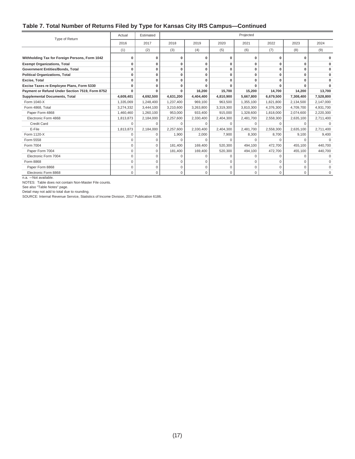#### **Table 7. Total Number of Returns Filed by Type for Kansas City IRS Campus—Continued**

| Type of Return                                  | Actual       | Estimated   |           |              |              | Projected |           |              |              |
|-------------------------------------------------|--------------|-------------|-----------|--------------|--------------|-----------|-----------|--------------|--------------|
|                                                 | 2016         | 2017        | 2018      | 2019         | 2020         | 2021      | 2022      | 2023         | 2024         |
|                                                 | (1)          | (2)         | (3)       | (4)          | (5)          | (6)       | (7)       | (8)          | (9)          |
| Withholding Tax for Foreign Persons, Form 1042  | 0            | 0           | O         | 0            | $\mathbf{0}$ | 0         | O         | $\mathbf{0}$ |              |
| <b>Exempt Organizations, Total</b>              | $\mathbf{0}$ | 0           | 0         | 0            | $\bf{0}$     | 0         | 0         | $\mathbf{0}$ |              |
| Government Entities/Bonds, Total                | $\mathbf{0}$ | 0           | 0         | 0            | 0            | 0         | 0         | $\mathbf{0}$ | $\Omega$     |
| <b>Political Organizations, Total</b>           | $\mathbf{0}$ | 0           | $\Omega$  | $\mathbf{0}$ | 0            | 0         | 0         | $\mathbf{0}$ | $\mathbf{0}$ |
| Excise, Total                                   | $\Omega$     | $\Omega$    | O         | $\mathbf{0}$ |              |           |           | $\Omega$     | $\bf{0}$     |
| Excise Taxes re Employee Plans, Form 5330       | 0            | $\Omega$    | O         | $\Omega$     |              |           |           | n            | $\Omega$     |
| Payment or Refund Under Section 7519, Form 8752 | O            | ŋ           | O         | 16,200       | 15,700       | 15,200    | 14,700    | 14,200       | 13,700       |
| <b>Supplemental Documents, Total</b>            | 4,609,401    | 4,692,500   | 4,631,200 | 4,404,400    | 4,810,900    | 5,667,800 | 6,679,500 | 7,308,400    | 7,528,800    |
| Form 1040-X                                     | 1,335,069    | 1,248,400   | 1,237,400 | 969,100      | 963,500      | 1,355,100 | 1,821,800 | 2,134,500    | 2,147,000    |
| Form 4868, Total                                | 3,274,332    | 3,444,100   | 3,210,600 | 3,263,800    | 3,319,300    | 3,810,300 | 4,376,300 | 4,709,700    | 4,931,700    |
| Paper Form 4868                                 | 1,460,460    | 1,260,100   | 953.000   | 933.400      | 915.000      | 1,328,600 | 1,818,000 | 2,074,600    | 2,220,300    |
| Electronic Form 4868                            | 1,813,873    | 2,184,000   | 2,257,600 | 2,330,400    | 2,404,300    | 2,481,700 | 2,558,300 | 2,635,100    | 2,711,400    |
| <b>Credit Card</b>                              | $\Omega$     | $\Omega$    | $\Omega$  | $\Omega$     | $\Omega$     | $\Omega$  | $\Omega$  | $\Omega$     |              |
| E-File                                          | 1,813,873    | 2,184,000   | 2,257,600 | 2,330,400    | 2,404,300    | 2,481,700 | 2,558,300 | 2,635,100    | 2,711,400    |
| Form 1120-X                                     | $\Omega$     | $\Omega$    | 1,900     | 2,000        | 7,900        | 8,300     | 8,700     | 9,100        | 9,400        |
| Form 5558                                       | $\Omega$     | $\Omega$    |           | n            | n            | $\Omega$  |           | $\cap$       |              |
| Form 7004                                       | $\Omega$     | 0           | 181,400   | 169,400      | 520,300      | 494.100   | 472,700   | 455,100      | 440,700      |
| Paper Form 7004                                 | $\Omega$     | $\Omega$    | 181.400   | 169,400      | 520,300      | 494,100   | 472,700   | 455,100      | 440,700      |
| Electronic Form 7004                            | $\Omega$     | $\Omega$    | O         | $\Omega$     | O            | $\Omega$  | $\Omega$  | $\cap$       |              |
| Form 8868                                       | $\mathbf 0$  | $\mathbf 0$ | 0         | $\mathbf 0$  | 0            | 0         | $\Omega$  | $\Omega$     |              |
| Paper Form 8868                                 | $\Omega$     | 0           | 0         | $\mathbf 0$  | $\Omega$     | 0         | 0         | $\Omega$     |              |
| Electronic Form 8868                            | $\mathbf 0$  | 0           | 0         | $\mathbf 0$  | $\mathbf 0$  | 0         | 0         | $\mathbf 0$  | $\Omega$     |

n.a. —Not available.

NOTES: Table does not contain Non-Master File counts.

See also "Table Notes" page.

Detail may not add to total due to rounding.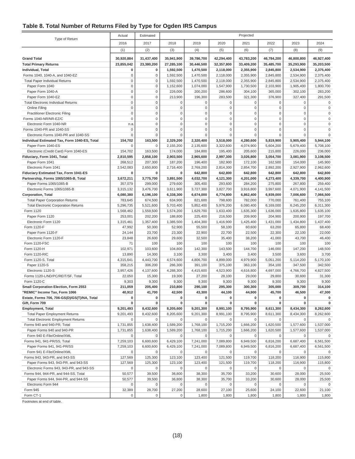#### **Table 8. Total Number of Returns Filed by Type for Ogden IRS Campus**

|                                                                | Actual                     | Estimated                  | Projected                  |                            |                            |                            |                            |                                    |                                    |
|----------------------------------------------------------------|----------------------------|----------------------------|----------------------------|----------------------------|----------------------------|----------------------------|----------------------------|------------------------------------|------------------------------------|
| Type of Return                                                 | 2016                       | 2017                       | 2018                       | 2019                       | 2020                       | 2021                       | 2022                       | 2023                               | 2024                               |
|                                                                | (1)                        | (2)                        | (3)                        | (4)                        | (5)                        | (6)                        | (7)                        | (8)                                | (9)                                |
|                                                                |                            |                            |                            |                            |                            |                            |                            |                                    |                                    |
| <b>Grand Total</b>                                             | 30,920,884                 | 31,437,400                 | 35,941,900                 | 39,786,700                 | 42,294,400                 | 43,783,200                 | 46,784,200                 | 46,800,800                         | 46,927,400                         |
| <b>Total Primary Returns</b>                                   | 23,855,042                 | 23,380,200                 | 27,285,100                 | 30,446,500                 | 32,357,800                 | 33,409,200                 | 35,485,700                 | 35,293,900                         | 35,203,500                         |
| Individual, Total                                              | 0                          | 0                          | 1,592,500                  | 1,470,500                  | 2,118,000                  | 2,355,900                  | 2,845,800                  | 2,534,900                          | 2,375,400                          |
| Forms 1040, 1040-A, and 1040-EZ                                | $\mathbf 0$                | $\mathbf 0$                | 1,592,500                  | 1,470,500                  | 2,118,000                  | 2,355,900                  | 2,845,800                  | 2,534,900                          | 2,375,400                          |
| <b>Total Paper Individual Returns</b>                          | $\mathbf 0$                | $\mathbf 0$                | 1,592,500                  | 1,470,500                  | 2,118,000                  | 2,355,900                  | 2,845,800                  | 2,534,900                          | 2,375,400                          |
| Paper Form 1040                                                | $\mathsf 0$                | $\mathbf 0$                | 1,152,600                  | 1,074,000                  | 1,547,900                  | 1,730,500                  | 2,103,900                  | 1,905,400                          | 1,800,700                          |
| Paper Form 1040-A                                              | $\mathbf 0$                | $\mathbf 0$                | 226,000                    | 200,200                    | 286,600                    | 304,100                    | 365,000                    | 302,100                            | 283,200                            |
| Paper Form 1040-EZ                                             | $\mathbf 0$                | $\mathbf 0$                | 213,900                    | 196,300                    | 283,500                    | 321,300                    | 376,900                    | 327,400                            | 291,500                            |
| <b>Total Electronic Individual Returns</b>                     | $\mathbf 0$                | $\mathsf 0$                | 0                          | $\mathbf 0$                | $\mathbf 0$                | $\mathbf 0$                | 0                          | $\mathsf 0$                        | 0                                  |
| <b>Online Filing</b>                                           | $\mathbf 0$<br>$\mathbf 0$ | $\mathbf 0$                | $\mathbf 0$<br>$\mathbf 0$ | $\mathbf 0$<br>$\mathbf 0$ | $\mathbf 0$<br>$\mathbf 0$ | $\mathbf 0$<br>$\mathbf 0$ | $\mathsf 0$<br>$\mathbf 0$ | $\mathsf{O}\xspace$<br>$\mathbf 0$ | $\mathsf{O}\xspace$<br>$\mathbf 0$ |
| <b>Practitioner Electronic Filing</b><br>Forms 1040-NR/NR-EZ/C | $\mathbf 0$                | $\mathsf 0$<br>$\mathsf 0$ | $\mathbf 0$                | $\mathbf 0$                | $\mathbf 0$                | $\mathbf 0$                | $\mathbf 0$                | $\mathsf 0$                        | $\mathbf 0$                        |
| Electronic Form 1040-NR                                        |                            | $\mathbf 0$                | $\mathbf 0$                | $\mathbf 0$                | $\mathbf 0$                | $\mathbf 0$                | $\mathbf 0$                | $\mathbf 0$                        | $\mathbf 0$                        |
| Forms 1040-PR and 1040-SS                                      | n.a<br>$\mathbf 0$         | $\mathbf 0$                | $\mathbf 0$                | $\mathbf 0$                | $\mathbf 0$                | $\mathbf 0$                | $\mathbf 0$                | $\mathbf 0$                        | $\mathbf 0$                        |
| Electronic Forms 1040-PR and 1040-SS                           | $\mathbf 0$                | $\mathbf 0$                | $\mathbf 0$                | $\mathbf 0$                | $\mathbf 0$                | $\mathbf 0$                | $\mathbf 0$                | $\mathbf 0$                        | $\Omega$                           |
| Individual Estimated Tax, Form 1040-ES, Total                  | 154,702                    | 163,500                    | 2,329,200                  | 2,320,400                  | 3,518,000                  | 4,280,600                  | 5,819,900                  | 5,905,400                          | 5,944,100                          |
| Paper Form 1040-ES                                             | $\Omega$                   | $\mathsf 0$                | 2,155,200                  | 2,135,600                  | 3,322,600                  | 4,074,900                  | 5,604,200                  | 5,679,400                          | 5,708,100                          |
| Electronic (Credit Card) Form 1040-ES                          | 154,702                    | 163,500                    | 174,000                    | 184,800                    | 195,400                    | 205,600                    | 215,800                    | 226,000                            | 236,000                            |
| Fiduciary, Form 1041, Total                                    | 2,810,595                  | 2,858,100                  | 2,903,500                  | 2,965,600                  | 2,997,300                  | 3,026,800                  | 3,054,700                  | 3,081,900                          | 3,108,500                          |
| Paper Form 1041                                                | 268,512                    | 207,300                    | 187,200                    | 196,400                    | 182,900                    | 172,100                    | 162,500                    | 154,000                            | 145,900                            |
| Electronic Form 1041                                           | 2,542,083                  | 2,650,800                  | 2,716,400                  | 2,769,200                  | 2,814,300                  | 2,854,700                  | 2,892,200                  | 2,927,900                          | 2,962,600                          |
| Fiduciary Estimated Tax, Form 1041-ES                          | 0                          | 0                          | 0                          | 642,800                    | 642,800                    | 642,800                    | 642,800                    | 642,800                            | 642,800                            |
| Partnership, Forms 1065/1065-B, Total                          | 3,672,211                  | 3,775,700                  | 3,891,500                  | 4,032,700                  | 4,121,300                  | 4,201,000                  | 4,273,400                  | 4,339,700                          | 4,400,900                          |
| Paper Forms 1065/1065-B                                        | 357,079                    | 299,000                    | 279,600                    | 305,400                    | 293,600                    | 284,200                    | 275,800                    | 267,800                            | 259,400                            |
| Electronic Forms 1065/1065-B                                   | 3,315,132                  | 3,476,700                  | 3,611,900                  | 3,727,300                  | 3,827,700                  | 3,916,800                  | 3,997,600                  | 4,071,900                          | 4,141,500                          |
| <b>Corporation, Total</b>                                      | 6,080,380                  | 6,196,100                  | 6,338,300                  | 6,674,000                  | 6,774,800                  | 6,862,400                  | 6,939,000                  | 7,006,600                          | 7,066,500                          |
| <b>Total Paper Corporation Returns</b>                         | 783,645                    | 674,500                    | 634,900                    | 821,600                    | 798,600                    | 782,000                    | 770,000                    | 761,400                            | 755,100                            |
| <b>Total Electronic Corporation Returns</b>                    | 5,296,735                  | 5,521,600                  | 5,703,400                  | 5,852,400                  | 5,976,200                  | 6,080,400                  | 6,169,000                  | 6,245,200                          | 6,311,300                          |
| Form 1120                                                      | 1,568,462                  | 1,559,500                  | 1,574,200                  | 1,629,700                  | 1,633,400                  | 1,635,300                  | 1,636,000                  | 1,635,800                          | 1,635,100                          |
| Paper Form 1120                                                | 253,001                    | 202,200                    | 188,800                    | 225,400                    | 216,500                    | 209,900                    | 204,900                    | 200,900                            | 197,700                            |
| Electronic Form 1120                                           | 1,315,461                  | 1,357,400                  | 1,385,500                  | 1,404,300                  | 1,416,900                  | 1,425,400                  | 1,431,000                  | 1,434,800                          | 1,437,400                          |
| Form 1120-F                                                    | 47,992                     | 50,300                     | 52,900                     | 55,500                     | 58,100                     | 60,600                     | 63,200                     | 65,800                             | 68,400                             |
| Paper Form 1120-F                                              | 24,144                     | 23,700                     | 23,300                     | 22,900                     | 22,700                     | 22,500                     | 22,300                     | 22,100                             | 22,000                             |
| Electronic Form 1120-F                                         | 23,848                     | 26,600                     | 29,600                     | 32,500                     | 35,400                     | 38,200                     | 41,000                     | 43,700                             | 46,400                             |
| Form 1120-FSC                                                  | 71                         | 100                        | 100                        | 100                        | 100                        | 100                        | 100                        | 100                                | 100                                |
| Form 1120-H                                                    | 102,971                    | 103,600                    | 104,800                    | 142,300                    | 143,500                    | 144,700                    | 146,000                    | 147,200                            | 148,500                            |
| Form 1120-RIC                                                  | 13,890                     | 14,300                     | 3,100                      | 3,300                      | 3,400                      | 3,400                      | 3,500                      | 3,600                              | 3,700                              |
| Form 1120-S, Total                                             | 4,315,641                  | 4,443,700                  | 4,574,600                  | 4,806,700                  | 4,899,000                  | 4,979,900                  | 5,051,200                  | 5,114,200                          | 5,170,100                          |
| Paper 1120-S                                                   | 358,215                    | 306,200                    | 286,300                    | 391,100                    | 375,100                    | 363,100                    | 354,100                    | 347,500                            | 342,500                            |
| Electronic 1120-S                                              | 3,957,426                  | 4,137,600                  | 4,288,300                  | 4,415,600                  | 4,523,900                  | 4,616,800                  | 4,697,000                  | 4,766,700                          | 4,827,500                          |
| Forms 1120-L/ND/PC/REIT/SF, Total                              | 22,050                     | 15,300                     | 19,300                     | 27,200                     | 28,100                     | 29,000                     | 29,800                     | 30,600                             | 31,300                             |
| Form 1120-C                                                    | 9,303                      | 9,300                      | 9,300                      | 9,300                      | 9,300                      | 9,300                      | 9,300                      | 9,300                              | 9,300                              |
| Small Corporation Election, Form 2553                          | 211,059                    | 205,400                    | 210,800                    | 290,100                    | 295,300                    | 300,300                    | 305,000                    | 309,700                            | 314,100                            |
| "REMIC" Income Tax, Form 1066                                  | 40,912                     | 41,700                     | 42,500                     | 43,300                     | 44,100                     | 44,900                     | 45,700                     | 46,500                             | 47,300                             |
| Estate, Forms 706, 706-GS(D)/GS(T)/NA, Total                   | 0                          | 0                          | 0                          | 0                          | 0                          | 0                          | 0                          | 0                                  | 0                                  |
| Gift, Form 709                                                 | 0                          | O                          | 0                          | O                          | $\Omega$                   | 0                          | 0                          | 0                                  | 0                                  |
| <b>Employment, Total</b>                                       | 9,201,493                  | 8,432,600                  | 8,205,600                  | 9,201,300                  | 8,991,100                  | 8,795,900                  | 8,611,300                  | 8,434,300                          | 8,262,600                          |
| <b>Total Paper Employment Returns</b>                          | 9,201,493                  | 8,432,600                  | 8,205,600                  | 9,201,300                  | 8,991,100                  | 8,795,900                  | 8,611,300                  | 8,434,300                          | 8,262,600                          |
| <b>Total Electronic Employment Returns</b>                     | $\mathbf 0$                | $\mathsf 0$                | $\mathbf 0$                | 0                          | 0                          | 0                          | 0                          | 0                                  | $\mathbf 0$                        |
| Forms 940 and 940-PR, Total                                    | 1,731,855                  | 1,638,400                  | 1,589,200                  | 1,768,100                  | 1,715,200                  | 1,666,200                  | 1,620,500                  | 1,577,600                          | 1,537,000                          |
| Paper Forms 940 and 940-PR                                     | 1,731,855                  | 1,638,400                  | 1,589,200                  | 1,768,100                  | 1,715,200                  | 1,666,200                  | 1,620,500                  | 1,577,600                          | 1,537,000                          |
| Form 940 E-File/Online/XML                                     | 0                          | 0                          | 0                          | 0                          | 0                          | 0                          | 0                          | 0                                  |                                    |
| Forms 941, 941-PR/SS, Total                                    | 7,259,103                  | 6,600,600                  | 6,429,100                  | 7,241,000                  | 7,089,800                  | 6,949,500                  | 6,816,200                  | 6,687,400                          | 6,561,500                          |
| Paper Forms 941, 941-PR/SS                                     | 7,259,103                  | 6,600,600                  | 6,429,100                  | 7,241,000                  | 7,089,800                  | 6,949,500                  | 6,816,200                  | 6,687,400                          | 6,561,500                          |
| Form 941 E-File/Online/XML                                     | $\mathbf 0$                | 0                          | 0                          | 0                          | $\mathbf 0$                | 0                          | 0                          | 0                                  | 0                                  |
| Forms 943, 943-PR, and 943-SS                                  | 127,569                    | 125,300                    | 123,100                    | 123,400                    | 121,500                    | 119,700                    | 118,200                    | 116,900                            | 115,800                            |
| Paper Forms 943, 943-PR, and 943-SS                            | 127,569                    | 125,300                    | 123,100                    | 123,400                    | 121,500                    | 119,700                    | 118,200                    | 116,900                            | 115,800                            |
| Electronic Forms 943, 943-PR, and 943-SS                       | $\Omega$                   | 0                          | $\mathbf 0$                | 0                          | $\mathbf 0$                | $\mathbf 0$                | 0                          | 0                                  | $\mathbf 0$                        |
| Forms 944, 944-PR, and 944-SS, Total                           | 50,577                     | 39,500                     | 36,800                     | 38,300                     | 35,700                     | 33,200                     | 30,600                     | 28,000                             | 25,500                             |
| Paper Forms 944, 944-PR, and 944-SS                            | 50,577                     | 39,500                     | 36,800                     | 38,300                     | 35,700                     | 33,200                     | 30,600                     | 28,000                             | 25,500                             |
| Electronic Form 944                                            | 0                          | 0                          | 0                          | 0                          | 0                          | 0                          | 0                          | 0                                  | 0                                  |
| Form 945                                                       | 32,389                     | 28,700                     | 27,200                     | 28,600                     | 27,100                     | 25,600                     | 24,100                     | 22,600                             | 21,100                             |
| Form CT-1                                                      | $\mathbf 0$                | $\mathbf 0$                | 0                          | 1,800                      | 1,800                      | 1,800                      | 1,800                      | 1,800                              | 1,800                              |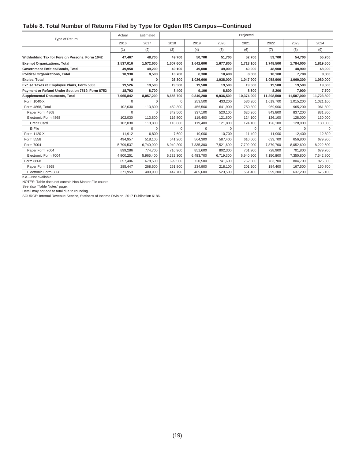#### **Table 8. Total Number of Returns Filed by Type for Ogden IRS Campus—Continued**

| Type of Return                                  | Actual    | Estimated |           |           |           | Projected  |            |            |            |
|-------------------------------------------------|-----------|-----------|-----------|-----------|-----------|------------|------------|------------|------------|
|                                                 | 2016      | 2017      | 2018      | 2019      | 2020      | 2021       | 2022       | 2023       | 2024       |
|                                                 | (1)       | (2)       | (3)       | (4)       | (5)       | (6)        | (7)        | (8)        | (9)        |
| Withholding Tax for Foreign Persons, Form 1042  | 47,467    | 48,700    | 49,700    | 50,700    | 51,700    | 52,700     | 53,700     | 54,700     | 55,700     |
| <b>Exempt Organizations, Total</b>              | 1,537,016 | 1,572,600 | 1,607,600 | 1,642,600 | 1,677,800 | 1,713,100  | 1,748,500  | 1,784,000  | 1,819,600  |
| Government Entities/Bonds, Total                | 49,958    | 49,200    | 49,100    | 49,000    | 49,000    | 49,000     | 48.900     | 48.900     | 48,900     |
| <b>Political Organizations, Total</b>           | 10,930    | 8,500     | 10,700    | 8,300     | 10,400    | 8,000      | 10,100     | 7,700      | 9,800      |
| Excise, Total                                   | 0         | 0         | 26,300    | 1,026,600 | 1,038,000 | 1,047,900  | 1,058,900  | 1,069,300  | 1,080,000  |
| Excise Taxes re Employee Plans, Form 5330       | 19,526    | 19,500    | 19,500    | 19,500    | 19,500    | 19,500     | 19,500     | 19,500     | 19,500     |
| Payment or Refund Under Section 7519, Form 8752 | 18,793    | 8,700     | 8,400     | 9.100     | 8.800     | 8.500      | 8.200      | 7.900      | 7.700      |
| <b>Supplemental Documents, Total</b>            | 7,065,842 | 8,057,200 | 8,656,700 | 9,340,200 | 9,936,500 | 10,374,000 | 11,298,500 | 11,507,000 | 11,723,800 |
| Form 1040-X                                     | $\Omega$  | $\Omega$  | $\Omega$  | 253,500   | 433,200   | 536,200    | 1,019,700  | 1,015,200  | 1,021,100  |
| Form 4868, Total                                | 102,030   | 113,800   | 459,300   | 456,500   | 641,900   | 750,300    | 969,900    | 965.200    | 961,800    |
| Paper Form 4868                                 | $\Omega$  | $\Omega$  | 342.500   | 337.100   | 520,100   | 626.200    | 843.800    | 837.200    | 831,800    |
| Electronic Form 4868                            | 102,030   | 113,800   | 116,800   | 119,400   | 121,800   | 124,100    | 126,100    | 128,000    | 130,000    |
| <b>Credit Card</b>                              | 102,030   | 113,800   | 116,800   | 119,400   | 121,800   | 124,100    | 126,100    | 128,000    | 130,000    |
| E-File                                          | $\Omega$  | $\Omega$  | $\Omega$  | $\Omega$  | $\Omega$  | $\Omega$   | $\Omega$   | $\Omega$   | $\Omega$   |
| Form 1120-X                                     | 11,912    | 6,800     | 7,600     | 10,000    | 10,700    | 11,400     | 11,900     | 12,400     | 12,800     |
| Form 5558                                       | 494.957   | 518,100   | 541,200   | 564,300   | 587,400   | 610,600    | 633,700    | 656,800    | 679,900    |
| Form 7004                                       | 5,799,537 | 6,740,000 | 6,949,200 | 7,335,300 | 7,521,600 | 7,702,900  | 7,879,700  | 8,052,600  | 8,222,500  |
| Paper Form 7004                                 | 899,286   | 774,700   | 716,900   | 851,600   | 802,300   | 761,900    | 728,900    | 701.800    | 679,700    |
| Electronic Form 7004                            | 4,900,251 | 5,965,400 | 6,232,300 | 6,483,700 | 6,719,300 | 6,940,900  | 7,150,800  | 7,350,800  | 7,542,800  |
| Form 8868                                       | 657.406   | 678,500   | 699.500   | 720,500   | 741.600   | 762.600    | 783.700    | 804.700    | 825,800    |
| Paper Form 8868                                 | 285,447   | 268,600   | 251,800   | 234,900   | 218,100   | 201,200    | 184,400    | 167,500    | 150,700    |
| Electronic Form 8868                            | 371,959   | 409,900   | 447,700   | 485,600   | 523,500   | 561,400    | 599,300    | 637,200    | 675,100    |

n.a.—Not available.

NOTES: Table does not contain Non-Master File counts.

See also "Table Notes" page.

Detail may not add to total due to rounding.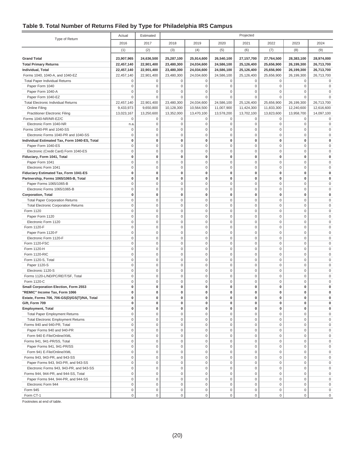#### **Table 9. Total Number of Returns Filed by Type for Philadelphia IRS Campus**

|                                               | Actual           | Estimated   | Projected        |             |                     |                     |              |                     |                     |
|-----------------------------------------------|------------------|-------------|------------------|-------------|---------------------|---------------------|--------------|---------------------|---------------------|
| Type of Return                                | 2016             | 2017        | 2018             | 2019        | 2020                | 2021                | 2022         | 2023                | 2024                |
|                                               | (1)              | (2)         | (3)              | (4)         | (5)                 | (6)                 | (7)          | (8)                 | (9)                 |
| <b>Grand Total</b>                            | 23,907,965       | 24,636,500  | 25,287,100       | 25,914,600  | 26,540,100          | 27,157,700          | 27,764,500   | 28,383,100          | 28,974,000          |
| <b>Total Primary Returns</b>                  | 22,457,140       | 22,901,400  | 23,480,300       | 24,034,600  | 24,586,100          | 25,126,400          | 25,656,900   | 26,199,300          | 26,713,700          |
| Individual, Total                             | 22,457,140       | 22,901,400  | 23,480,300       | 24,034,600  | 24,586,100          | 25,126,400          | 25,656,900   | 26,199,300          | 26,713,700          |
| Forms 1040, 1040-A, and 1040-EZ               | 22,457,140       | 22,901,400  | 23,480,300       | 24,034,600  | 24,586,100          | 25,126,400          | 25,656,900   | 26,199,300          | 26,713,700          |
| <b>Total Paper Individual Returns</b>         | $\mathbf 0$      | 0           | 0                | 0           | 0                   | 0                   | $\mathbf 0$  | $\mathbf 0$         | $\Omega$            |
| Paper Form 1040                               | $\mathbf 0$      | $\mathbf 0$ | $\mathbf 0$      | $\mathsf 0$ | $\mathbf 0$         | $\mathbf 0$         | $\mathbf 0$  | $\mathbf 0$         | $\Omega$            |
| Paper Form 1040-A                             | $\mathbf 0$      | $\mathbf 0$ | $\mathbf 0$      | $\mathbf 0$ | $\mathbf 0$         | $\Omega$            | $\mathbf 0$  | $\mathbf 0$         | $\Omega$            |
| Paper Form 1040-EZ                            | $\mathbf 0$      | $\mathbf 0$ | $\mathbf 0$      | $\mathbf 0$ | $\mathbf 0$         | $\mathbf 0$         | $\Omega$     | $\mathbf{0}$        |                     |
| <b>Total Electronic Individual Returns</b>    | 22,457,140       | 22,901,400  | 23,480,300       | 24,034,600  | 24,586,100          | 25,126,400          | 25,656,900   | 26,199,300          | 26,713,700          |
| Online Filing                                 | 9,433,973        | 9,650,800   | 10,128,300       | 10,564,500  | 11,007,900          | 11,424,300          | 11,833,300   | 12,240,600          | 12,616,600          |
| <b>Practitioner Electronic Filing</b>         | 13,023,167       | 13,250,600  | 13,352,000       | 13,470,100  | 13,578,200          | 13,702,100          | 13,823,600   | 13,958,700          | 14,097,100          |
| Forms 1040-NR/NR-EZ/C                         | $\mathsf 0$      | $\mathbf 0$ | $\boldsymbol{0}$ | $\mathbf 0$ | 0                   | $\mathbf 0$         | 0            | $\mathbf 0$         | 0                   |
| Electronic Form 1040-NR                       | n.a.             | $\mathbf 0$ | $\mathbf 0$      | $\mathsf 0$ | $\mathsf 0$         | $\mathbf 0$         | $\mathsf 0$  | $\mathbf 0$         | $\bf 0$             |
| Forms 1040-PR and 1040-SS                     | $\mathsf 0$      | $\mathbf 0$ | $\mathbf 0$      | $\mathsf 0$ | $\mathbf 0$         | $\mathbf 0$         | $\mathbf 0$  | $\mathbf{0}$        | $\Omega$            |
| Electronic Forms 1040-PR and 1040-SS          | $\mathbf 0$      | $\mathbf 0$ | $\mathbf 0$      | $\mathbf 0$ | $\mathbf 0$         | 0                   | $\mathbf 0$  | $\mathbf 0$         | $\Omega$            |
| Individual Estimated Tax, Form 1040-ES, Total | 0                | 0           | 0                | $\bf{0}$    | $\mathbf 0$         | $\bf{0}$            | 0            | $\mathbf{0}$        | $\Omega$            |
| Paper Form 1040-ES                            | $\mathsf 0$      | $\mathbf 0$ | $\mathbf 0$      | $\mathbf 0$ | $\mathsf 0$         | $\mathbf 0$         | $\mathsf 0$  | $\mathbf 0$         | $\Omega$            |
| Electronic (Credit Card) Form 1040-ES         | $\mathbf 0$      | $\mathbf 0$ | $\mathsf 0$      | $\mathsf 0$ | $\mathsf{O}\xspace$ | $\mathbf 0$         | $\mathbf 0$  | $\mathbf 0$         | $\Omega$            |
| Fiduciary, Form 1041, Total                   | $\mathbf 0$      | $\bf{0}$    | $\pmb{0}$        | $\pmb{0}$   | $\mathbf 0$         | $\mathbf 0$         | $\mathbf 0$  | $\mathbf{0}$        |                     |
| Paper Form 1041                               | $\mathbf 0$      | $\mathbf 0$ | $\mathbf 0$      | $\mathsf 0$ | $\mathbf 0$         | $\mathbf 0$         | $\mathbf 0$  | $\mathbf 0$         | $\Omega$            |
| Electronic Form 1041                          | $\mathbf 0$      | $\mathbf 0$ | $\mathbf 0$      | $\mathsf 0$ | $\mathsf 0$         | $\mathbf 0$         | $\mathsf 0$  | $\mathbf 0$         | $\Omega$            |
| Fiduciary Estimated Tax, Form 1041-ES         | $\bf{0}$         | 0           | 0                | 0           | $\pmb{0}$           | $\bf{0}$            | 0            | $\mathbf{0}$        | O                   |
| Partnership, Forms 1065/1065-B, Total         | $\mathbf 0$      | $\bf{0}$    | $\bf{0}$         | 0           | $\mathbf 0$         | $\bf{0}$            | 0            | $\mathbf 0$         | $\Omega$            |
| Paper Forms 1065/1065-B                       | $\mathbf 0$      | $\mathbf 0$ | $\mathbf 0$      | $\mathbf 0$ | $\mathbf 0$         | $\mathbf 0$         | $\mathbf 0$  | $\mathbf 0$         | $\Omega$            |
| Electronic Forms 1065/1065-B                  | $\mathsf 0$      | $\mathbf 0$ | $\mathbf 0$      | $\mathsf 0$ | $\mathbf 0$         | $\mathbf 0$         | $\mathsf 0$  | $\mathbf 0$         | $\Omega$            |
| <b>Corporation, Total</b>                     | $\bf{0}$         | $\pmb{0}$   | $\pmb{0}$        | $\pmb{0}$   | $\mathbf 0$         | $\bf{0}$            | $\mathbf 0$  | $\mathbf{0}$        | $\Omega$            |
| <b>Total Paper Corporation Returns</b>        | $\mathbf 0$      | $\mathbf 0$ | $\mathsf 0$      | $\mathsf 0$ | $\mathbf{0}$        | $\mathbf 0$         | $\mathbf 0$  | $\mathbf 0$         | $\Omega$            |
| <b>Total Electronic Corporation Returns</b>   | $\mathbf 0$      | $\mathbf 0$ | $\mathbf 0$      | $\mathbf 0$ | $\mathsf{O}\xspace$ | $\mathbf 0$         | $\mathbf 0$  | $\mathbf 0$         | $\Omega$            |
| Form 1120                                     | $\mathbf 0$      | $\mathbf 0$ | $\mathsf 0$      | $\mathsf 0$ | $\mathsf{O}\xspace$ | $\mathbf 0$         | $\mathsf 0$  | $\mathbf 0$         | $\Omega$            |
| Paper Form 1120                               | $\mathbf 0$      | $\mathbf 0$ | $\mathbf 0$      | $\mathsf 0$ | $\mathbf 0$         | $\mathbf 0$         | $\mathbf 0$  | $\mathbf 0$         | $\Omega$            |
| Electronic Form 1120                          | $\mathbf 0$      | $\mathbf 0$ | $\mathbf 0$      | $\mathsf 0$ | $\mathbf 0$         | $\mathbf 0$         | $\mathbf 0$  | $\mathbf 0$         |                     |
| Form 1120-F                                   | $\mathbf 0$      | $\mathbf 0$ | $\mathbf 0$      | $\mathbf 0$ | $\mathbf 0$         | $\mathbf 0$         | $\mathbf 0$  | $\mathbf 0$         | $\Omega$            |
| Paper Form 1120-F                             | $\mathsf 0$      | $\mathbf 0$ | $\mathbf 0$      | $\mathbf 0$ | $\mathbf 0$         | $\mathbf 0$         | $\mathbf 0$  | $\mathbf 0$         | $\Omega$            |
| Electronic Form 1120-F                        | $\mathsf 0$      | $\mathbf 0$ | $\mathsf 0$      | $\mathsf 0$ | $\mathsf 0$         | $\mathbf 0$         | $\mathsf 0$  | $\mathbf 0$         | $\Omega$            |
| Form 1120-FSC                                 | $\mathbf 0$      | $\mathbf 0$ | $\mathsf 0$      | $\mathbf 0$ | $\mathsf 0$         | $\mathbf 0$         | $\mathbf 0$  | $\mathbf{0}$        | $\Omega$            |
| Form 1120-H                                   | $\mathbf 0$      | $\mathbf 0$ | $\mathsf 0$      | $\mathsf 0$ | $\mathsf 0$         | $\mathbf 0$         | $\mathbf 0$  | $\mathbf 0$         | $\Omega$            |
| Form 1120-RIC                                 | $\mathbf 0$      | $\mathbf 0$ | $\mathbf 0$      | $\mathbf 0$ | $\mathsf{O}\xspace$ | $\mathbf 0$         | $\mathbf 0$  | $\mathbf 0$         | $\Omega$            |
| Form 1120-S, Total                            | $\mathbf 0$      | $\mathbf 0$ | $\mathsf 0$      | $\mathsf 0$ | $\mathsf{O}\xspace$ | $\mathbf 0$         | $\mathsf 0$  | $\mathbf 0$         | $\Omega$            |
| Paper 1120-S                                  | $\mathbf 0$      | $\mathbf 0$ | $\mathbf 0$      | $\mathsf 0$ | $\mathbf 0$         | $\mathbf 0$         | $\mathbf 0$  | $\mathbf 0$         | $\Omega$            |
| Electronic 1120-S                             | $\mathbf 0$      | $\mathbf 0$ | $\mathbf 0$      | $\mathsf 0$ | $\mathbf{0}$        | $\mathbf 0$         | $\mathbf 0$  | $\mathbf 0$         |                     |
| Forms 1120-L/ND/PC/REIT/SF, Total             | $\mathbf 0$      | $\mathbf 0$ | $\mathbf 0$      | $\mathsf 0$ | $\mathbf 0$         | $\mathbf 0$         | $\mathbf 0$  | $\mathbf 0$         | $\Omega$            |
| Form 1120-C                                   | $\mathbf 0$      | $\mathbf 0$ | $\mathbf 0$      | $\mathsf 0$ | $\mathbf 0$         | $\mathbf 0$         | $\mathsf 0$  | $\mathbf 0$         | $\Omega$            |
| Small Corporation Election, Form 2553         | 0                | $\bf{0}$    | 0                | 0           | $\mathbf 0$         | 0                   | 0            | $\mathbf{0}$        | 0                   |
| "REMIC" Income Tax, Form 1066                 | 0                | 0           | 0                | 0           | 0                   | 0                   | 0            | 0                   |                     |
| Estate, Forms 706, 706-GS(D)/GS(T)/NA, Total  | 0                | 0           | 0                | 0           | 0                   | $\pmb{0}$           | $\pmb{0}$    | $\mathbf{0}$        | 0                   |
| Gift, Form 709                                | 0                | 0           | 0                | 0           | 0                   | 0                   | 0            | 0                   | 0                   |
| <b>Employment, Total</b>                      | 0                | 0           | 0                | 0           | 0                   | 0                   | 0            | $\mathbf{0}$        | 0                   |
| <b>Total Paper Employment Returns</b>         | $\mathbf 0$      | 0           | $\mathbf 0$      | 0           | 0                   | $\mathbf 0$         | $\mathbf 0$  | $\mathbf{0}$        | 0                   |
| <b>Total Electronic Employment Returns</b>    | 0                | $\bf 0$     | $\boldsymbol{0}$ | $\mathbf 0$ | $\mathsf 0$         | $\mathbf 0$         | $\mathbf{0}$ | $\mathbf{0}$        | $\bf 0$             |
| Forms 940 and 940-PR, Total                   | $\mathsf 0$      | $\bf 0$     | $\mathbf 0$      | $\mathsf 0$ | $\mathsf{O}\xspace$ | $\mathbf 0$         | $\mathsf 0$  | $\mathsf{O}\xspace$ | $\mathsf{O}\xspace$ |
| Paper Forms 940 and 940-PR                    | $\mathsf 0$      | $\mathsf 0$ | $\mathsf 0$      | $\mathbf 0$ | $\mathsf{O}\xspace$ | $\mathbf 0$         | $\mathbf 0$  | $\mathsf 0$         | $\bf 0$             |
| Form 940 E-File/Online/XML                    | $\mathsf 0$      | $\mathbf 0$ | $\mathsf 0$      | $\mathbf 0$ | $\mathsf{O}\xspace$ | $\mathbf 0$         | $\mathbf 0$  | $\mathbf 0$         | 0                   |
| Forms 941, 941-PR/SS, Total                   | $\mathsf 0$      | $\mathsf 0$ | $\boldsymbol{0}$ | $\,0\,$     | $\mathsf{O}\xspace$ | $\mathsf 0$         | $\mathsf 0$  | $\mathsf{O}\xspace$ | 0                   |
| Paper Forms 941, 941-PR/SS                    | $\mathsf 0$      | $\bf 0$     | $\boldsymbol{0}$ | $\mathsf 0$ | $\mathsf 0$         | $\mathbf 0$         | $\mathsf 0$  | $\mathbf 0$         | $\bf 0$             |
| Form 941 E-File/Online/XML                    | $\mathbf 0$      | 0           | $\mathbf 0$      | $\mathsf 0$ | $\mathsf 0$         | $\mathbf 0$         | 0            | $\mathbf 0$         | 0                   |
| Forms 943, 943-PR, and 943-SS                 | 0                | $\bf 0$     | $\mathbf 0$      | $\mathsf 0$ | $\mathsf 0$         | $\mathbf 0$         | $\mathbf 0$  | $\mathbf 0$         | $\bf 0$             |
| Paper Forms 943, 943-PR, and 943-SS           | $\mathbf 0$      | $\bf 0$     | $\mathbf 0$      | $\mathbf 0$ | $\mathsf 0$         | $\mathbf 0$         | $\mathsf 0$  | $\mathbf 0$         | 0                   |
| Electronic Forms 943, 943-PR, and 943-SS      | $\mathsf 0$      | $\bf 0$     | $\boldsymbol{0}$ | $\mathbf 0$ | $\mathsf 0$         | $\mathbf 0$         | $\mathbf{0}$ | $\mathbf 0$         | $\bf 0$             |
| Forms 944, 944-PR, and 944-SS, Total          | $\mathsf 0$      | $\mathsf 0$ | $\mathbf 0$      | $\mathsf 0$ | $\mathsf 0$         | $\mathbf 0$         | $\mathsf 0$  | $\mathsf 0$         | $\mathsf{O}\xspace$ |
| Paper Forms 944, 944-PR, and 944-SS           | $\mathsf 0$      | $\mathsf 0$ | $\mathsf 0$      | $\mathbf 0$ | $\mathsf 0$         | $\mathbf 0$         | $\mathbf 0$  | $\mathsf{O}\xspace$ | $\mathsf{O}\xspace$ |
| Electronic Form 944                           | $\mathsf 0$      | $\mathbf 0$ | $\mathsf 0$      | $\mathbf 0$ | $\mathsf{O}\xspace$ | $\mathbf 0$         | $\mathbf 0$  | $\mathbf 0$         | $\mathbf 0$         |
| Form 945                                      | $\boldsymbol{0}$ | $\mathbf 0$ | $\boldsymbol{0}$ | $\,0\,$     | $\mathsf{O}\xspace$ | $\mathsf{O}\xspace$ | $\mathsf 0$  | $\mathsf 0$         | $\mathbf 0$         |
| Form CT-1                                     | $\mathbf 0$      | $\mathbf 0$ | $\mathsf 0$      | $\mathsf 0$ | $\mathsf{O}\xspace$ | $\mathsf{O}\xspace$ | $\mathbf 0$  | $\mathbf 0$         | $\mathbf 0$         |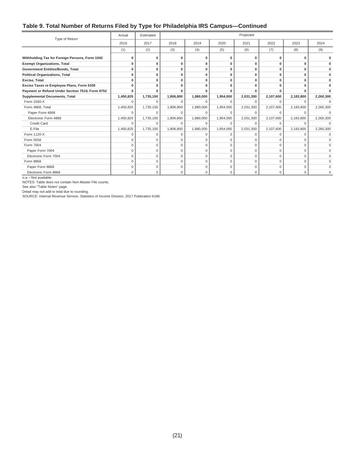#### **Table 9. Total Number of Returns Filed by Type for Philadelphia IRS Campus—Continued**

| Type of Return                                  | Actual    | Estimated   |             |             |             | Projected    |             |           |           |
|-------------------------------------------------|-----------|-------------|-------------|-------------|-------------|--------------|-------------|-----------|-----------|
|                                                 | 2016      | 2017        | 2018        | 2019        | 2020        | 2021         | 2022        | 2023      | 2024      |
|                                                 | (1)       | (2)         | (3)         | (4)         | (5)         | (6)          | (7)         | (8)       | (9)       |
| Withholding Tax for Foreign Persons, Form 1042  |           | O           | O           | O           | O           | 0            | O           | n         |           |
| <b>Exempt Organizations, Total</b>              | n         | $\bf{0}$    | 0           | O           | 0           | 0            | 0           | ŋ         |           |
| Government Entities/Bonds, Total                | $\Omega$  | $\bf{0}$    | 0           | $\bf{0}$    | $\bf{0}$    | 0            | 0           | 0         |           |
| <b>Political Organizations, Total</b>           | O         | $\bf{0}$    | 0           | 0           | 0           | $\mathbf{0}$ | 0           | $\Omega$  |           |
| Excise, Total                                   |           | 0           | 0           | O           | 0           | $\mathbf{0}$ | 0           | O         |           |
| Excise Taxes re Employee Plans, Form 5330       | n         | O           | $\Omega$    | O           | 0           | $\mathbf{0}$ | $\Omega$    | Û         |           |
| Payment or Refund Under Section 7519, Form 8752 |           |             | O           | ŋ           | ŋ           |              |             |           |           |
| <b>Supplemental Documents, Total</b>            | 1,450,825 | 1,735,100   | 1,806,800   | 1,880,000   | 1,954,000   | 2,031,300    | 2,107,600   | 2,183,800 | 2,260,300 |
| Form 1040-X                                     | C         | $\cap$      | $\Omega$    |             | O           |              | $\Omega$    | C         |           |
| Form 4868, Total                                | 1,450,825 | 1,735,100   | 1,806,800   | 1,880,000   | 1,954,000   | 2,031,300    | 2,107,600   | 2,183,800 | 2,260,300 |
| Paper Form 4868                                 | $\Omega$  | $\Omega$    | $\Omega$    | $\Omega$    | $\Omega$    | $\Omega$     | $\Omega$    | $\Omega$  | $\Omega$  |
| Electronic Form 4868                            | 1,450,825 | 1,735,100   | 1,806,800   | 1,880,000   | 1,954,000   | 2,031,300    | 2,107,600   | 2,183,800 | 2,260,300 |
| Credit Card                                     | $\Omega$  | $\Omega$    | $\Omega$    | $\Omega$    | $\Omega$    | $\Omega$     | $\Omega$    | $\Omega$  | $\Omega$  |
| E-File                                          | 1,450,825 | 1,735,100   | 1,806,800   | 1,880,000   | 1,954,000   | 2,031,300    | 2,107,600   | 2,183,800 | 2,260,300 |
| Form 1120-X                                     | $\Omega$  | $\Omega$    | 0           | 0           | 0           | 0            | 0           | $\Omega$  | $\Omega$  |
| Form 5558                                       | O         | $\Omega$    | $\Omega$    | $\Omega$    | $\Omega$    | O            | $\Omega$    |           |           |
| Form 7004                                       | $\Omega$  | $\Omega$    | $\Omega$    | $\Omega$    | $\Omega$    | $\Omega$     | $\Omega$    | $\Omega$  | $\Omega$  |
| Paper Form 7004                                 | $\Omega$  | $\Omega$    | $\Omega$    | $\Omega$    | $\Omega$    | $\Omega$     | $\Omega$    | $\Omega$  | $\Omega$  |
| Electronic Form 7004                            | $\Omega$  | $\Omega$    | $\Omega$    | $\Omega$    | $\Omega$    | $\Omega$     | $\Omega$    | $\Omega$  | $\Omega$  |
| Form 8868                                       | $\Omega$  | $\mathbf 0$ | $\mathbf 0$ | $\mathbf 0$ | $\mathbf 0$ | $\mathbf 0$  | $\mathbf 0$ | $\Omega$  | U         |
| Paper Form 8868                                 | $\Omega$  | $\Omega$    | $\mathbf 0$ | $\Omega$    | $\mathbf 0$ | $\mathbf 0$  | $\mathbf 0$ | $\Omega$  | $\Omega$  |
| Electronic Form 8868                            | 0         | $\Omega$    | $\Omega$    | 0           | 0           | $\Omega$     | $\Omega$    | $\Omega$  | U         |

n.a.-Not available.

NOTES: Table does not contain Non-Master File counts.

See also "Table Notes" page.

Detail may not add to total due to rounding.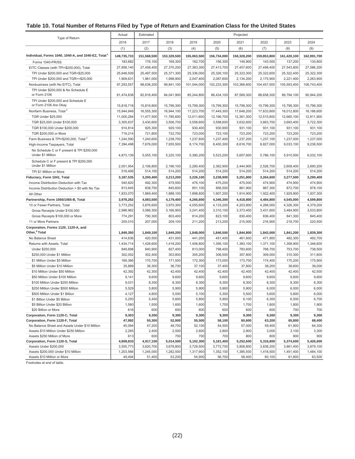# **Table 10. Total Number of Returns Filed by Type of Return and Examination Class for the United States**

|                                                                                           | Actual          | Estimated       | Projected       |                 |                 |                 |                 |                 |                 |
|-------------------------------------------------------------------------------------------|-----------------|-----------------|-----------------|-----------------|-----------------|-----------------|-----------------|-----------------|-----------------|
| Type of Return                                                                            | 2016            | 2017            | 2018            | 2019            | 2020            | 2021            | 2022            | 2023            | 2024            |
|                                                                                           | (1)             | (2)             | (3)             | (4)             | (5)             | (6)             | (7)             | (8)             | (9)             |
| Individual, Forms 1040, 1040-A, and 1040-EZ, Total <sup>1</sup>                           | 149,735,733     | 151,568,500     | 153,329,500     | 155,063,500     | 156,734,000     | 158,328,200     | 159,853,800     | 161,420,100     | 162,991,700     |
| Forms 1040-PR/SS                                                                          | 183.682         | 176,100         | 169,300         | 162,700         | 156,300         | 149,900         | 143,500         | 137,200         | 130,800         |
| EITC Classes (with TPI<\$200,000), Total                                                  | 27,858,140      | 27,458,400      | 27,370,200      | 27,383,300      | 27,413,700      | 27,457,600      | 27,498,400      | 27,543,800      | 27,586,200      |
| TPI Under \$200,000 and TGR<\$25,000                                                      | 25,948,509      | 25,497,500      | 25,371,300      | 25,336,000      | 25,326,100      | 25,323,300      | 25,322,600      | 25,322,400      | 25,322,300      |
| TPI Under \$200,000 and TGR>=\$25,000                                                     | 1,909,631       | 1,961,000       | 1,998,900       | 2,047,400       | 2,087,600       | 2,134,200       | 2,175,900       | 2,221,400       | 2,263,900       |
| Nonbusiness (with No EITC), Total                                                         | 97,293,557      | 98,638,200      | 99,841,100      | 101,044,000     | 102,233,300     | 103,368,600     | 104,457,500     | 105,593,400     | 106,743,400     |
| TPI Under \$200,000 & No Schedule E<br>or Form 2106                                       | 81,474,838      | 82,818,400      | 84,041,900      | 85,244,800      | 86,434,100      | 87,569,300      | 88,658,300      | 89,794,100      | 90,944,200      |
| TPI Under \$200,000 and Schedule E<br>or Form 2106 Are Okay                               | 15,818,718      | 15,819,800      | 15,799,300      | 15,799,300      | 15,799,300      | 15,799,300      | 15,799,300      | 15,799,300      | 15,799,300      |
| Nonfarm Business, Total <sup>2</sup>                                                      | 15,944,949      | 16,555,300      | 16,944,100      | 17,223,700      | 17,449,300      | 17,648,200      | 17,833,800      | 18,012,800      | 18,188,600      |
| TGR Under \$25,000                                                                        | 11,005,284      | 11,477,500      | 11,785,600      | 12,011,600      | 12,196,700      | 12,361,300      | 12,515,800      | 12,665,100      | 12,811,900      |
| TGR \$25,000 Under \$100,000                                                              | 3,305,637       | 3,430,600       | 3,506,700       | 3,558,600       | 3,598,600       | 3,632,600       | 3,663,700       | 3,693,400       | 3,722,300       |
| TGR \$100,000 Under \$200,000                                                             | 914,814         | 925,300         | 929,100         | 930,400         | 930,900         | 931,100         | 931,100         | 931,100         | 931,100         |
| TGR \$200,000 or More                                                                     | 719,214         | 721,800         | 722,700         | 723,000         | 723,100         | 723,200         | 723,200         | 723,200         | 723,200         |
| Farm Business & TPI<\$200,000, Total <sup>3</sup>                                         | 1,244,590       | 1,240,600       | 1,238,700       | 1,237,800       | 1,237,400       | 1,237,200       | 1,237,100       | 1,237,000       | 1,237,000       |
| High-Income Taxpayers, Total                                                              | 7,394,498       | 7,676,000       | 7,935,500       | 8,174,700       | 8,400,300       | 8,616,700       | 8,827,000       | 9,033,100       | 9,236,500       |
| No Schedule C or F present & TPI \$200,000<br>Under \$1 Million                           | 4,873,139       | 5,055,100       | 5,225,100       | 5,380,200       | 5,523,200       | 5,657,600       | 5,786,100       | 5,910,500       | 6,032,100       |
| Schedule C or F present & TPI \$200,000<br>Under \$1 Million                              | 2,001,954       | 2,106,800       | 2,196,100       | 2,280,400       | 2,362,900       | 2,444,900       | 2,526,700       | 2.608.400       | 2,690,200       |
| TPI \$1 Million or More                                                                   | 519,406         | 514,100         | 514,200         | 514,200         | 514,200         | 514,200         | 514,200         | 514,200         | 514,200         |
| Fiduciary, Form 1041, Total                                                               | 3,187,535       | 3,200,400       | 3,213,200       | 3,226,100       | 3,238,900       | 3,251,800       | 3,264,600       | 3,277,500       | 3,290,400       |
| Income Distribution Deduction with Tax                                                    | 540,820         | 492,300         | 479,500         | 476,100         | 475,200         | 475,000         | 474,900         | 474,900         | 474,900         |
| Income Distribution Deduction > \$0 with No Tax                                           | 813,645         | 838,700         | 845,600         | 851,100         | 856,500         | 861,900         | 867,300         | 872,700         | 878,100         |
| All Other                                                                                 | 1,833,070       | 1,869,400       | 1,888,100       | 1,898,800       | 1,907,200       | 1,914,900       | 1,922,400       | 1,929,900       | 1,937,300       |
| Partnership, Form 1065/1065-B, Total                                                      | 3,978,262       | 4,083,500       | 4,179,400       | 4,266,800       | 4,346,300       | 4,418,800       | 4,484,800       | 4,545,000       | 4,599,800       |
| 10 or Fewer Partners, Total                                                               | 3,773,252       | 3,876,600       | 3,970,300       | 4,055,600       | 4,133,200       | 4,203,800       | 4,268,000       | 4,326,300       | 4,379,200       |
| Gross Receipts Under \$100,000                                                            | 2,998,962       | 3,086,300       | 3,166,900       | 3,241,400       | 3,310,100       | 3,373,400       | 3,431,600       | 3,484,900       | 3,533,800       |
| Gross Receipts \$100,000 or More                                                          | 774,291         | 790,300         | 803,400         | 814,200         | 823,100         | 830,400         | 836,400         | 841,300         | 845,400         |
| 11 or More Partners                                                                       | 205,010         | 207,000         | 209,100         | 211,200         | 213,200         | 215,000         | 216,900         | 218,700         | 220,500         |
| Corporation, Forms 1120, 1120-A, and                                                      |                 |                 |                 |                 |                 |                 |                 |                 |                 |
| Other, <sup>4</sup> Total                                                                 | 1,849,350       | 1,849,100       | 1,849,200       | 1,848,000       | 1,846,500       | 1,844,800       | 1,843,000       | 1,841,200       | 1,839,300       |
| No Balance Sheet                                                                          | 414,636         | 420,500         | 431,000         | 441,200         | 451,400         | 461,600         | 471,900         | 482,300         | 492,700         |
| Returns with Assets, Total                                                                | 1,434,714       | 1,428,600       | 1,418,200       | 1,406,800       | 1,395,100       | 1,383,100       | 1,371,100       | 1,358,900       | 1,346,600       |
| Under \$250,000                                                                           | 849,698         | 840,900         | 827,400         | 813,000         | 798,400         | 783,600         | 768,700         | 753,700         | 738,500         |
| \$250,000 Under \$1 Million                                                               | 302,052         | 302,400         | 303,800         | 305,200         | 306,500         | 307,800         | 309,000         | 310,300         | 311,600         |
| \$1 Million Under \$5 Million                                                             | 169,366         | 170,700         | 171,500         | 172,300         | 173,000         | 173,700         | 174,400         | 175,200         | 175,900         |
| \$5 Million Under \$10 Million                                                            | 35,889          | 36,300          | 36,700          | 37,100          | 37,400          | 37,800          | 38,200          | 38,600          | 39,000          |
| \$10 Million Under \$50 Million                                                           | 42,392          | 42,300          | 42,400          | 42,400          | 42,400          | 42,400          | 42,400          | 42,400          | 42,500          |
| \$50 Million Under \$100 Million                                                          | 9,141           | 9,600           | 9,600           | 9,600           | 9,600           | 9,600           | 9,600           | 9,600           | 9,600           |
| \$100 Million Under \$250 Million                                                         | 9,031           | 8,300           | 8,300           | 8,300           | 8,300           | 8,300           | 8,300           | 8,300           | 8,300           |
| \$250 Million Under \$500 Million                                                         | 5,529           | 5,800           | 5,900           | 5,900           | 5,900           | 5,900           | 6,000           | 6,000           | 6,000           |
| \$500 Million Under \$1 Billion                                                           | 4,127           | 4,800           | 5,000           | 5,100           | 5,300           | 5,500           | 5,600           | 5,800           | 6,000           |
| \$1 Billion Under \$5 Billion                                                             | 5,293           | 5,400           | 5,600           | 5,800           | 5,900           | 6,100           | 6,300           | 6,500           | 6,700           |
| \$5 Billion Under \$20 Billion                                                            | 1,580           | 1,500           | 1,600           | 1,600           | 1,700           | 1,700           | 1,800           | 1,800           | 1,900           |
| \$20 Billion or More                                                                      | 616             | 600             | 600             | 600             | 600             | 600             | 600             | 700             | 700             |
| Corporation, Form 1120-C, Total                                                           | 9,303           | 9,300           | 9,300           | 9,300           | 9,300           | 9,300           | 9,300           | 9,300           | 9,300           |
| Corporation, Form 1120-F, Total                                                           | 47,992          | 50,300          | 52,900          | 55,500          | 58,100          | 60,600          | 63,200          | 65,800          | 68,400          |
| No Balance Sheet and Assets Under \$10 Million<br>Assets \$10 Million Under \$250 Million | 45,094<br>2,285 | 47,200<br>2,400 | 49,700<br>2,500 | 52,100<br>2,600 | 54,500<br>2,800 | 57,000<br>2,900 | 59,400<br>3,000 | 61,900<br>3,100 | 64,300<br>3,300 |
| Assets \$250 Million of More                                                              | 613             | 600             | 700             | 700             | 700             | 800             | 800             | 800             | 900             |
| Corporation, Form 1120-S, Total                                                           | 4,808,833       | 4,917,100       | 5,014,500       | 5,102,300       | 5,181,400       | 5,252,600       | 5,316,800       | 5,374,600       | 5,426,600       |
| Assets Under \$200,000                                                                    | 3,555,773       | 3,620,700       | 3,678,800       | 3,729,500       | 3,772,700       | 3,808,800       | 3,838,200       | 3,861,400       | 3,879,100       |
| Assets \$200,000 Under \$10 Million                                                       | 1,203,566       | 1,245,000       | 1,282,500       | 1,317,900       | 1,352,100       | 1,385,500       | 1,418,500       | 1,451,400       | 1,484,100       |
| Assets \$10 Million or More                                                               | 49,494          | 51,400          | 53,200          | 54,900          | 56,700          | 58,400          | 60,100          | 61,800          | 63,500          |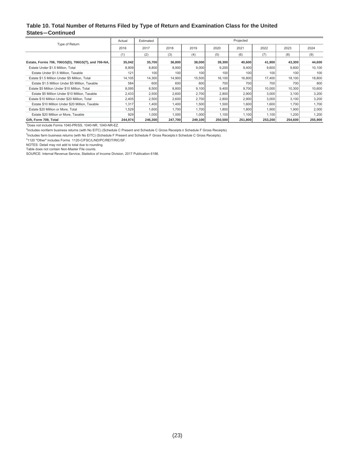#### **Table 10. Total Number of Returns Filed by Type of Return and Examination Class for the United States—Continued**

|                                                    | Actual  | Estimated |         |         |         | Projected |         |         |         |
|----------------------------------------------------|---------|-----------|---------|---------|---------|-----------|---------|---------|---------|
| Type of Return                                     | 2016    | 2017      | 2018    | 2019    | 2020    | 2021      | 2022    | 2023    | 2024    |
|                                                    | (1)     | (2)       | (3)     | (4)     | (5)     | (6)       | (7)     | (8)     | (9)     |
| Estate, Forms 706, 706GS(D), 706GS(T), and 706-NA, | 35,042  | 35,700    | 36,800  | 38,000  | 39,300  | 40,600    | 41,900  | 43,300  | 44,600  |
| Estate Under \$1.5 Million, Total                  | 8,909   | 8,800     | 8,900   | 9,000   | 9,200   | 9,400     | 9,600   | 9,800   | 10,100  |
| Estate Under \$1.5 Million, Taxable                | 121     | 100       | 100     | 100     | 100     | 100       | 100     | 100     | 100     |
| Estate \$1.5 Million Under \$5 Million. Total      | 14,105  | 14,300    | 14,900  | 15,500  | 16,100  | 16,800    | 17,400  | 18,100  | 18,800  |
| Estate \$1.5 Million Under \$5 Million, Taxable    | 584     | 600       | 600     | 600     | 700     | 700       | 700     | 700     | 800     |
| Estate \$5 Million Under \$10 Million. Total       | 8,095   | 8,500     | 8,800   | 9,100   | 9,400   | 9,700     | 10,000  | 10,300  | 10,600  |
| Estate \$5 Million Under \$10 Million, Taxable     | 2,433   | 2,500     | 2,600   | 2.700   | 2,800   | 2,900     | 3,000   | 3,100   | 3,200   |
| Estate \$10 Million Under \$20 Million, Total      | 2,405   | 2,500     | 2,600   | 2,700   | 2,800   | 2,900     | 3,000   | 3,100   | 3,200   |
| Estate \$10 Million Under \$20 Million, Taxable    | 1,317   | 1,400     | 1,400   | 1,500   | 1,500   | 1,600     | 1,600   | 1,700   | 1,700   |
| Estate \$20 Million or More, Total                 | 1,529   | 1,600     | 1,700   | 1,700   | 1,800   | 1,800     | 1,900   | 1,900   | 2,000   |
| Estate \$20 Million or More, Taxable               | 929     | 1,000     | 1,000   | 1,000   | 1,100   | 1,100     | 1,100   | 1,200   | 1,200   |
| Gift, Form 709, Total                              | 244,974 | 246,300   | 247,700 | 249,100 | 250,500 | 251,800   | 253,200 | 254,600 | 255,900 |

1 Does not include Forms 1040-PR/SS, 1040-NR, 1040-NR-EZ.

<sup>2</sup>Includes nonfarm business returns (with No EITC) (Schedule C Present and Schedule C Gross Receipts ≥ Schedule F Gross Receipts).

<sup>3</sup>Includes farm business returns (with No EITC) (Schedule F Present and Schedule F Gross Receipts≥ Schedule C Gross Receipts).

4 1120 "Other" includes Forms 1120-C/FSC/L/ND/PC/REIT/RIC/SF.

NOTES: Detail may not add to total due to rounding. Table does not contain Non-Master File counts. SOURCE: Internal Revenue Service, Statistics of Income Division, 2017 Publication 6186.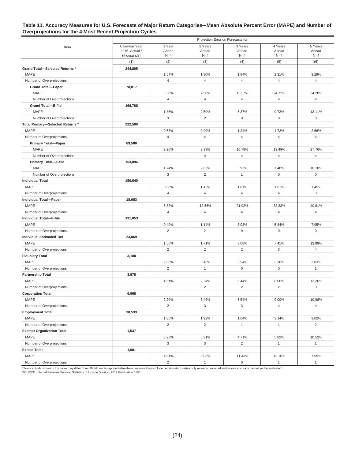#### **Table 11. Accuracy Measures for U.S. Forecasts of Major Return Categories—Mean Absolute Percent Error (MAPE) and Number of Overprojections for the 4 Most Recent Projection Cycles**

|                                               |               |                |                         | Projection Error on Forecasts for: |                         |                         |
|-----------------------------------------------|---------------|----------------|-------------------------|------------------------------------|-------------------------|-------------------------|
| Item                                          | Calendar Year | 1 Year         | 2 Years                 | 3 Years                            | 4 Years                 | 5 Years                 |
|                                               | 2016 Actual * | Ahead          | Ahead                   | Ahead                              | Ahead                   | Ahead                   |
|                                               | (thousands)   | $N=4$<br>(2)   | $N=4$<br>(3)            | $N=4$                              | $N=4$<br>(5)            | $N=4$<br>(6)            |
|                                               | (1)           |                |                         | (4)                                |                         |                         |
| Grand Total-Selected Returns *<br><b>MAPE</b> | 244.805       | 1.57%          |                         |                                    |                         |                         |
|                                               |               | $\overline{4}$ | 1.80%<br>$\overline{4}$ | 1.94%<br>$\overline{4}$            | 2.31%<br>$\overline{4}$ | 3.29%<br>$\overline{4}$ |
| Number of Overprojections                     |               |                |                         |                                    |                         |                         |
| <b>Grand Total-Paper</b><br>MAPE              | 78,017        | 3.30%          | 7.50%                   | 15.37%                             | 24.72%                  | 34.28%                  |
| Number of Overprojections                     |               | $\overline{4}$ | $\overline{4}$          | $\overline{4}$                     | $\overline{4}$          | $\overline{4}$          |
| <b>Grand Total-E-file</b>                     | 166,788       |                |                         |                                    |                         |                         |
| <b>MAPE</b>                                   |               | 1.86%          | 2.59%                   | 5.37%                              | 9.73%                   | 13.11%                  |
| Number of Overprojections                     |               | 3              | $\overline{2}$          | $\mathsf 0$                        | $\mathbf 0$             | $\mathsf 0$             |
| Total Primary-Selected Returns *              | 222,596       |                |                         |                                    |                         |                         |
| MAPE                                          |               | 0.68%          | 0.99%                   | 1.24%                              | 1.72%                   | 2.66%                   |
| Number of Overprojections                     |               | $\overline{4}$ | $\overline{4}$          | $\overline{4}$                     | $\overline{4}$          | $\overline{4}$          |
|                                               | 69,500        |                |                         |                                    |                         |                         |
| <b>Primary Total-Paper</b><br><b>MAPE</b>     |               | 2.26%          | 3.93%                   | 10.78%                             | 19.49%                  | 27.76%                  |
| Number of Overprojections                     |               | $\mathbf{1}$   | $\overline{4}$          | $\overline{4}$                     | $\overline{4}$          | $\overline{4}$          |
| Primary Total-E-file                          | 153,096       |                |                         |                                    |                         |                         |
| MAPE                                          |               | 1.74%          | 2.02%                   | 3.93%                              | 7.48%                   | 10.18%                  |
| Number of Overprojections                     |               | 3              | $\overline{2}$          | $\mathbf{1}$                       | $\mathbf 0$             | 0                       |
| <b>Individual Total</b>                       | 150,640       |                |                         |                                    |                         |                         |
| <b>MAPE</b>                                   |               | 0.88%          | 1.42%                   | 1.81%                              | 1.61%                   | 1.45%                   |
| Number of Overprojections                     |               | $\overline{4}$ | $\overline{4}$          | $\overline{4}$                     | $\overline{4}$          | 3                       |
| <b>Individual Total-Paper</b>                 | 18,683        |                |                         |                                    |                         |                         |
| <b>MAPE</b>                                   |               | 5.82%          | 12.66%                  | 21.92%                             | 32.33%                  | 40.81%                  |
| Number of Overprojections                     |               | $\overline{4}$ | $\overline{4}$          | $\overline{4}$                     | $\overline{4}$          | $\overline{4}$          |
| Individual Total-E-file                       | 131,053       |                |                         |                                    |                         |                         |
| MAPE                                          |               | 0.49%          | 1.14%                   | 3.03%                              | 5.84%                   | 7.95%                   |
| Number of Overprojections                     |               | $\overline{2}$ | $\overline{2}$          | $\mathbf 0$                        | $\mathsf 0$             | $\mathsf 0$             |
| <b>Individual Estimated Tax</b>               | 23,069        |                |                         |                                    |                         |                         |
| <b>MAPE</b>                                   |               | 1.55%          | 1.71%                   | 3.08%                              | 7.41%                   | 13.99%                  |
| Number of Overprojections                     |               | $\overline{c}$ | $\overline{2}$          | 2                                  | 3                       | $\overline{4}$          |
| <b>Fiduciary Total</b>                        | 3,188         |                |                         |                                    |                         |                         |
| <b>MAPE</b>                                   |               | 2.85%          | 3.43%                   | 3.54%                              | 3.36%                   | 3.83%                   |
| Number of Overprojections                     |               | $\overline{2}$ | $\mathbf{1}$            | $\mathsf 0$                        | $\mathbf 0$             | $\mathbf{1}$            |
| <b>Partnership Total</b>                      | 3,978         |                |                         |                                    |                         |                         |
| MAPE                                          |               | 1.51%          | 2.24%                   | 5.44%                              | 8.06%                   | 13.26%                  |
| Number of Overprojections                     |               | $\mathbf{1}$   | $\overline{2}$          | 2                                  | $\overline{2}$          | 3                       |
| <b>Corporation Total</b>                      | 6,968         |                |                         |                                    |                         |                         |
| MAPE                                          |               | 2.20%          | 3.49%                   | 6.54%                              | 9.00%                   | 10.98%                  |
| Number of Overprojections                     |               | $\overline{2}$ | 3                       | 3                                  | $\overline{4}$          | $\overline{4}$          |
| <b>Employment Total</b>                       | 30,533        |                |                         |                                    |                         |                         |
| MAPE                                          |               | 1.85%          | 1.92%                   | 1.64%                              | 3.14%                   | 3.02%                   |
| Number of Overprojections                     |               | $\overline{2}$ | $\overline{c}$          | $\mathbf{1}$                       | $\mathbf{1}$            | $\overline{2}$          |
| <b>Exempt Organization Total</b>              | 1,537         |                |                         |                                    |                         |                         |
| MAPE                                          |               | 3.23%          | 5.31%                   | 4.71%                              | 5.82%                   | 10.52%                  |
| Number of Overprojections                     |               | 3              | 3                       | $\overline{2}$                     | $\mathbf{1}$            | $\mathbf{1}$            |
| <b>Excise Total</b>                           | 1,001         |                |                         |                                    |                         |                         |
| MAPE                                          |               | 4.81%          | 8.03%                   | 11.43%                             | 13.16%                  | 7.55%                   |
| Number of Overprojections                     |               | $\overline{2}$ | $\mathbf{1}$            | $\mathsf{O}\xspace$                | $\mathbf{1}$            | $\mathbf{1}$            |

\*Some actuals shown in this table may differ from official counts reported elsewhere because they exclude certain return series only recently projected and whose accuracy cannot yet be evaluated.<br>SOURCE: Internal Revenue S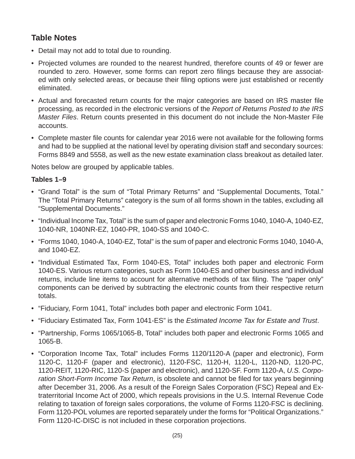# **Table Notes**

- Detail may not add to total due to rounding.
- Projected volumes are rounded to the nearest hundred, therefore counts of 49 or fewer are rounded to zero. However, some forms can report zero filings because they are associated with only selected areas, or because their filing options were just established or recently eliminated.
- Actual and forecasted return counts for the major categories are based on IRS master file processing, as recorded in the electronic versions of the *Report of Returns Posted to the IRS Master Files*. Return counts presented in this document do not include the Non-Master File accounts.
- Complete master file counts for calendar year 2016 were not available for the following forms and had to be supplied at the national level by operating division staff and secondary sources: Forms 8849 and 5558, as well as the new estate examination class breakout as detailed later.

Notes below are grouped by applicable tables.

#### **Tables 1–9**

- "Grand Total" is the sum of "Total Primary Returns" and "Supplemental Documents, Total." The "Total Primary Returns" category is the sum of all forms shown in the tables, excluding all "Supplemental Documents."
- "Individual Income Tax, Total" is the sum of paper and electronic Forms 1040, 1040-A, 1040-EZ, 1040-NR, 1040NR-EZ, 1040-PR, 1040-SS and 1040-C.
- "Forms 1040, 1040-A, 1040-EZ, Total" is the sum of paper and electronic Forms 1040, 1040-A, and 1040-EZ.
- "Individual Estimated Tax, Form 1040-ES, Total" includes both paper and electronic Form 1040-ES. Various return categories, such as Form 1040-ES and other business and individual returns, include line items to account for alternative methods of tax filing. The "paper only" components can be derived by subtracting the electronic counts from their respective return totals.
- "Fiduciary, Form 1041, Total" includes both paper and electronic Form 1041.
- "Fiduciary Estimated Tax, Form 1041-ES" is the *Estimated Income Tax for Estate and Trust*.
- "Partnership, Forms 1065/1065-B, Total" includes both paper and electronic Forms 1065 and 1065-B.
- "Corporation Income Tax, Total" includes Forms 1120/1120-A (paper and electronic), Form 1120-C, 1120-F (paper and electronic), 1120-FSC, 1120-H, 1120-L, 1120-ND, 1120-PC, 1120-REIT, 1120-RIC, 1120-S (paper and electronic), and 1120-SF. Form 1120-A, *U.S. Corporation Short-Form Income Tax Return*, is obsolete and cannot be filed for tax years beginning after December 31, 2006. As a result of the Foreign Sales Corporation (FSC) Repeal and Extraterritorial Income Act of 2000, which repeals provisions in the U.S. Internal Revenue Code relating to taxation of foreign sales corporations, the volume of Forms 1120-FSC is declining. Form 1120-POL volumes are reported separately under the forms for "Political Organizations." Form 1120-IC-DISC is not included in these corporation projections.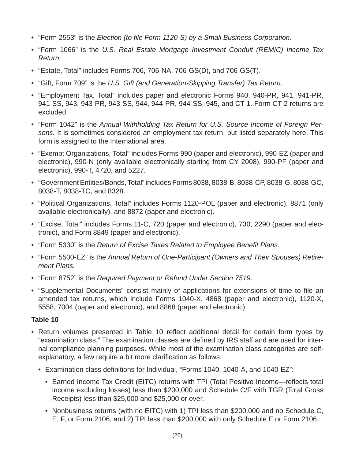- "Form 2553" is the *Election (to fi le Form 1120-S) by a Small Business Corporation*.
- "Form 1066" is the *U.S. Real Estate Mortgage Investment Conduit (REMIC) Income Tax Return*.
- "Estate, Total" includes Forms 706, 706-NA, 706-GS(D), and 706-GS(T).
- "Gift, Form 709" is the *U.S. Gift (and Generation-Skipping Transfer) Tax Return*.
- "Employment Tax, Total" includes paper and electronic Forms 940, 940-PR, 941, 941-PR, 941-SS, 943, 943-PR, 943-SS, 944, 944-PR, 944-SS, 945, and CT-1. Form CT-2 returns are excluded.
- "Form 1042" is the *Annual Withholding Tax Return for U.S. Source Income of Foreign Persons.* It is sometimes considered an employment tax return, but listed separately here. This form is assigned to the International area.
- "Exempt Organizations, Total" includes Forms 990 (paper and electronic), 990-EZ (paper and electronic), 990-N (only available electronically starting from CY 2008), 990-PF (paper and electronic), 990-T, 4720, and 5227.
- "Government Entities/Bonds, Total" includes Forms 8038, 8038-B, 8038-CP, 8038-G, 8038-GC, 8038-T, 8038-TC, and 8328.
- "Political Organizations, Total" includes Forms 1120-POL (paper and electronic), 8871 (only available electronically), and 8872 (paper and electronic).
- "Excise, Total" includes Forms 11-C, 720 (paper and electronic), 730, 2290 (paper and electronic), and Form 8849 (paper and electronic).
- "Form 5330" is the *Return of Excise Taxes Related to Employee Benefi t Plans*.
- "Form 5500-EZ" is the *Annual Return of One-Participant (Owners and Their Spouses) Retirement Plans.*
- "Form 8752" is the *Required Payment or Refund Under Section 7519*.
- "Supplemental Documents" consist mainly of applications for extensions of time to file an amended tax returns, which include Forms 1040-X, 4868 (paper and electronic), 1120-X, 5558, 7004 (paper and electronic), and 8868 (paper and electronic).

#### **Table 10**

- Return volumes presented in Table 10 reflect additional detail for certain form types by "examination class." The examination classes are defined by IRS staff and are used for internal compliance planning purposes. While most of the examination class categories are selfexplanatory, a few require a bit more clarification as follows:
	- Examination class definitions for Individual, "Forms 1040, 1040-A, and 1040-EZ":
		- Earned Income Tax Credit (EITC) returns with TPI (Total Positive Income—reflects total income excluding losses) less than \$200,000 and Schedule C/F with TGR (Total Gross Receipts) less than \$25,000 and \$25,000 or over.
		- Nonbusiness returns (with no EITC) with 1) TPI less than \$200,000 and no Schedule C, E, F, or Form 2106, and 2) TPI less than \$200,000 with only Schedule E or Form 2106.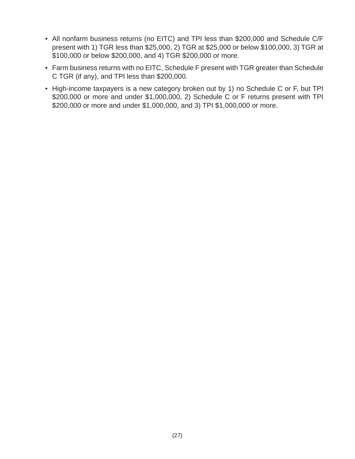- All nonfarm business returns (no EITC) and TPI less than \$200,000 and Schedule C/F present with 1) TGR less than \$25,000, 2) TGR at \$25,000 or below \$100,000, 3) TGR at \$100,000 or below \$200,000, and 4) TGR \$200,000 or more.
- Farm business returns with no EITC, Schedule F present with TGR greater than Schedule C TGR (if any), and TPI less than \$200,000.
- High-income taxpayers is a new category broken out by 1) no Schedule C or F, but TPI \$200,000 or more and under \$1,000,000, 2) Schedule C or F returns present with TPI \$200,000 or more and under \$1,000,000, and 3) TPI \$1,000,000 or more.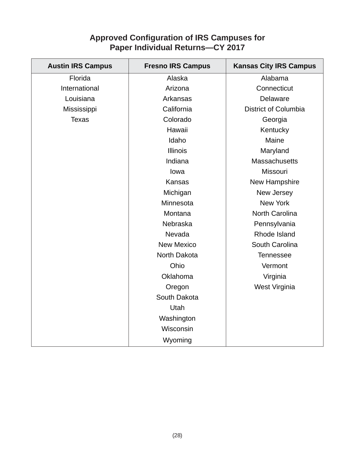# **Approved Confi guration of IRS Campuses for Paper Individual Returns—CY 2017**

| <b>Austin IRS Campus</b> | <b>Fresno IRS Campus</b> | <b>Kansas City IRS Campus</b> |
|--------------------------|--------------------------|-------------------------------|
| Florida                  | Alaska                   | Alabama                       |
| International            | Arizona                  | Connecticut                   |
| Louisiana                | Arkansas                 | Delaware                      |
| Mississippi              | California               | <b>District of Columbia</b>   |
| <b>Texas</b>             | Colorado                 | Georgia                       |
|                          | Hawaii                   | Kentucky                      |
|                          | Idaho                    | Maine                         |
|                          | <b>Illinois</b>          | Maryland                      |
|                          | Indiana                  | <b>Massachusetts</b>          |
|                          | lowa                     | Missouri                      |
|                          | Kansas                   | New Hampshire                 |
|                          | Michigan                 | New Jersey                    |
|                          | Minnesota                | New York                      |
|                          | Montana                  | North Carolina                |
|                          | Nebraska                 | Pennsylvania                  |
|                          | Nevada                   | Rhode Island                  |
|                          | <b>New Mexico</b>        | South Carolina                |
|                          | North Dakota             | <b>Tennessee</b>              |
|                          | Ohio                     | Vermont                       |
|                          | Oklahoma                 | Virginia                      |
|                          | Oregon                   | West Virginia                 |
|                          | South Dakota             |                               |
|                          | Utah                     |                               |
|                          | Washington               |                               |
|                          | Wisconsin                |                               |
|                          | Wyoming                  |                               |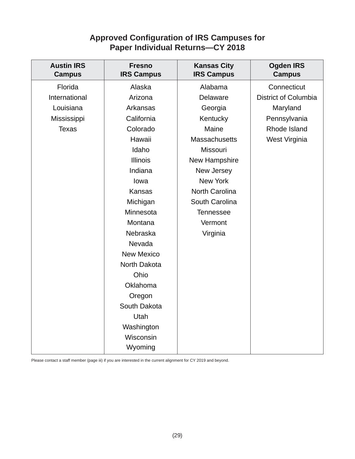# **Approved Confi guration of IRS Campuses for Paper Individual Returns—CY 2018**

| <b>Austin IRS</b><br><b>Campus</b> | <b>Fresno</b><br><b>IRS Campus</b> | <b>Kansas City</b><br><b>IRS Campus</b> | <b>Ogden IRS</b><br><b>Campus</b> |
|------------------------------------|------------------------------------|-----------------------------------------|-----------------------------------|
| Florida                            | Alaska                             | Alabama                                 | Connecticut                       |
| International                      | Arizona                            | Delaware                                | <b>District of Columbia</b>       |
| Louisiana                          | Arkansas                           | Georgia                                 | Maryland                          |
| Mississippi                        | California                         | Kentucky                                | Pennsylvania                      |
| <b>Texas</b>                       | Colorado                           | Maine                                   | Rhode Island                      |
|                                    | Hawaii                             | <b>Massachusetts</b>                    | West Virginia                     |
|                                    | Idaho                              | Missouri                                |                                   |
|                                    | <b>Illinois</b>                    | New Hampshire                           |                                   |
|                                    | Indiana                            | New Jersey                              |                                   |
|                                    | lowa                               | New York                                |                                   |
|                                    | Kansas                             | North Carolina                          |                                   |
|                                    | Michigan                           | South Carolina                          |                                   |
|                                    | Minnesota                          | <b>Tennessee</b>                        |                                   |
|                                    | Montana                            | Vermont                                 |                                   |
|                                    | Nebraska                           | Virginia                                |                                   |
|                                    | Nevada                             |                                         |                                   |
|                                    | <b>New Mexico</b>                  |                                         |                                   |
|                                    | North Dakota                       |                                         |                                   |
|                                    | Ohio                               |                                         |                                   |
|                                    | Oklahoma                           |                                         |                                   |
|                                    | Oregon                             |                                         |                                   |
|                                    | South Dakota                       |                                         |                                   |
|                                    | Utah                               |                                         |                                   |
|                                    | Washington                         |                                         |                                   |
|                                    | Wisconsin                          |                                         |                                   |
|                                    | Wyoming                            |                                         |                                   |

Please contact a staff member (page iii) if you are interested in the current alignment for CY 2019 and beyond.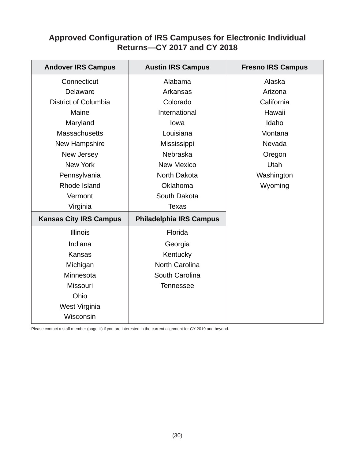# **Approved Confi guration of IRS Campuses for Electronic Individual Returns—CY 2017 and CY 2018**

| <b>Andover IRS Campus</b>     | <b>Austin IRS Campus</b>       | <b>Fresno IRS Campus</b> |
|-------------------------------|--------------------------------|--------------------------|
| Connecticut                   | Alabama                        | Alaska                   |
| Delaware                      | Arkansas                       | Arizona                  |
| <b>District of Columbia</b>   | Colorado                       | California               |
| Maine                         | International                  | Hawaii                   |
| Maryland                      | lowa                           | Idaho                    |
| Massachusetts                 | Louisiana                      | Montana                  |
| New Hampshire                 | Mississippi                    | Nevada                   |
| New Jersey                    | Nebraska                       | Oregon                   |
| <b>New York</b>               | <b>New Mexico</b>              | Utah                     |
| Pennsylvania                  | North Dakota                   | Washington               |
| Rhode Island                  | Oklahoma                       | Wyoming                  |
| Vermont                       | South Dakota                   |                          |
| Virginia                      | <b>Texas</b>                   |                          |
| <b>Kansas City IRS Campus</b> | <b>Philadelphia IRS Campus</b> |                          |
| <b>Illinois</b>               | Florida                        |                          |
| Indiana                       | Georgia                        |                          |
| <b>Kansas</b>                 | Kentucky                       |                          |
| Michigan                      | <b>North Carolina</b>          |                          |
| Minnesota                     | South Carolina                 |                          |
| Missouri                      | <b>Tennessee</b>               |                          |
| Ohio                          |                                |                          |
| West Virginia                 |                                |                          |
| Wisconsin                     |                                |                          |

Please contact a staff member (page iii) if you are interested in the current alignment for CY 2019 and beyond.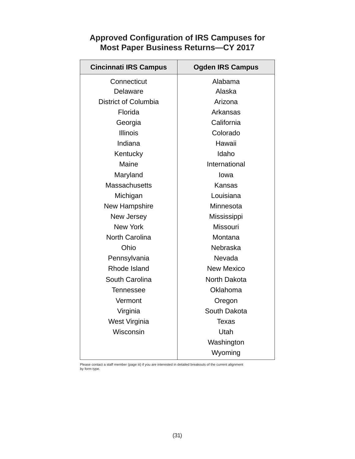# **Approved Confi guration of IRS Campuses for Most Paper Business Returns—CY 2017**

| <b>Cincinnati IRS Campus</b> | <b>Ogden IRS Campus</b> |  |
|------------------------------|-------------------------|--|
| Connecticut                  | Alabama                 |  |
| Delaware                     | Alaska                  |  |
| <b>District of Columbia</b>  | Arizona                 |  |
| Florida                      | Arkansas                |  |
| Georgia                      | California              |  |
| <b>Illinois</b>              | Colorado                |  |
| Indiana                      | Hawaii                  |  |
| Kentucky                     | Idaho                   |  |
| Maine                        | International           |  |
| Maryland                     | lowa                    |  |
| <b>Massachusetts</b>         | Kansas                  |  |
| Michigan                     | Louisiana               |  |
| New Hampshire                | Minnesota               |  |
| New Jersey                   | Mississippi             |  |
| <b>New York</b>              | <b>Missouri</b>         |  |
| <b>North Carolina</b>        | Montana                 |  |
| Ohio                         | Nebraska                |  |
| Pennsylvania                 | Nevada                  |  |
| Rhode Island                 | <b>New Mexico</b>       |  |
| South Carolina               | North Dakota            |  |
| <b>Tennessee</b>             | Oklahoma                |  |
| Vermont                      | Oregon                  |  |
| Virginia                     | South Dakota            |  |
| West Virginia                | <b>Texas</b>            |  |
| Wisconsin                    | Utah                    |  |
|                              | Washington              |  |
|                              | Wyoming                 |  |

Please contact a staff member (page iii) if you are interested in detailed breakouts of the current alignment by form type.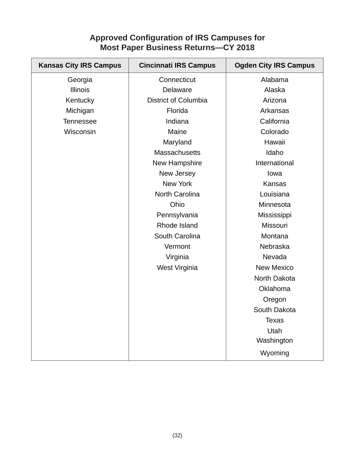# **Approved Confi guration of IRS Campuses for Most Paper Business Returns—CY 2018**

| <b>Kansas City IRS Campus</b> | <b>Cincinnati IRS Campus</b> | <b>Ogden City IRS Campus</b> |
|-------------------------------|------------------------------|------------------------------|
| Georgia                       | Connecticut                  | Alabama                      |
| <b>Illinois</b>               | Delaware                     | Alaska                       |
| Kentucky                      | <b>District of Columbia</b>  | Arizona                      |
| Michigan                      | Florida                      | Arkansas                     |
| <b>Tennessee</b>              | Indiana                      | California                   |
| Wisconsin                     | Maine                        | Colorado                     |
|                               | Maryland                     | Hawaii                       |
|                               | <b>Massachusetts</b>         | Idaho                        |
|                               | New Hampshire                | International                |
|                               | New Jersey                   | lowa                         |
|                               | <b>New York</b>              | Kansas                       |
|                               | North Carolina               | Louisiana                    |
|                               | Ohio                         | Minnesota                    |
|                               | Pennsylvania                 | Mississippi                  |
|                               | Rhode Island                 | Missouri                     |
|                               | South Carolina               | Montana                      |
|                               | Vermont                      | Nebraska                     |
|                               | Virginia                     | Nevada                       |
|                               | West Virginia                | <b>New Mexico</b>            |
|                               |                              | North Dakota                 |
|                               |                              | Oklahoma                     |
|                               |                              | Oregon                       |
|                               |                              | South Dakota                 |
|                               |                              | <b>Texas</b>                 |
|                               |                              | Utah                         |
|                               |                              | Washington                   |
|                               |                              | Wyoming                      |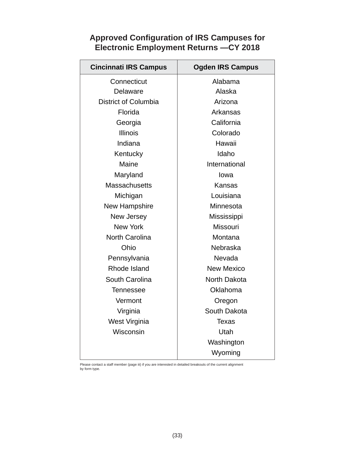# **Approved Confi guration of IRS Campuses for Electronic Employment Returns —CY 2018**

| <b>Cincinnati IRS Campus</b> | <b>Ogden IRS Campus</b> |  |
|------------------------------|-------------------------|--|
| Connecticut                  | Alabama                 |  |
| Delaware                     | Alaska                  |  |
| <b>District of Columbia</b>  | Arizona                 |  |
| Florida                      | Arkansas                |  |
| Georgia                      | California              |  |
| <b>Illinois</b>              | Colorado                |  |
| Indiana                      | Hawaii                  |  |
| Kentucky                     | Idaho                   |  |
| Maine                        | International           |  |
| Maryland                     | lowa                    |  |
| <b>Massachusetts</b>         | Kansas                  |  |
| Michigan                     | Louisiana               |  |
| New Hampshire                | Minnesota               |  |
| New Jersey                   | Mississippi             |  |
| <b>New York</b>              | <b>Missouri</b>         |  |
| <b>North Carolina</b>        | Montana                 |  |
| Ohio                         | <b>Nebraska</b>         |  |
| Pennsylvania                 | Nevada                  |  |
| Rhode Island                 | <b>New Mexico</b>       |  |
| South Carolina               | North Dakota            |  |
| <b>Tennessee</b>             | Oklahoma                |  |
| Vermont                      | Oregon                  |  |
| Virginia                     | South Dakota            |  |
| West Virginia                | <b>Texas</b>            |  |
| Wisconsin                    | Utah                    |  |
|                              | Washington              |  |
|                              | Wyoming                 |  |

Please contact a staff member (page iii) if you are interested in detailed breakouts of the current alignment by form type.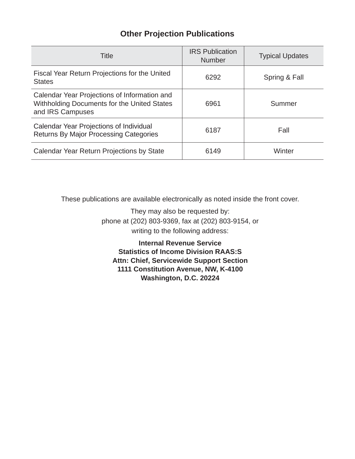# **Other Projection Publications**

| Title                                                                                                           | <b>IRS</b> Publication<br><b>Number</b> | <b>Typical Updates</b> |
|-----------------------------------------------------------------------------------------------------------------|-----------------------------------------|------------------------|
| Fiscal Year Return Projections for the United<br><b>States</b>                                                  | 6292                                    | Spring & Fall          |
| Calendar Year Projections of Information and<br>Withholding Documents for the United States<br>and IRS Campuses | 6961                                    | Summer                 |
| Calendar Year Projections of Individual<br>Returns By Major Processing Categories                               | 6187                                    | Fall                   |
| Calendar Year Return Projections by State                                                                       | 6149                                    | Winter                 |

These publications are available electronically as noted inside the front cover.

They may also be requested by: phone at (202) 803-9369, fax at (202) 803-9154, or writing to the following address:

**Internal Revenue Service Statistics of Income Division RAAS:S Attn: Chief, Servicewide Support Section 1111 Constitution Avenue, NW, K-4100 Washington, D.C. 20224**